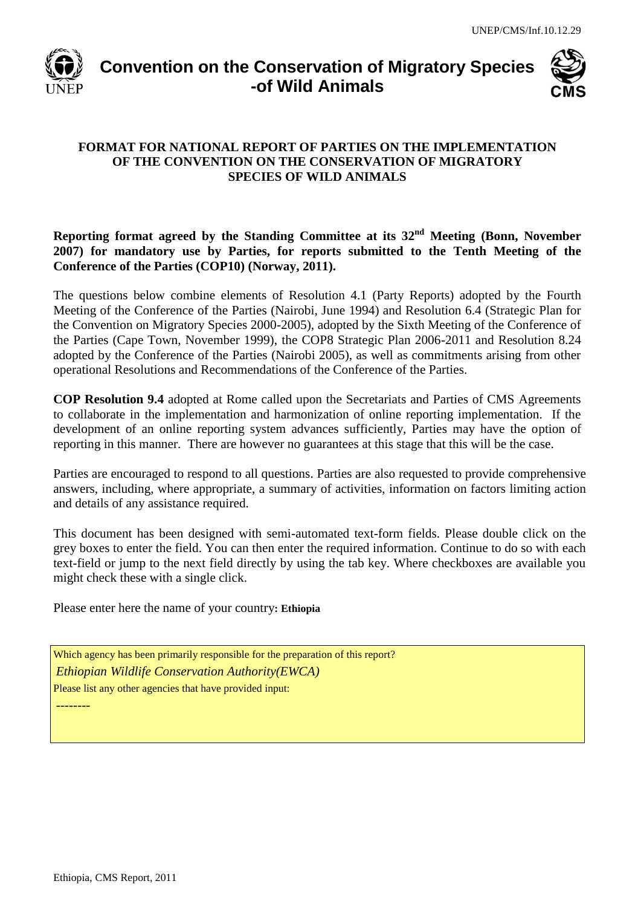

# **Convention on the Conservation of Migratory Species -of Wild Animals**



#### **FORMAT FOR NATIONAL REPORT OF PARTIES ON THE IMPLEMENTATION OF THE CONVENTION ON THE CONSERVATION OF MIGRATORY SPECIES OF WILD ANIMALS**

#### **Reporting format agreed by the Standing Committee at its 32nd Meeting (Bonn, November 2007) for mandatory use by Parties, for reports submitted to the Tenth Meeting of the Conference of the Parties (COP10) (Norway, 2011).**

The questions below combine elements of Resolution 4.1 (Party Reports) adopted by the Fourth Meeting of the Conference of the Parties (Nairobi, June 1994) and Resolution 6.4 (Strategic Plan for the Convention on Migratory Species 2000-2005), adopted by the Sixth Meeting of the Conference of the Parties (Cape Town, November 1999), the COP8 Strategic Plan 2006-2011 and Resolution 8.24 adopted by the Conference of the Parties (Nairobi 2005), as well as commitments arising from other operational Resolutions and Recommendations of the Conference of the Parties.

**COP Resolution 9.4** adopted at Rome called upon the Secretariats and Parties of CMS Agreements to collaborate in the implementation and harmonization of online reporting implementation. If the development of an online reporting system advances sufficiently, Parties may have the option of reporting in this manner. There are however no guarantees at this stage that this will be the case.

Parties are encouraged to respond to all questions. Parties are also requested to provide comprehensive answers, including, where appropriate, a summary of activities, information on factors limiting action and details of any assistance required.

This document has been designed with semi-automated text-form fields. Please double click on the grey boxes to enter the field. You can then enter the required information. Continue to do so with each text-field or jump to the next field directly by using the tab key. Where checkboxes are available you might check these with a single click.

Please enter here the name of your country**: Ethiopia**

Which agency has been primarily responsible for the preparation of this report? *Ethiopian Wildlife Conservation Authority(EWCA)* Please list any other agencies that have provided input:

Ethiopia, CMS Report, 2011

--------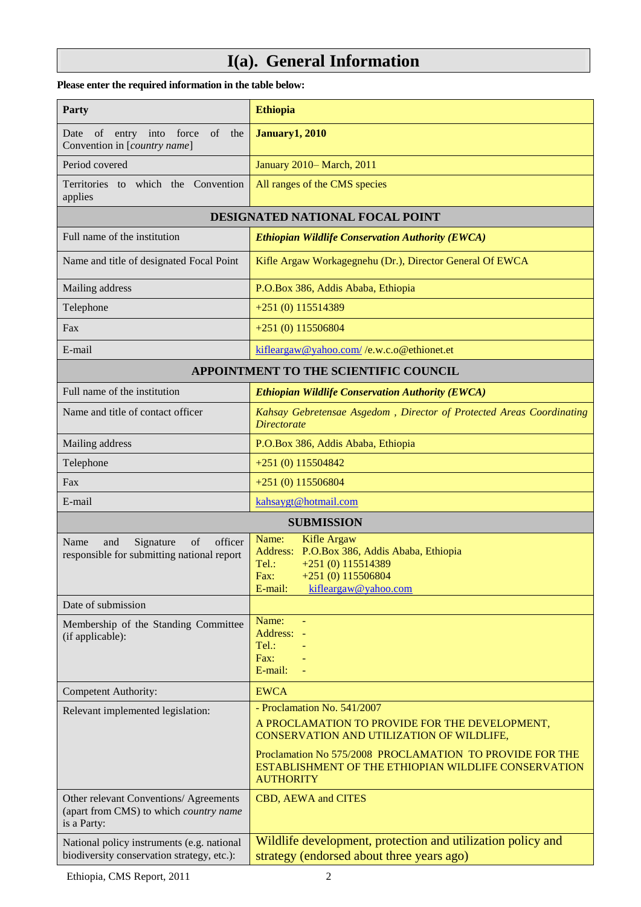# **I(a). General Information**

#### **Please enter the required information in the table below:**

| Party                                                                                           | <b>Ethiopia</b>                                                                                                                                                                                                                                                    |  |
|-------------------------------------------------------------------------------------------------|--------------------------------------------------------------------------------------------------------------------------------------------------------------------------------------------------------------------------------------------------------------------|--|
| of entry into force<br>of<br>the<br>Date<br>Convention in [country name]                        | <b>January1</b> , 2010                                                                                                                                                                                                                                             |  |
| Period covered                                                                                  | January 2010-March, 2011                                                                                                                                                                                                                                           |  |
| to which the Convention<br>Territories<br>applies                                               | All ranges of the CMS species                                                                                                                                                                                                                                      |  |
|                                                                                                 | DESIGNATED NATIONAL FOCAL POINT                                                                                                                                                                                                                                    |  |
| Full name of the institution                                                                    | <b>Ethiopian Wildlife Conservation Authority (EWCA)</b>                                                                                                                                                                                                            |  |
| Name and title of designated Focal Point                                                        | Kifle Argaw Workagegnehu (Dr.), Director General Of EWCA                                                                                                                                                                                                           |  |
| Mailing address                                                                                 | P.O.Box 386, Addis Ababa, Ethiopia                                                                                                                                                                                                                                 |  |
| Telephone                                                                                       | $+251(0)115514389$                                                                                                                                                                                                                                                 |  |
| Fax                                                                                             | $+251(0)$ 115506804                                                                                                                                                                                                                                                |  |
| E-mail                                                                                          | kifleargaw@yahoo.com//e.w.c.o@ethionet.et                                                                                                                                                                                                                          |  |
|                                                                                                 | APPOINTMENT TO THE SCIENTIFIC COUNCIL                                                                                                                                                                                                                              |  |
| Full name of the institution                                                                    | <b>Ethiopian Wildlife Conservation Authority (EWCA)</b>                                                                                                                                                                                                            |  |
| Name and title of contact officer                                                               | Kahsay Gebretensae Asgedom, Director of Protected Areas Coordinating<br><b>Directorate</b>                                                                                                                                                                         |  |
| Mailing address                                                                                 | P.O.Box 386, Addis Ababa, Ethiopia                                                                                                                                                                                                                                 |  |
| Telephone                                                                                       | $+251(0)$ 115504842                                                                                                                                                                                                                                                |  |
| Fax                                                                                             | $+251(0)$ 115506804                                                                                                                                                                                                                                                |  |
| E-mail                                                                                          | kahsaygt@hotmail.com                                                                                                                                                                                                                                               |  |
| <b>SUBMISSION</b>                                                                               |                                                                                                                                                                                                                                                                    |  |
| officer<br>Name<br>Signature<br>of<br>and<br>responsible for submitting national report         | Name:<br>Kifle Argaw<br>Address: P.O.Box 386, Addis Ababa, Ethiopia<br>Tel.:<br>$+251(0)115514389$<br>Fax:<br>$+251(0)$ 115506804<br>kifleargaw@yahoo.com<br>E-mail:                                                                                               |  |
| Date of submission                                                                              |                                                                                                                                                                                                                                                                    |  |
| Membership of the Standing Committee<br>(if applicable):                                        | Name:<br>Address:<br>Tel.:<br>Fax:<br>E-mail:                                                                                                                                                                                                                      |  |
| Competent Authority:                                                                            | <b>EWCA</b>                                                                                                                                                                                                                                                        |  |
| Relevant implemented legislation:                                                               | - Proclamation No. 541/2007<br>A PROCLAMATION TO PROVIDE FOR THE DEVELOPMENT,<br>CONSERVATION AND UTILIZATION OF WILDLIFE,<br>Proclamation No 575/2008 PROCLAMATION TO PROVIDE FOR THE<br>ESTABLISHMENT OF THE ETHIOPIAN WILDLIFE CONSERVATION<br><b>AUTHORITY</b> |  |
| Other relevant Conventions/ Agreements<br>(apart from CMS) to which country name<br>is a Party: | CBD, AEWA and CITES                                                                                                                                                                                                                                                |  |
| National policy instruments (e.g. national<br>biodiversity conservation strategy, etc.):        | Wildlife development, protection and utilization policy and<br>strategy (endorsed about three years ago)                                                                                                                                                           |  |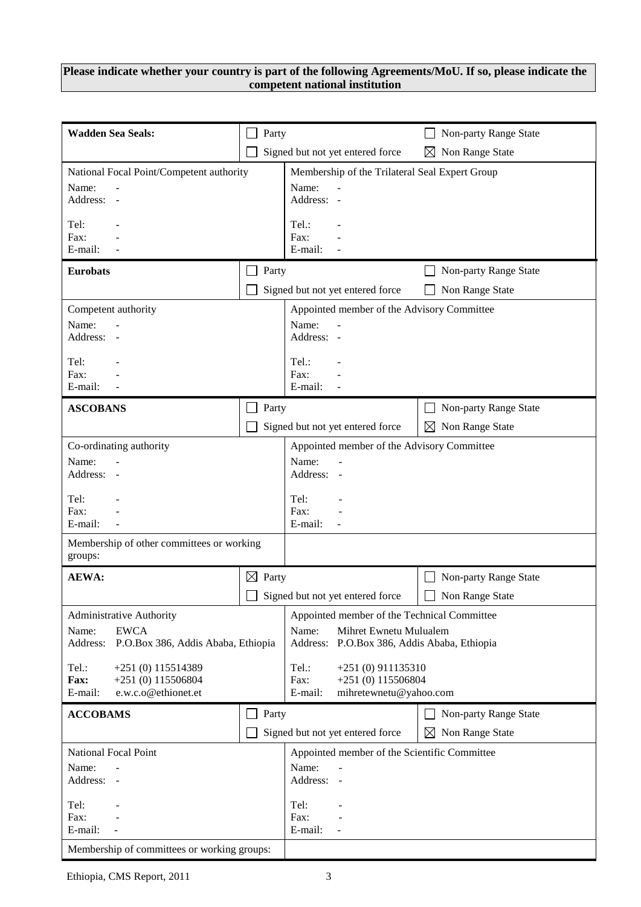#### **Please indicate whether your country is part of the following Agreements/MoU. If so, please indicate the competent national institution**

| <b>Wadden Sea Seals:</b>                                      | Party                |                                                                  | Non-party Range State          |
|---------------------------------------------------------------|----------------------|------------------------------------------------------------------|--------------------------------|
|                                                               |                      | Signed but not yet entered force                                 | ⊠<br>Non Range State           |
| National Focal Point/Competent authority                      |                      | Membership of the Trilateral Seal Expert Group                   |                                |
| Name:                                                         |                      | Name:                                                            |                                |
| Address: -                                                    |                      | Address: -                                                       |                                |
| Tel:                                                          |                      | Tel.:                                                            |                                |
| Fax:<br>E-mail:                                               |                      | Fax:<br>E-mail:                                                  |                                |
|                                                               |                      |                                                                  |                                |
| <b>Eurobats</b>                                               | Party                |                                                                  | Non-party Range State          |
|                                                               |                      | Signed but not yet entered force                                 | Non Range State                |
| Competent authority                                           |                      | Appointed member of the Advisory Committee                       |                                |
| Name:<br>Address: -                                           |                      | Name:<br>Address: -                                              |                                |
|                                                               |                      |                                                                  |                                |
| Tel:                                                          |                      | Tel.:<br>Fax:                                                    |                                |
| Fax:<br>E-mail:                                               |                      | E-mail:                                                          |                                |
| <b>ASCOBANS</b>                                               | Party                |                                                                  | Non-party Range State          |
|                                                               |                      | Signed but not yet entered force                                 | Non Range State<br>$\bowtie$   |
| Co-ordinating authority                                       |                      | Appointed member of the Advisory Committee                       |                                |
| Name:                                                         |                      | Name:                                                            |                                |
| Address: -                                                    |                      | Address:                                                         |                                |
| Tel:                                                          |                      | Tel:                                                             |                                |
| Fax:                                                          |                      | Fax:                                                             |                                |
| E-mail:                                                       |                      | E-mail:                                                          |                                |
| Membership of other committees or working<br>groups:          |                      |                                                                  |                                |
| <b>AEWA:</b>                                                  | $\boxtimes$<br>Party |                                                                  | Non-party Range State          |
|                                                               |                      | Signed but not yet entered force                                 | Non Range State                |
| Administrative Authority                                      |                      | Appointed member of the Technical Committee                      |                                |
| <b>EWCA</b><br>Name:                                          |                      | Name:<br>Mihret Ewnetu Mulualem                                  |                                |
| P.O.Box 386, Addis Ababa, Ethiopia<br>Address:                |                      | Address:<br>P.O.Box 386, Addis Ababa, Ethiopia                   |                                |
| Tel.:<br>$+251(0)115514389$                                   |                      | Tel.:<br>$+251(0)911135310$                                      |                                |
| $+251(0)$ 115506804<br>Fax:<br>e.w.c.o@ethionet.et<br>E-mail: |                      | Fax:<br>$+251(0)$ 115506804<br>mihretewnetu@yahoo.com<br>E-mail: |                                |
|                                                               |                      |                                                                  |                                |
| <b>ACCOBAMS</b>                                               | Party                |                                                                  | Non-party Range State          |
|                                                               |                      | Signed but not yet entered force                                 | $\boxtimes$<br>Non Range State |
| National Focal Point                                          |                      | Appointed member of the Scientific Committee                     |                                |
| Name:<br>Address: -                                           |                      | Name:<br>Address: -                                              |                                |
|                                                               |                      |                                                                  |                                |
| Tel:                                                          |                      | Tel:                                                             |                                |
| Fax:<br>E-mail:                                               |                      | Fax:<br>E-mail:                                                  |                                |
| Membership of committees or working groups:                   |                      |                                                                  |                                |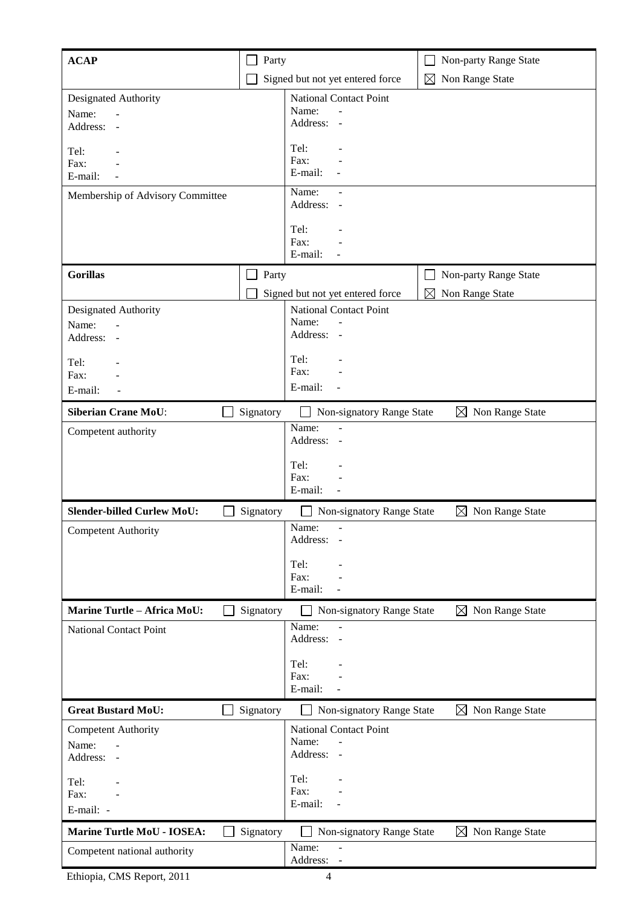| <b>ACAP</b>                                                                   | Party     |                                                                          | Non-party Range State       |
|-------------------------------------------------------------------------------|-----------|--------------------------------------------------------------------------|-----------------------------|
|                                                                               |           | Signed but not yet entered force                                         | ⊠<br>Non Range State        |
| Designated Authority<br>Name:<br>Address:<br>$\sim$                           |           | <b>National Contact Point</b><br>Name:<br>Address: -                     |                             |
| Tel:<br>Fax:<br>E-mail:                                                       |           | Tel:<br>Fax:<br>E-mail:                                                  |                             |
| Membership of Advisory Committee                                              |           | Name:<br>Address:<br>$\overline{\phantom{a}}$<br>Tel:<br>Fax:<br>E-mail: |                             |
| <b>Gorillas</b>                                                               | Party     |                                                                          | Non-party Range State       |
|                                                                               |           | Signed but not yet entered force                                         | ⊠<br>Non Range State        |
| Designated Authority<br>Name:<br>Address: -                                   |           | <b>National Contact Point</b><br>Name:<br>Address: -                     |                             |
| Tel:<br>Fax:<br>E-mail:                                                       |           | Tel:<br>Fax:<br>E-mail:                                                  |                             |
| <b>Siberian Crane MoU:</b>                                                    | Signatory | Non-signatory Range State                                                | $\boxtimes$ Non Range State |
| Competent authority                                                           |           | Name:<br>Address: -                                                      |                             |
|                                                                               |           | Tel:<br>Fax:<br>E-mail:                                                  |                             |
| <b>Slender-billed Curlew MoU:</b>                                             | Signatory | Non-signatory Range State<br>ப                                           | $\boxtimes$ Non Range State |
| Competent Authority                                                           |           | Name:<br>Address: -                                                      |                             |
|                                                                               |           | Tel:<br>Fax:<br>E-mail:                                                  |                             |
| <b>Marine Turtle - Africa MoU:</b>                                            | Signatory | Non-signatory Range State<br>$\overline{\phantom{0}}$                    | $\boxtimes$ Non Range State |
| <b>National Contact Point</b>                                                 |           | Name:<br>Address: -                                                      |                             |
|                                                                               |           | Tel:<br>Fax:<br>E-mail:                                                  |                             |
| <b>Great Bustard MoU:</b>                                                     | Signatory | Non-signatory Range State<br>$\mathbf{I}$                                | $\boxtimes$ Non Range State |
| <b>Competent Authority</b><br>Name:<br>$\overline{\phantom{a}}$<br>Address: - |           | <b>National Contact Point</b><br>Name:<br>Address: -                     |                             |
| Tel:<br>Fax:<br>E-mail: -                                                     |           | Tel:<br>Fax:<br>E-mail:<br>$\overline{\phantom{m}}$                      |                             |
| <b>Marine Turtle MoU - IOSEA:</b>                                             | Signatory | Non-signatory Range State<br>$\blacksquare$                              | $\boxtimes$ Non Range State |
| Competent national authority                                                  |           | Name:<br>Address: -                                                      |                             |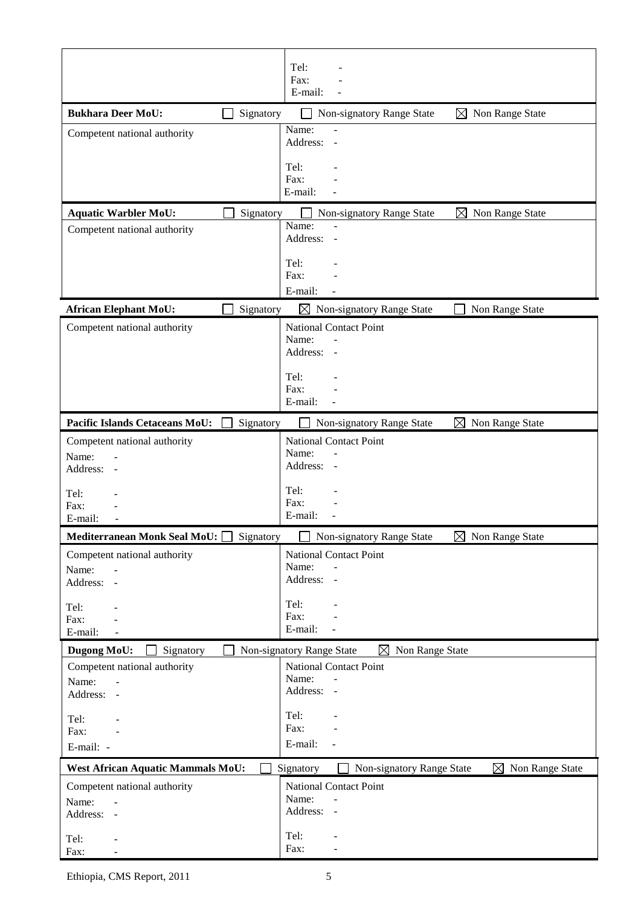|                                                                                                                                                                                                | Tel:                                                                                                                                                                                                                              |
|------------------------------------------------------------------------------------------------------------------------------------------------------------------------------------------------|-----------------------------------------------------------------------------------------------------------------------------------------------------------------------------------------------------------------------------------|
|                                                                                                                                                                                                | Fax:                                                                                                                                                                                                                              |
|                                                                                                                                                                                                | E-mail:                                                                                                                                                                                                                           |
| <b>Bukhara Deer MoU:</b><br>Signatory                                                                                                                                                          | $\boxtimes$ Non Range State<br>Non-signatory Range State                                                                                                                                                                          |
| Competent national authority                                                                                                                                                                   | Name:<br>Address:<br>$\sim$                                                                                                                                                                                                       |
|                                                                                                                                                                                                | Tel:<br>Fax:                                                                                                                                                                                                                      |
|                                                                                                                                                                                                | E-mail:                                                                                                                                                                                                                           |
| <b>Aquatic Warbler MoU:</b><br>Signatory                                                                                                                                                       | Non-signatory Range State<br>$\boxtimes$ Non Range State                                                                                                                                                                          |
| Competent national authority                                                                                                                                                                   | Name:<br>$\sim$<br>Address: -                                                                                                                                                                                                     |
|                                                                                                                                                                                                | Tel:<br>Fax:                                                                                                                                                                                                                      |
|                                                                                                                                                                                                | E-mail:                                                                                                                                                                                                                           |
| <b>African Elephant MoU:</b><br>Signatory                                                                                                                                                      | $\boxtimes$ Non-signatory Range State<br>Non Range State                                                                                                                                                                          |
| Competent national authority                                                                                                                                                                   | <b>National Contact Point</b><br>Name:<br>Address:<br>$\sim$                                                                                                                                                                      |
|                                                                                                                                                                                                | Tel:<br>Fax:<br>E-mail:                                                                                                                                                                                                           |
| Pacific Islands Cetaceans MoU:<br>Signatory                                                                                                                                                    | ⊠<br>Non Range State<br>Non-signatory Range State                                                                                                                                                                                 |
| Competent national authority                                                                                                                                                                   | <b>National Contact Point</b>                                                                                                                                                                                                     |
| Name:<br>Address: -                                                                                                                                                                            | Name:<br>Address: -                                                                                                                                                                                                               |
| Tel:<br>Fax:                                                                                                                                                                                   | Tel:<br>Fax:<br>E-mail:                                                                                                                                                                                                           |
| E-mail:                                                                                                                                                                                        |                                                                                                                                                                                                                                   |
| <b>Mediterranean Monk Seal MoU:</b><br>Signatory<br>Competent national authority                                                                                                               | Non Range State<br>Non-signatory Range State<br>$\boxtimes$<br><b>National Contact Point</b>                                                                                                                                      |
| Name:                                                                                                                                                                                          | Name:                                                                                                                                                                                                                             |
| Address: -                                                                                                                                                                                     | Address: -                                                                                                                                                                                                                        |
| Tel:                                                                                                                                                                                           | Tel:                                                                                                                                                                                                                              |
| Fax:                                                                                                                                                                                           | Fax:                                                                                                                                                                                                                              |
|                                                                                                                                                                                                |                                                                                                                                                                                                                                   |
|                                                                                                                                                                                                |                                                                                                                                                                                                                                   |
|                                                                                                                                                                                                | Name:<br>$\blacksquare$                                                                                                                                                                                                           |
| Address: -                                                                                                                                                                                     | Address: -                                                                                                                                                                                                                        |
| Tel:                                                                                                                                                                                           | Tel:                                                                                                                                                                                                                              |
|                                                                                                                                                                                                |                                                                                                                                                                                                                                   |
|                                                                                                                                                                                                |                                                                                                                                                                                                                                   |
|                                                                                                                                                                                                | Non Range State                                                                                                                                                                                                                   |
|                                                                                                                                                                                                | $\overline{a}$                                                                                                                                                                                                                    |
| Address: -                                                                                                                                                                                     | Address: -                                                                                                                                                                                                                        |
| Tel:                                                                                                                                                                                           | Tel:                                                                                                                                                                                                                              |
| E-mail:<br>Signatory<br>Dugong MoU:<br>Competent national authority<br>Name:<br>Fax:<br>E-mail: -<br><b>West African Aquatic Mammals MoU:</b><br>Competent national authority<br>Name:<br>Fax: | E-mail:<br>Non-signatory Range State<br>Non Range State<br>$\bowtie$<br><b>National Contact Point</b><br>Fax:<br>E-mail:<br>Non-signatory Range State<br>Signatory<br>$\bowtie$<br><b>National Contact Point</b><br>Name:<br>Fax: |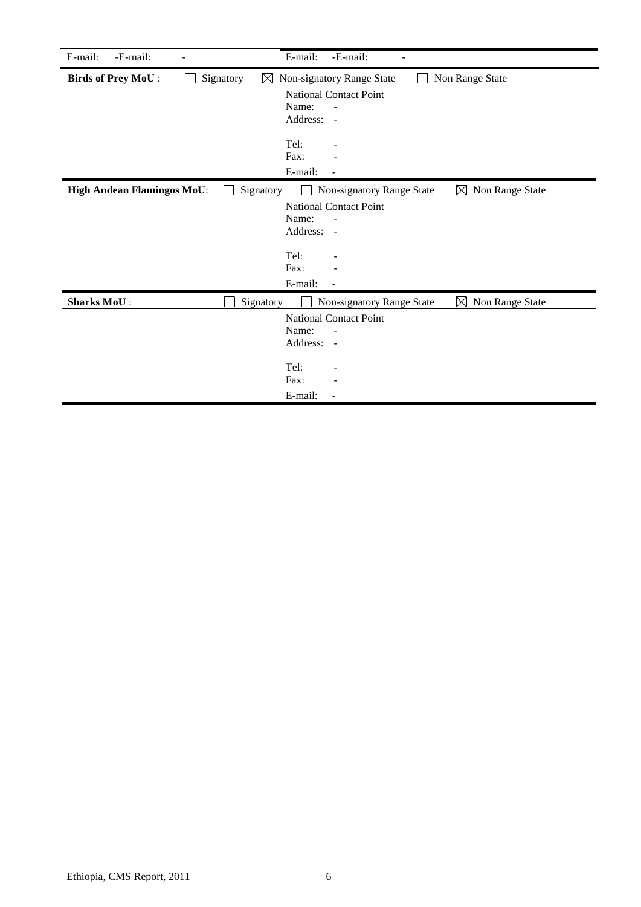| E-mail:<br>-E-mail:                                   | E-mail:<br>-E-mail:                                         |
|-------------------------------------------------------|-------------------------------------------------------------|
| <b>Birds of Prey MoU:</b><br>$\boxtimes$<br>Signatory | Non Range State<br>Non-signatory Range State                |
|                                                       | <b>National Contact Point</b>                               |
|                                                       | Name:                                                       |
|                                                       | Address: -                                                  |
|                                                       |                                                             |
|                                                       | Tel:                                                        |
|                                                       | Fax:                                                        |
|                                                       | E-mail:<br>$\overline{a}$                                   |
| <b>High Andean Flamingos MoU:</b><br>Signatory        | Non-signatory Range State<br>$\boxtimes$<br>Non Range State |
|                                                       | <b>National Contact Point</b>                               |
|                                                       | Name:                                                       |
|                                                       | Address: -                                                  |
|                                                       |                                                             |
|                                                       | Tel:                                                        |
|                                                       | Fax:                                                        |
|                                                       | E-mail:                                                     |
| <b>Sharks MoU:</b><br>Signatory                       | Non Range State<br>Non-signatory Range State<br>$\boxtimes$ |
|                                                       | <b>National Contact Point</b>                               |
|                                                       | Name:                                                       |
|                                                       | Address: -                                                  |
|                                                       |                                                             |
|                                                       | Tel:                                                        |
|                                                       | Fax:                                                        |
|                                                       | E-mail:                                                     |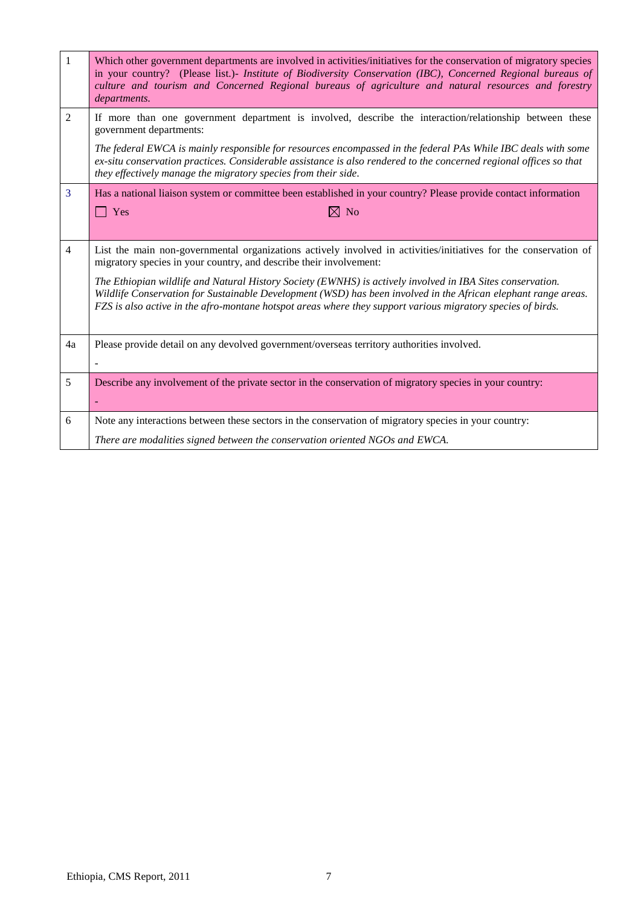| $\mathbf{1}$   | Which other government departments are involved in activities/initiatives for the conservation of migratory species<br>in your country? (Please list.)- Institute of Biodiversity Conservation (IBC), Concerned Regional bureaus of<br>culture and tourism and Concerned Regional bureaus of agriculture and natural resources and forestry<br>departments. |
|----------------|-------------------------------------------------------------------------------------------------------------------------------------------------------------------------------------------------------------------------------------------------------------------------------------------------------------------------------------------------------------|
| $\overline{2}$ | If more than one government department is involved, describe the interaction/relationship between these<br>government departments:                                                                                                                                                                                                                          |
|                | The federal EWCA is mainly responsible for resources encompassed in the federal PAs While IBC deals with some<br>ex-situ conservation practices. Considerable assistance is also rendered to the concerned regional offices so that<br>they effectively manage the migratory species from their side.                                                       |
| 3              | Has a national liaison system or committee been established in your country? Please provide contact information                                                                                                                                                                                                                                             |
|                | $\boxtimes$ No<br>Yes                                                                                                                                                                                                                                                                                                                                       |
|                |                                                                                                                                                                                                                                                                                                                                                             |
| $\overline{4}$ | List the main non-governmental organizations actively involved in activities/initiatives for the conservation of<br>migratory species in your country, and describe their involvement:                                                                                                                                                                      |
|                | The Ethiopian wildlife and Natural History Society (EWNHS) is actively involved in IBA Sites conservation.<br>Wildlife Conservation for Sustainable Development (WSD) has been involved in the African elephant range areas.<br>FZS is also active in the afro-montane hotspot areas where they support various migratory species of birds.                 |
| 4a             | Please provide detail on any devolved government/overseas territory authorities involved.                                                                                                                                                                                                                                                                   |
|                |                                                                                                                                                                                                                                                                                                                                                             |
| 5              | Describe any involvement of the private sector in the conservation of migratory species in your country:                                                                                                                                                                                                                                                    |
| 6              | Note any interactions between these sectors in the conservation of migratory species in your country:                                                                                                                                                                                                                                                       |
|                | There are modalities signed between the conservation oriented NGOs and EWCA.                                                                                                                                                                                                                                                                                |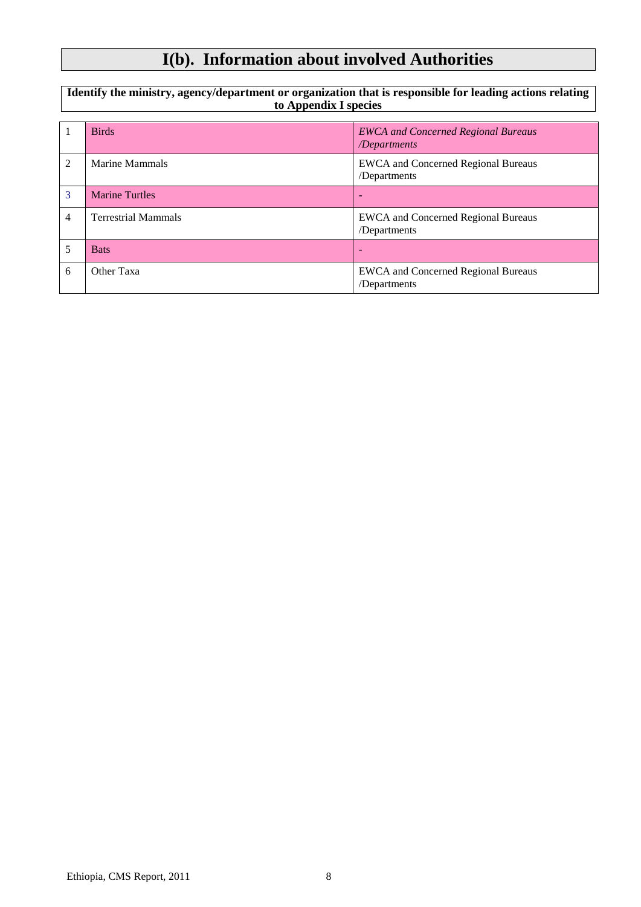# **I(b). Information about involved Authorities**

**Identify the ministry, agency/department or organization that is responsible for leading actions relating to Appendix I species**

|   | <b>Birds</b>               | <b>EWCA</b> and Concerned Regional Bureaus<br>/Departments |
|---|----------------------------|------------------------------------------------------------|
| 2 | Marine Mammals             | <b>EWCA</b> and Concerned Regional Bureaus<br>/Departments |
| 3 | <b>Marine Turtles</b>      |                                                            |
| 4 | <b>Terrestrial Mammals</b> | <b>EWCA</b> and Concerned Regional Bureaus<br>/Departments |
|   | <b>Bats</b>                | -                                                          |
| 6 | Other Taxa                 | <b>EWCA</b> and Concerned Regional Bureaus<br>/Departments |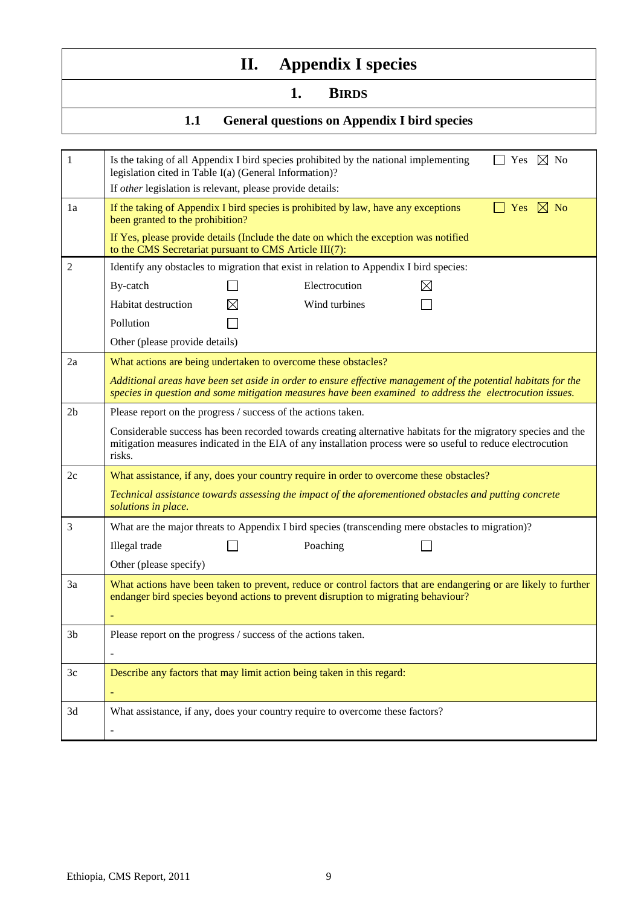# **II. Appendix I species**

## **1. BIRDS**

## **1.1 General questions on Appendix I bird species**

| 1              | Is the taking of all Appendix I bird species prohibited by the national implementing<br>$\boxtimes$ No<br>Yes<br>legislation cited in Table I(a) (General Information)?<br>If other legislation is relevant, please provide details:    |
|----------------|-----------------------------------------------------------------------------------------------------------------------------------------------------------------------------------------------------------------------------------------|
| 1a             | If the taking of Appendix I bird species is prohibited by law, have any exceptions<br>$\boxtimes$ No<br>Yes<br>been granted to the prohibition?                                                                                         |
|                | If Yes, please provide details (Include the date on which the exception was notified<br>to the CMS Secretariat pursuant to CMS Article III(7):                                                                                          |
| $\overline{2}$ | Identify any obstacles to migration that exist in relation to Appendix I bird species:                                                                                                                                                  |
|                | By-catch<br>Electrocution<br>$\boxtimes$                                                                                                                                                                                                |
|                | <b>Habitat destruction</b><br>Wind turbines<br>$\bowtie$                                                                                                                                                                                |
|                | Pollution                                                                                                                                                                                                                               |
|                | Other (please provide details)                                                                                                                                                                                                          |
| 2a             | What actions are being undertaken to overcome these obstacles?                                                                                                                                                                          |
|                | Additional areas have been set aside in order to ensure effective management of the potential habitats for the<br>species in question and some mitigation measures have been examined to address the electrocution issues.              |
| 2 <sub>b</sub> | Please report on the progress / success of the actions taken.                                                                                                                                                                           |
|                | Considerable success has been recorded towards creating alternative habitats for the migratory species and the<br>mitigation measures indicated in the EIA of any installation process were so useful to reduce electrocution<br>risks. |
| 2c             | What assistance, if any, does your country require in order to overcome these obstacles?                                                                                                                                                |
|                | Technical assistance towards assessing the impact of the aforementioned obstacles and putting concrete<br>solutions in place.                                                                                                           |
| 3              | What are the major threats to Appendix I bird species (transcending mere obstacles to migration)?                                                                                                                                       |
|                | Illegal trade<br>Poaching                                                                                                                                                                                                               |
|                | Other (please specify)                                                                                                                                                                                                                  |
| 3a             | What actions have been taken to prevent, reduce or control factors that are endangering or are likely to further<br>endanger bird species beyond actions to prevent disruption to migrating behaviour?                                  |
| 3b             | Please report on the progress / success of the actions taken.                                                                                                                                                                           |
|                |                                                                                                                                                                                                                                         |
| 3c             | Describe any factors that may limit action being taken in this regard:<br>L,                                                                                                                                                            |
| 3d             | What assistance, if any, does your country require to overcome these factors?<br>$\overline{a}$                                                                                                                                         |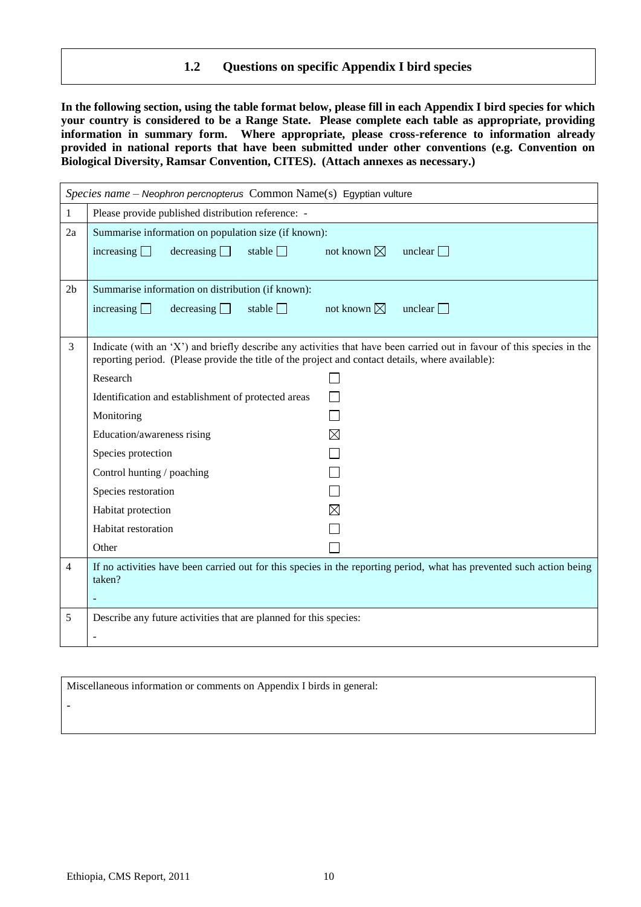#### **1.2 Questions on specific Appendix I bird species**

**In the following section, using the table format below, please fill in each Appendix I bird species for which your country is considered to be a Range State. Please complete each table as appropriate, providing information in summary form. Where appropriate, please cross-reference to information already provided in national reports that have been submitted under other conventions (e.g. Convention on Biological Diversity, Ramsar Convention, CITES). (Attach annexes as necessary.)**

|                | Species name – Neophron percnopterus Common Name(s) Egyptian vulture                                                                                                                                                        |                       |                |
|----------------|-----------------------------------------------------------------------------------------------------------------------------------------------------------------------------------------------------------------------------|-----------------------|----------------|
| $\mathbf{1}$   | Please provide published distribution reference: -                                                                                                                                                                          |                       |                |
| 2a             | Summarise information on population size (if known):                                                                                                                                                                        |                       |                |
|                | increasing $\Box$<br>decreasing<br>stable $\Box$                                                                                                                                                                            | not known $\boxtimes$ | unclear $\Box$ |
|                |                                                                                                                                                                                                                             |                       |                |
| 2 <sub>b</sub> | Summarise information on distribution (if known):                                                                                                                                                                           |                       |                |
|                | increasing $\Box$<br>decreasing<br>stable $\Box$                                                                                                                                                                            | not known $\boxtimes$ | unclear $\Box$ |
|                |                                                                                                                                                                                                                             |                       |                |
| 3              | Indicate (with an 'X') and briefly describe any activities that have been carried out in favour of this species in the<br>reporting period. (Please provide the title of the project and contact details, where available): |                       |                |
|                | Research                                                                                                                                                                                                                    |                       |                |
|                | Identification and establishment of protected areas                                                                                                                                                                         |                       |                |
|                | Monitoring                                                                                                                                                                                                                  |                       |                |
|                | Education/awareness rising                                                                                                                                                                                                  | $\boxtimes$           |                |
|                | Species protection                                                                                                                                                                                                          |                       |                |
|                | Control hunting / poaching                                                                                                                                                                                                  |                       |                |
|                | Species restoration                                                                                                                                                                                                         |                       |                |
|                | Habitat protection                                                                                                                                                                                                          | $\boxtimes$           |                |
|                | Habitat restoration                                                                                                                                                                                                         |                       |                |
|                | Other                                                                                                                                                                                                                       |                       |                |
| $\overline{4}$ | If no activities have been carried out for this species in the reporting period, what has prevented such action being<br>taken?                                                                                             |                       |                |
|                |                                                                                                                                                                                                                             |                       |                |
| 5              | Describe any future activities that are planned for this species:                                                                                                                                                           |                       |                |
|                |                                                                                                                                                                                                                             |                       |                |

Miscellaneous information or comments on Appendix I birds in general:

**-**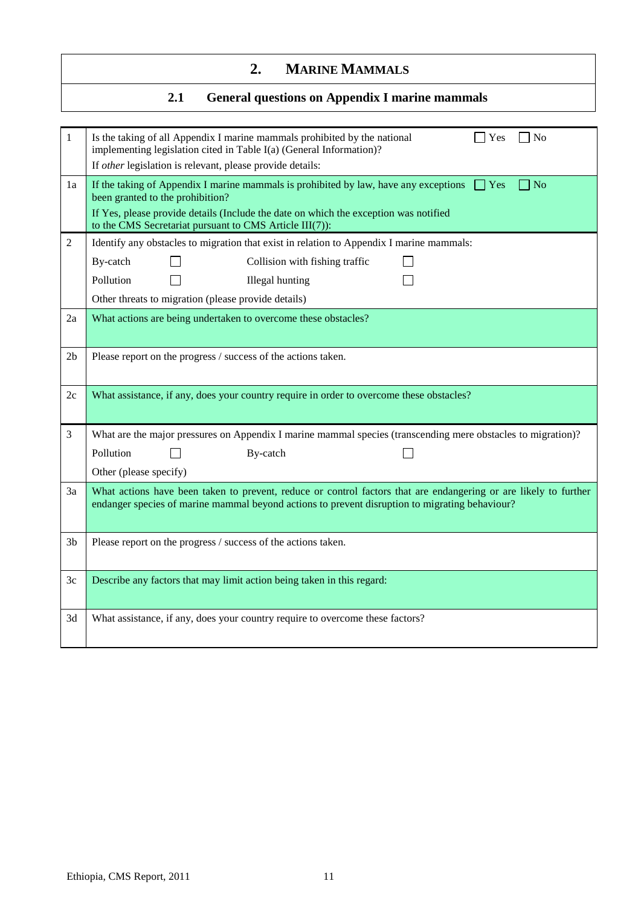## **2. MARINE MAMMALS**

## **2.1 General questions on Appendix I marine mammals**

| 1              | $\n  1$ No<br>Is the taking of all Appendix I marine mammals prohibited by the national<br>Yes<br>implementing legislation cited in Table I(a) (General Information)?<br>If other legislation is relevant, please provide details:                                                                     |
|----------------|--------------------------------------------------------------------------------------------------------------------------------------------------------------------------------------------------------------------------------------------------------------------------------------------------------|
| 1a             | If the taking of Appendix I marine mammals is prohibited by law, have any exceptions<br>$\Box$ No<br>$\Box$ Yes<br>been granted to the prohibition?<br>If Yes, please provide details (Include the date on which the exception was notified<br>to the CMS Secretariat pursuant to CMS Article III(7)): |
| 2              | Identify any obstacles to migration that exist in relation to Appendix I marine mammals:                                                                                                                                                                                                               |
|                | By-catch<br>Collision with fishing traffic                                                                                                                                                                                                                                                             |
|                | Pollution<br><b>Illegal</b> hunting                                                                                                                                                                                                                                                                    |
|                | Other threats to migration (please provide details)                                                                                                                                                                                                                                                    |
| 2a             | What actions are being undertaken to overcome these obstacles?                                                                                                                                                                                                                                         |
| 2 <sub>b</sub> | Please report on the progress / success of the actions taken.                                                                                                                                                                                                                                          |
| 2c             | What assistance, if any, does your country require in order to overcome these obstacles?                                                                                                                                                                                                               |
| 3              | What are the major pressures on Appendix I marine mammal species (transcending mere obstacles to migration)?                                                                                                                                                                                           |
|                | Pollution<br>By-catch                                                                                                                                                                                                                                                                                  |
|                | Other (please specify)                                                                                                                                                                                                                                                                                 |
| 3a             | What actions have been taken to prevent, reduce or control factors that are endangering or are likely to further<br>endanger species of marine mammal beyond actions to prevent disruption to migrating behaviour?                                                                                     |
| 3 <sub>b</sub> | Please report on the progress / success of the actions taken.                                                                                                                                                                                                                                          |
| 3c             | Describe any factors that may limit action being taken in this regard:                                                                                                                                                                                                                                 |
| 3d             | What assistance, if any, does your country require to overcome these factors?                                                                                                                                                                                                                          |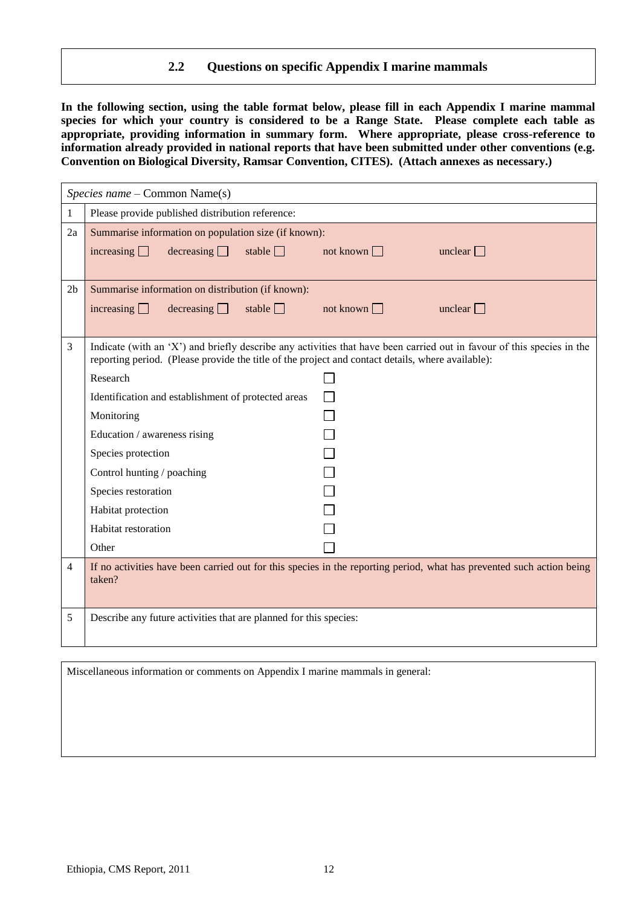#### **2.2 Questions on specific Appendix I marine mammals**

**In the following section, using the table format below, please fill in each Appendix I marine mammal species for which your country is considered to be a Range State. Please complete each table as appropriate, providing information in summary form. Where appropriate, please cross-reference to information already provided in national reports that have been submitted under other conventions (e.g. Convention on Biological Diversity, Ramsar Convention, CITES). (Attach annexes as necessary.)**

|                | Species name - Common Name(s)                                                                                                                                                                                               |                  |                |
|----------------|-----------------------------------------------------------------------------------------------------------------------------------------------------------------------------------------------------------------------------|------------------|----------------|
| $\mathbf{1}$   | Please provide published distribution reference:                                                                                                                                                                            |                  |                |
| 2a             | Summarise information on population size (if known):                                                                                                                                                                        |                  |                |
|                | increasing $\Box$<br>decreasing<br>stable $\Box$                                                                                                                                                                            | not known $\Box$ | unclear $\Box$ |
|                |                                                                                                                                                                                                                             |                  |                |
| 2 <sub>b</sub> | Summarise information on distribution (if known):                                                                                                                                                                           |                  |                |
|                | increasing $\Box$<br>decreasing<br>stable $\Box$                                                                                                                                                                            | not known $\Box$ | unclear $\Box$ |
|                |                                                                                                                                                                                                                             |                  |                |
| 3              | Indicate (with an 'X') and briefly describe any activities that have been carried out in favour of this species in the<br>reporting period. (Please provide the title of the project and contact details, where available): |                  |                |
|                | Research                                                                                                                                                                                                                    |                  |                |
|                | Identification and establishment of protected areas                                                                                                                                                                         | $\Box$           |                |
|                | Monitoring                                                                                                                                                                                                                  |                  |                |
|                | Education / awareness rising                                                                                                                                                                                                |                  |                |
|                | Species protection                                                                                                                                                                                                          |                  |                |
|                | Control hunting / poaching                                                                                                                                                                                                  |                  |                |
|                | Species restoration                                                                                                                                                                                                         |                  |                |
|                | Habitat protection                                                                                                                                                                                                          |                  |                |
|                | Habitat restoration                                                                                                                                                                                                         |                  |                |
|                | Other                                                                                                                                                                                                                       |                  |                |
| 4              | If no activities have been carried out for this species in the reporting period, what has prevented such action being<br>taken?                                                                                             |                  |                |
| 5              | Describe any future activities that are planned for this species:                                                                                                                                                           |                  |                |

Miscellaneous information or comments on Appendix I marine mammals in general: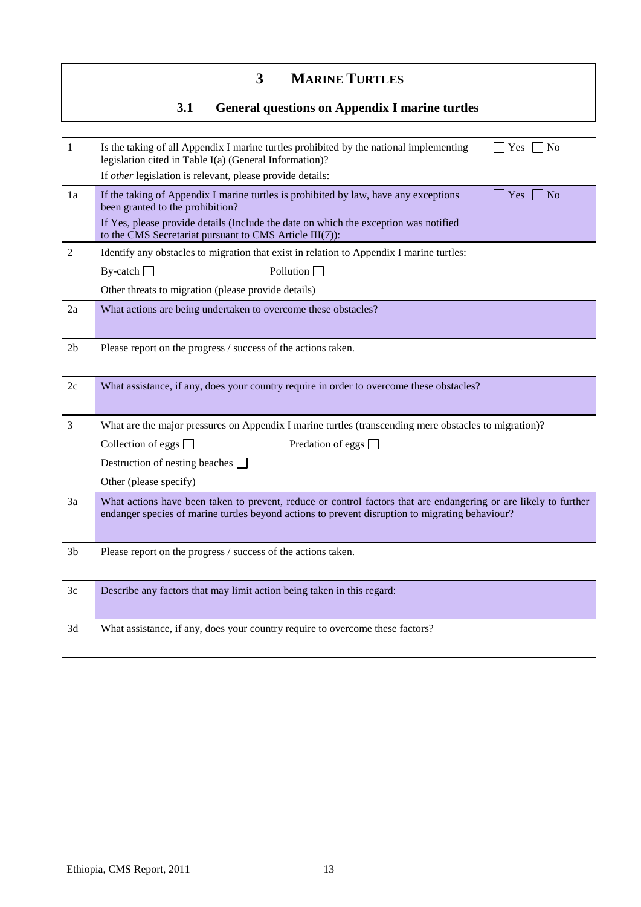### **3 MARINE TURTLES**

### **3.1 General questions on Appendix I marine turtles**

| $\mathbf{1}$   | Is the taking of all Appendix I marine turtles prohibited by the national implementing<br>$\Box$ Yes<br><b>No</b><br>legislation cited in Table I(a) (General Information)?                                         |
|----------------|---------------------------------------------------------------------------------------------------------------------------------------------------------------------------------------------------------------------|
|                | If other legislation is relevant, please provide details:                                                                                                                                                           |
| 1a             | If the taking of Appendix I marine turtles is prohibited by law, have any exceptions<br>N <sub>o</sub><br>Yes<br>been granted to the prohibition?                                                                   |
|                | If Yes, please provide details (Include the date on which the exception was notified<br>to the CMS Secretariat pursuant to CMS Article III(7)):                                                                     |
| $\overline{2}$ | Identify any obstacles to migration that exist in relation to Appendix I marine turtles:                                                                                                                            |
|                | Pollution $\Box$<br>By-catch $\Box$                                                                                                                                                                                 |
|                | Other threats to migration (please provide details)                                                                                                                                                                 |
| 2a             | What actions are being undertaken to overcome these obstacles?                                                                                                                                                      |
|                |                                                                                                                                                                                                                     |
| 2 <sub>b</sub> | Please report on the progress / success of the actions taken.                                                                                                                                                       |
|                |                                                                                                                                                                                                                     |
| 2c             | What assistance, if any, does your country require in order to overcome these obstacles?                                                                                                                            |
| $\mathfrak{Z}$ | What are the major pressures on Appendix I marine turtles (transcending mere obstacles to migration)?                                                                                                               |
|                | Collection of eggs $\Box$<br>Predation of eggs $\Box$                                                                                                                                                               |
|                | Destruction of nesting beaches $\Box$                                                                                                                                                                               |
|                | Other (please specify)                                                                                                                                                                                              |
| 3a             | What actions have been taken to prevent, reduce or control factors that are endangering or are likely to further<br>endanger species of marine turtles beyond actions to prevent disruption to migrating behaviour? |
| 3 <sub>b</sub> | Please report on the progress / success of the actions taken.                                                                                                                                                       |
| 3c             | Describe any factors that may limit action being taken in this regard:                                                                                                                                              |
| 3d             | What assistance, if any, does your country require to overcome these factors?                                                                                                                                       |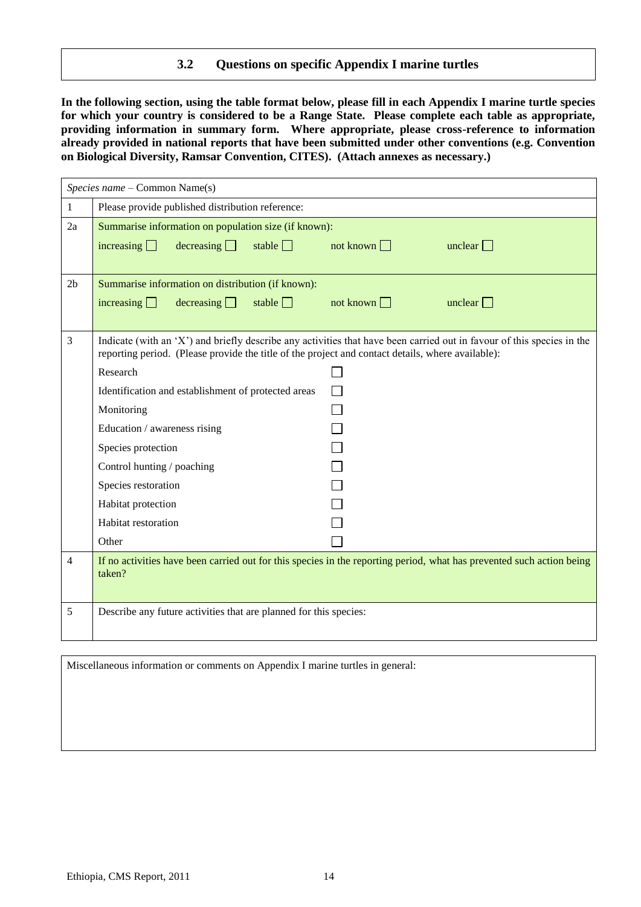#### **3.2 Questions on specific Appendix I marine turtles**

**In the following section, using the table format below, please fill in each Appendix I marine turtle species for which your country is considered to be a Range State. Please complete each table as appropriate, providing information in summary form. Where appropriate, please cross-reference to information already provided in national reports that have been submitted under other conventions (e.g. Convention on Biological Diversity, Ramsar Convention, CITES). (Attach annexes as necessary.)**

|                | Species name - Common Name(s)                                                                                                                                                                                               |                  |                |
|----------------|-----------------------------------------------------------------------------------------------------------------------------------------------------------------------------------------------------------------------------|------------------|----------------|
| $\mathbf{1}$   | Please provide published distribution reference:                                                                                                                                                                            |                  |                |
| 2a             | Summarise information on population size (if known):                                                                                                                                                                        |                  |                |
|                | increasing $\Box$<br>decreasing<br>stable $\Box$                                                                                                                                                                            | not known $\Box$ | unclear $\Box$ |
|                |                                                                                                                                                                                                                             |                  |                |
| 2 <sub>b</sub> | Summarise information on distribution (if known):                                                                                                                                                                           |                  |                |
|                | decreasing<br>increasing $\Box$<br>stable $\Box$                                                                                                                                                                            | not known $\Box$ | unclear $\Box$ |
| 3              | Indicate (with an 'X') and briefly describe any activities that have been carried out in favour of this species in the<br>reporting period. (Please provide the title of the project and contact details, where available): |                  |                |
|                | Research                                                                                                                                                                                                                    |                  |                |
|                | Identification and establishment of protected areas                                                                                                                                                                         |                  |                |
|                | Monitoring                                                                                                                                                                                                                  |                  |                |
|                | Education / awareness rising                                                                                                                                                                                                |                  |                |
|                | Species protection                                                                                                                                                                                                          |                  |                |
|                | Control hunting / poaching                                                                                                                                                                                                  |                  |                |
|                | Species restoration                                                                                                                                                                                                         |                  |                |
|                | Habitat protection                                                                                                                                                                                                          |                  |                |
|                | Habitat restoration                                                                                                                                                                                                         |                  |                |
|                | Other                                                                                                                                                                                                                       |                  |                |
| $\overline{4}$ | If no activities have been carried out for this species in the reporting period, what has prevented such action being<br>taken?                                                                                             |                  |                |
| 5              | Describe any future activities that are planned for this species:                                                                                                                                                           |                  |                |

Miscellaneous information or comments on Appendix I marine turtles in general: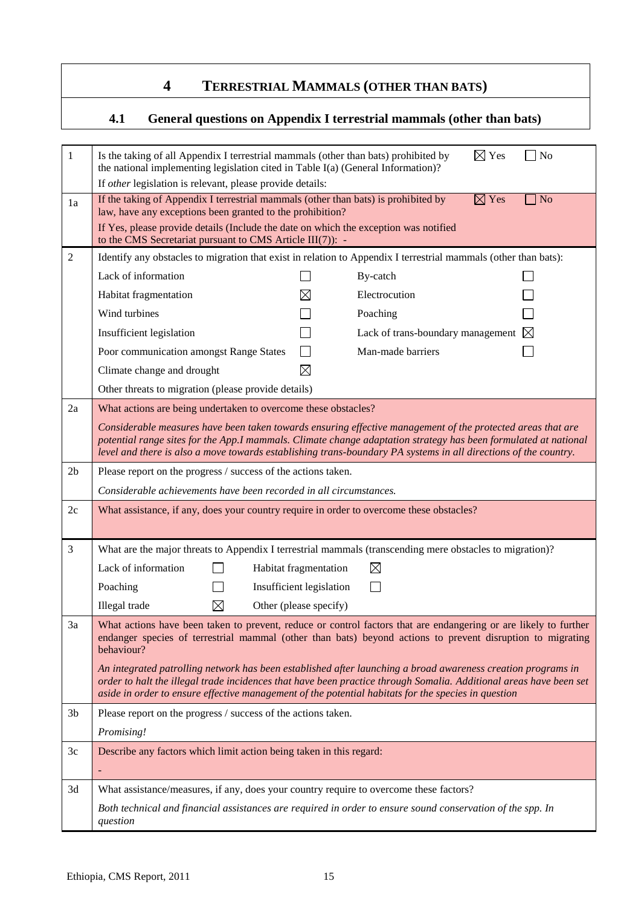## **4 TERRESTRIAL MAMMALS (OTHER THAN BATS)**

## **4.1 General questions on Appendix I terrestrial mammals (other than bats)**

| $\mathbf{1}$   | $\boxtimes$ Yes<br>Is the taking of all Appendix I terrestrial mammals (other than bats) prohibited by<br>N <sub>o</sub><br>the national implementing legislation cited in Table I(a) (General Information)?                                                                                                                                      |  |  |
|----------------|---------------------------------------------------------------------------------------------------------------------------------------------------------------------------------------------------------------------------------------------------------------------------------------------------------------------------------------------------|--|--|
|                | If other legislation is relevant, please provide details:                                                                                                                                                                                                                                                                                         |  |  |
| 1a             | $\boxtimes$ Yes<br>If the taking of Appendix I terrestrial mammals (other than bats) is prohibited by<br>N <sub>o</sub><br>law, have any exceptions been granted to the prohibition?                                                                                                                                                              |  |  |
|                | If Yes, please provide details (Include the date on which the exception was notified<br>to the CMS Secretariat pursuant to CMS Article III(7)): -                                                                                                                                                                                                 |  |  |
| $\overline{2}$ | Identify any obstacles to migration that exist in relation to Appendix I terrestrial mammals (other than bats):                                                                                                                                                                                                                                   |  |  |
|                | Lack of information<br>By-catch                                                                                                                                                                                                                                                                                                                   |  |  |
|                | Habitat fragmentation<br>Electrocution                                                                                                                                                                                                                                                                                                            |  |  |
|                | Wind turbines<br>Poaching                                                                                                                                                                                                                                                                                                                         |  |  |
|                | Insufficient legislation<br>Lack of trans-boundary management<br>⊠                                                                                                                                                                                                                                                                                |  |  |
|                | $\mathbf{L}$<br>Man-made barriers<br>Poor communication amongst Range States                                                                                                                                                                                                                                                                      |  |  |
|                | $\boxtimes$<br>Climate change and drought                                                                                                                                                                                                                                                                                                         |  |  |
|                | Other threats to migration (please provide details)                                                                                                                                                                                                                                                                                               |  |  |
| 2a             | What actions are being undertaken to overcome these obstacles?                                                                                                                                                                                                                                                                                    |  |  |
|                | Considerable measures have been taken towards ensuring effective management of the protected areas that are<br>potential range sites for the App.I mammals. Climate change adaptation strategy has been formulated at national<br>level and there is also a move towards establishing trans-boundary PA systems in all directions of the country. |  |  |
| 2 <sub>b</sub> | Please report on the progress / success of the actions taken.                                                                                                                                                                                                                                                                                     |  |  |
|                | Considerable achievements have been recorded in all circumstances.                                                                                                                                                                                                                                                                                |  |  |
| 2c             | What assistance, if any, does your country require in order to overcome these obstacles?                                                                                                                                                                                                                                                          |  |  |
| $\mathfrak{Z}$ | What are the major threats to Appendix I terrestrial mammals (transcending mere obstacles to migration)?                                                                                                                                                                                                                                          |  |  |
|                | Lack of information<br>Habitat fragmentation<br>$\boxtimes$                                                                                                                                                                                                                                                                                       |  |  |
|                | Poaching<br>Insufficient legislation                                                                                                                                                                                                                                                                                                              |  |  |
|                | $\boxtimes$<br>Illegal trade<br>Other (please specify)                                                                                                                                                                                                                                                                                            |  |  |
| 3a             | What actions have been taken to prevent, reduce or control factors that are endangering or are likely to further<br>endanger species of terrestrial mammal (other than bats) beyond actions to prevent disruption to migrating<br>behaviour?                                                                                                      |  |  |
|                | An integrated patrolling network has been established after launching a broad awareness creation programs in<br>order to halt the illegal trade incidences that have been practice through Somalia. Additional areas have been set<br>aside in order to ensure effective management of the potential habitats for the species in question         |  |  |
| 3 <sub>b</sub> | Please report on the progress / success of the actions taken.                                                                                                                                                                                                                                                                                     |  |  |
|                | Promising!                                                                                                                                                                                                                                                                                                                                        |  |  |
| 3c             | Describe any factors which limit action being taken in this regard:                                                                                                                                                                                                                                                                               |  |  |
|                | $\overline{a}$                                                                                                                                                                                                                                                                                                                                    |  |  |
| 3d             | What assistance/measures, if any, does your country require to overcome these factors?                                                                                                                                                                                                                                                            |  |  |
|                | Both technical and financial assistances are required in order to ensure sound conservation of the spp. In<br>question                                                                                                                                                                                                                            |  |  |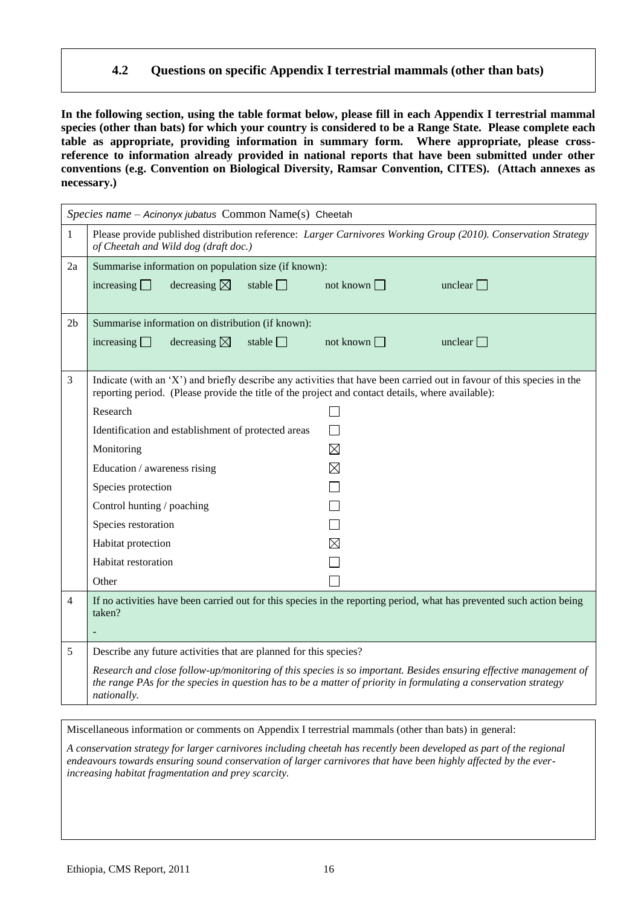#### **4.2 Questions on specific Appendix I terrestrial mammals (other than bats)**

**In the following section, using the table format below, please fill in each Appendix I terrestrial mammal species (other than bats) for which your country is considered to be a Range State. Please complete each table as appropriate, providing information in summary form. Where appropriate, please crossreference to information already provided in national reports that have been submitted under other conventions (e.g. Convention on Biological Diversity, Ramsar Convention, CITES). (Attach annexes as necessary.)**

|                | Species name - Acinonyx jubatus Common Name(s) Cheetah                                                                                                                                                                                              |                  |                |
|----------------|-----------------------------------------------------------------------------------------------------------------------------------------------------------------------------------------------------------------------------------------------------|------------------|----------------|
| $\mathbf{1}$   | Please provide published distribution reference: Larger Carnivores Working Group (2010). Conservation Strategy<br>of Cheetah and Wild dog (draft doc.)                                                                                              |                  |                |
| 2a             | Summarise information on population size (if known):                                                                                                                                                                                                |                  |                |
|                | increasing $\Box$<br>decreasing $\boxtimes$<br>stable $\Box$                                                                                                                                                                                        | not known $\Box$ | unclear $\Box$ |
| 2 <sub>b</sub> | Summarise information on distribution (if known):                                                                                                                                                                                                   |                  |                |
|                | decreasing $\boxtimes$<br>increasing $\Box$<br>stable $\Box$                                                                                                                                                                                        | not known $\Box$ | unclear $\Box$ |
| 3              | Indicate (with an 'X') and briefly describe any activities that have been carried out in favour of this species in the<br>reporting period. (Please provide the title of the project and contact details, where available):                         |                  |                |
|                | Research                                                                                                                                                                                                                                            |                  |                |
|                | Identification and establishment of protected areas                                                                                                                                                                                                 |                  |                |
|                | Monitoring                                                                                                                                                                                                                                          | $\boxtimes$      |                |
|                | Education / awareness rising                                                                                                                                                                                                                        | $\boxtimes$      |                |
|                | Species protection                                                                                                                                                                                                                                  |                  |                |
|                | Control hunting / poaching                                                                                                                                                                                                                          |                  |                |
|                | Species restoration                                                                                                                                                                                                                                 |                  |                |
|                | Habitat protection                                                                                                                                                                                                                                  | $\boxtimes$      |                |
|                | Habitat restoration                                                                                                                                                                                                                                 |                  |                |
|                | Other                                                                                                                                                                                                                                               |                  |                |
| $\overline{4}$ | If no activities have been carried out for this species in the reporting period, what has prevented such action being<br>taken?                                                                                                                     |                  |                |
| 5              | Describe any future activities that are planned for this species?                                                                                                                                                                                   |                  |                |
|                | Research and close follow-up/monitoring of this species is so important. Besides ensuring effective management of<br>the range PAs for the species in question has to be a matter of priority in formulating a conservation strategy<br>nationally. |                  |                |

Miscellaneous information or comments on Appendix I terrestrial mammals (other than bats) in general:

*A conservation strategy for larger carnivores including cheetah has recently been developed as part of the regional endeavours towards ensuring sound conservation of larger carnivores that have been highly affected by the everincreasing habitat fragmentation and prey scarcity.*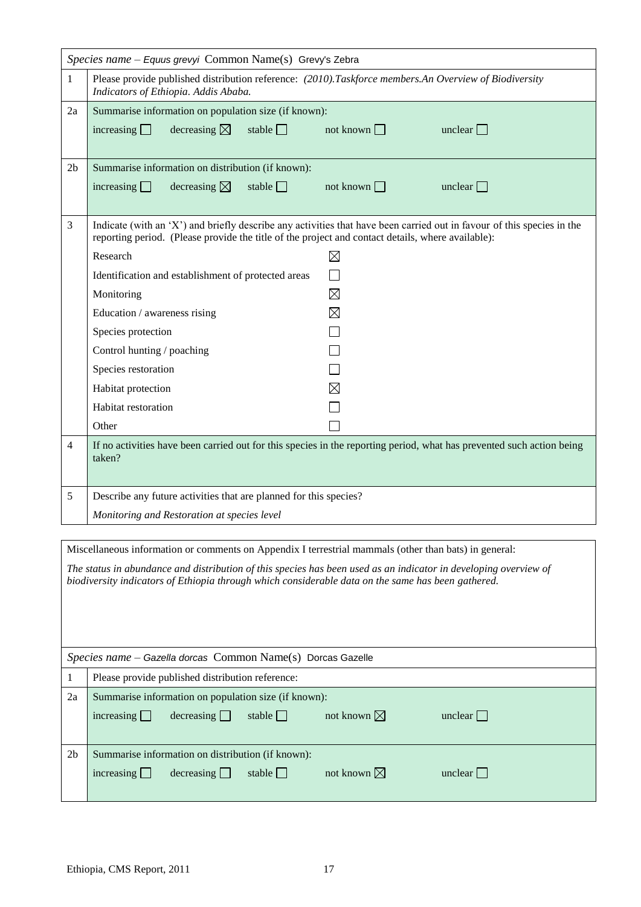| Species name - Equus grevyi Common Name(s) Grevy's Zebra |                                                                                                                                                                                                                             |  |  |
|----------------------------------------------------------|-----------------------------------------------------------------------------------------------------------------------------------------------------------------------------------------------------------------------------|--|--|
| 1                                                        | Please provide published distribution reference: (2010).Taskforce members.An Overview of Biodiversity<br>Indicators of Ethiopia. Addis Ababa.                                                                               |  |  |
| 2a                                                       | Summarise information on population size (if known):                                                                                                                                                                        |  |  |
|                                                          | decreasing $\boxtimes$<br>stable $\Box$<br>not known $\Box$<br>increasing $\Box$<br>unclear $\Box$                                                                                                                          |  |  |
| 2 <sub>b</sub>                                           | Summarise information on distribution (if known):                                                                                                                                                                           |  |  |
|                                                          | increasing $\Box$<br>decreasing $\boxtimes$<br>not known $\Box$<br>stable $\Box$<br>unclear $\Box$                                                                                                                          |  |  |
| 3                                                        | Indicate (with an 'X') and briefly describe any activities that have been carried out in favour of this species in the<br>reporting period. (Please provide the title of the project and contact details, where available): |  |  |
|                                                          | $\boxtimes$<br>Research                                                                                                                                                                                                     |  |  |
|                                                          | Identification and establishment of protected areas                                                                                                                                                                         |  |  |
|                                                          | $\boxtimes$<br>Monitoring                                                                                                                                                                                                   |  |  |
|                                                          | $\boxtimes$<br>Education / awareness rising                                                                                                                                                                                 |  |  |
|                                                          | Species protection                                                                                                                                                                                                          |  |  |
|                                                          | Control hunting / poaching                                                                                                                                                                                                  |  |  |
|                                                          | Species restoration                                                                                                                                                                                                         |  |  |
|                                                          | $\boxtimes$<br>Habitat protection                                                                                                                                                                                           |  |  |
|                                                          | Habitat restoration                                                                                                                                                                                                         |  |  |
|                                                          | Other                                                                                                                                                                                                                       |  |  |
| 4                                                        | If no activities have been carried out for this species in the reporting period, what has prevented such action being<br>taken?                                                                                             |  |  |
| 5                                                        | Describe any future activities that are planned for this species?                                                                                                                                                           |  |  |
|                                                          | Monitoring and Restoration at species level                                                                                                                                                                                 |  |  |
|                                                          |                                                                                                                                                                                                                             |  |  |
|                                                          | Miscellaneous information or comments on Appendix I terrestrial mammals (other than bats) in general:                                                                                                                       |  |  |
|                                                          | The status in abundance and distribution of this species has been used as an indicator in developing overview of                                                                                                            |  |  |
|                                                          | biodiversity indicators of Ethiopia through which considerable data on the same has been gathered.                                                                                                                          |  |  |
|                                                          |                                                                                                                                                                                                                             |  |  |
|                                                          |                                                                                                                                                                                                                             |  |  |
|                                                          |                                                                                                                                                                                                                             |  |  |
| 1                                                        | Species name - Gazella dorcas Common Name(s) Dorcas Gazelle<br>Please provide published distribution reference:                                                                                                             |  |  |
| 2a                                                       | Summarise information on population size (if known):                                                                                                                                                                        |  |  |
|                                                          | not known $\boxtimes$<br>stable    <br>unclear $\Box$<br>increasing<br>decreasing                                                                                                                                           |  |  |
|                                                          |                                                                                                                                                                                                                             |  |  |
| 2 <sub>b</sub>                                           | Summarise information on distribution (if known):                                                                                                                                                                           |  |  |
|                                                          | not known $\boxtimes$<br>increasing $\Box$<br>decreasing<br>stable $\Box$<br>unclear $\Box$                                                                                                                                 |  |  |
|                                                          |                                                                                                                                                                                                                             |  |  |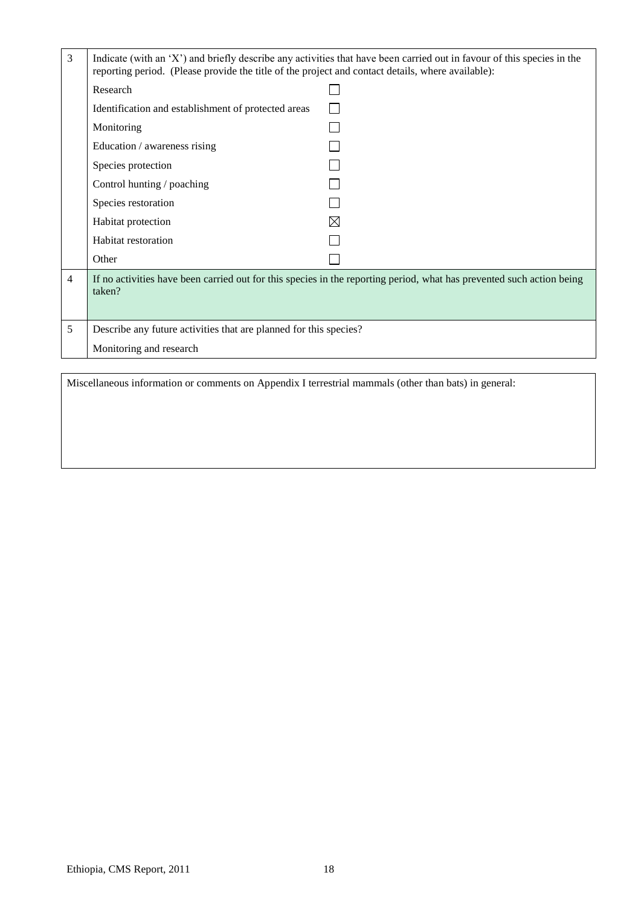| 3              | Indicate (with an 'X') and briefly describe any activities that have been carried out in favour of this species in the<br>reporting period. (Please provide the title of the project and contact details, where available): |                                                                                                                       |
|----------------|-----------------------------------------------------------------------------------------------------------------------------------------------------------------------------------------------------------------------------|-----------------------------------------------------------------------------------------------------------------------|
|                | Research                                                                                                                                                                                                                    |                                                                                                                       |
|                | Identification and establishment of protected areas                                                                                                                                                                         |                                                                                                                       |
|                | Monitoring                                                                                                                                                                                                                  |                                                                                                                       |
|                | Education / awareness rising                                                                                                                                                                                                |                                                                                                                       |
|                | Species protection                                                                                                                                                                                                          |                                                                                                                       |
|                | Control hunting / poaching                                                                                                                                                                                                  |                                                                                                                       |
|                | Species restoration                                                                                                                                                                                                         |                                                                                                                       |
|                | Habitat protection                                                                                                                                                                                                          | M                                                                                                                     |
|                | <b>Habitat</b> restoration                                                                                                                                                                                                  |                                                                                                                       |
|                | Other                                                                                                                                                                                                                       |                                                                                                                       |
| $\overline{4}$ | taken?                                                                                                                                                                                                                      | If no activities have been carried out for this species in the reporting period, what has prevented such action being |
|                |                                                                                                                                                                                                                             |                                                                                                                       |
| 5              | Describe any future activities that are planned for this species?                                                                                                                                                           |                                                                                                                       |
|                | Monitoring and research                                                                                                                                                                                                     |                                                                                                                       |
|                |                                                                                                                                                                                                                             |                                                                                                                       |

Miscellaneous information or comments on Appendix I terrestrial mammals (other than bats) in general: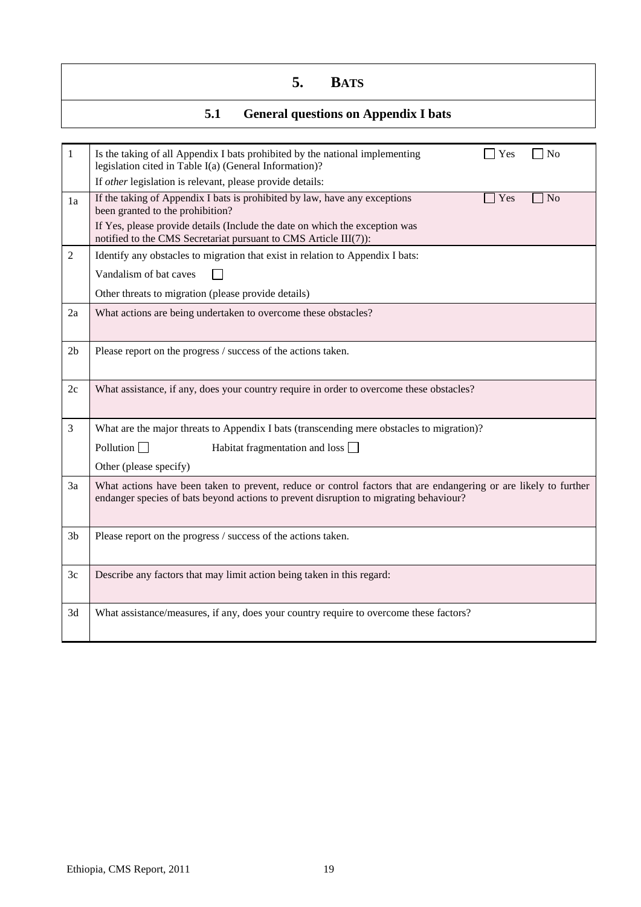## **5. BATS**

### **5.1 General questions on Appendix I bats**

| $\mathbf{1}$   | Is the taking of all Appendix I bats prohibited by the national implementing<br>Yes<br>N <sub>o</sub><br>legislation cited in Table I(a) (General Information)?                                           |
|----------------|-----------------------------------------------------------------------------------------------------------------------------------------------------------------------------------------------------------|
|                | If other legislation is relevant, please provide details:                                                                                                                                                 |
| 1a             | If the taking of Appendix I bats is prohibited by law, have any exceptions<br>$\overline{No}$<br>Yes<br>been granted to the prohibition?                                                                  |
|                | If Yes, please provide details (Include the date on which the exception was<br>notified to the CMS Secretariat pursuant to CMS Article III(7)):                                                           |
| $\overline{2}$ | Identify any obstacles to migration that exist in relation to Appendix I bats:                                                                                                                            |
|                | Vandalism of bat caves                                                                                                                                                                                    |
|                | Other threats to migration (please provide details)                                                                                                                                                       |
| 2a             | What actions are being undertaken to overcome these obstacles?                                                                                                                                            |
|                |                                                                                                                                                                                                           |
| 2 <sub>b</sub> | Please report on the progress / success of the actions taken.                                                                                                                                             |
|                |                                                                                                                                                                                                           |
| 2c             | What assistance, if any, does your country require in order to overcome these obstacles?                                                                                                                  |
|                |                                                                                                                                                                                                           |
| $\mathfrak{Z}$ | What are the major threats to Appendix I bats (transcending mere obstacles to migration)?                                                                                                                 |
|                | Pollution $\Box$<br>Habitat fragmentation and loss $\Box$                                                                                                                                                 |
|                | Other (please specify)                                                                                                                                                                                    |
| 3a             | What actions have been taken to prevent, reduce or control factors that are endangering or are likely to further<br>endanger species of bats beyond actions to prevent disruption to migrating behaviour? |
|                |                                                                                                                                                                                                           |
| 3 <sub>b</sub> | Please report on the progress / success of the actions taken.                                                                                                                                             |
|                |                                                                                                                                                                                                           |
| 3c             | Describe any factors that may limit action being taken in this regard:                                                                                                                                    |
|                |                                                                                                                                                                                                           |
| 3d             | What assistance/measures, if any, does your country require to overcome these factors?                                                                                                                    |
|                |                                                                                                                                                                                                           |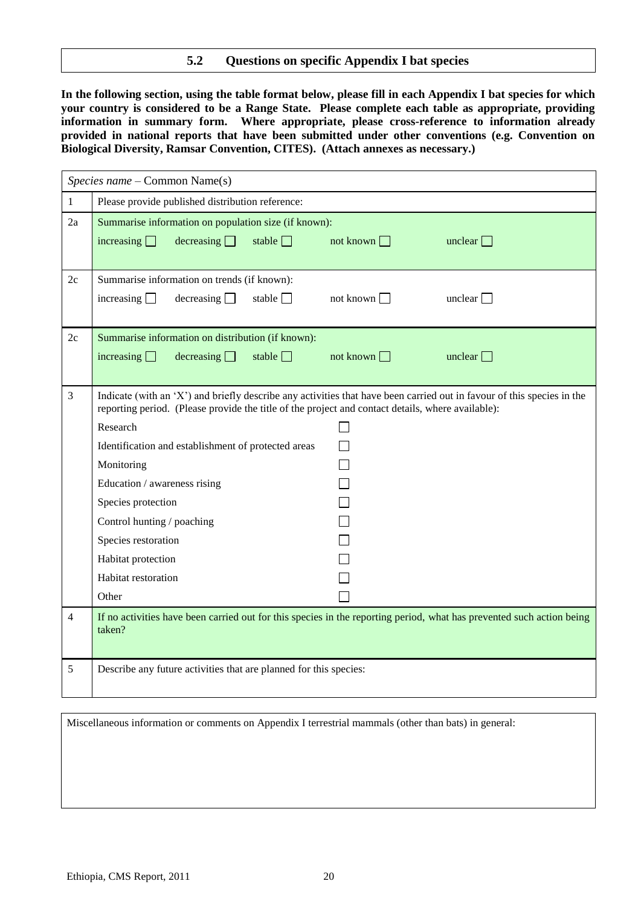#### **5.2 Questions on specific Appendix I bat species**

**In the following section, using the table format below, please fill in each Appendix I bat species for which your country is considered to be a Range State. Please complete each table as appropriate, providing information in summary form. Where appropriate, please cross-reference to information already provided in national reports that have been submitted under other conventions (e.g. Convention on Biological Diversity, Ramsar Convention, CITES). (Attach annexes as necessary.)**

|                | Species name - Common Name(s)                                                                                                                                                                                               |  |  |
|----------------|-----------------------------------------------------------------------------------------------------------------------------------------------------------------------------------------------------------------------------|--|--|
| $\mathbf{1}$   | Please provide published distribution reference:                                                                                                                                                                            |  |  |
| 2a             | Summarise information on population size (if known):                                                                                                                                                                        |  |  |
|                | decreasing<br>stable $\Box$<br>increasing $\Box$<br>not known $\Box$<br>unclear $\Box$                                                                                                                                      |  |  |
| 2c             | Summarise information on trends (if known):                                                                                                                                                                                 |  |  |
|                | stable $\Box$<br>not known $\Box$<br>increasing $\Box$<br>$\alpha$ decreasing $\Box$<br>unclear $\Box$                                                                                                                      |  |  |
| 2c             | Summarise information on distribution (if known):                                                                                                                                                                           |  |  |
|                | stable $\Box$<br>increasing $\Box$<br>decreasing<br>not known $\Box$<br>unclear $\Box$                                                                                                                                      |  |  |
|                |                                                                                                                                                                                                                             |  |  |
| 3              | Indicate (with an 'X') and briefly describe any activities that have been carried out in favour of this species in the<br>reporting period. (Please provide the title of the project and contact details, where available): |  |  |
|                | Research                                                                                                                                                                                                                    |  |  |
|                | Identification and establishment of protected areas                                                                                                                                                                         |  |  |
|                | Monitoring                                                                                                                                                                                                                  |  |  |
|                | Education / awareness rising                                                                                                                                                                                                |  |  |
|                | Species protection                                                                                                                                                                                                          |  |  |
|                | Control hunting / poaching                                                                                                                                                                                                  |  |  |
|                | Species restoration                                                                                                                                                                                                         |  |  |
|                | Habitat protection                                                                                                                                                                                                          |  |  |
|                | Habitat restoration                                                                                                                                                                                                         |  |  |
|                | Other                                                                                                                                                                                                                       |  |  |
| $\overline{4}$ | If no activities have been carried out for this species in the reporting period, what has prevented such action being<br>taken?                                                                                             |  |  |
| 5              | Describe any future activities that are planned for this species:                                                                                                                                                           |  |  |

Miscellaneous information or comments on Appendix I terrestrial mammals (other than bats) in general: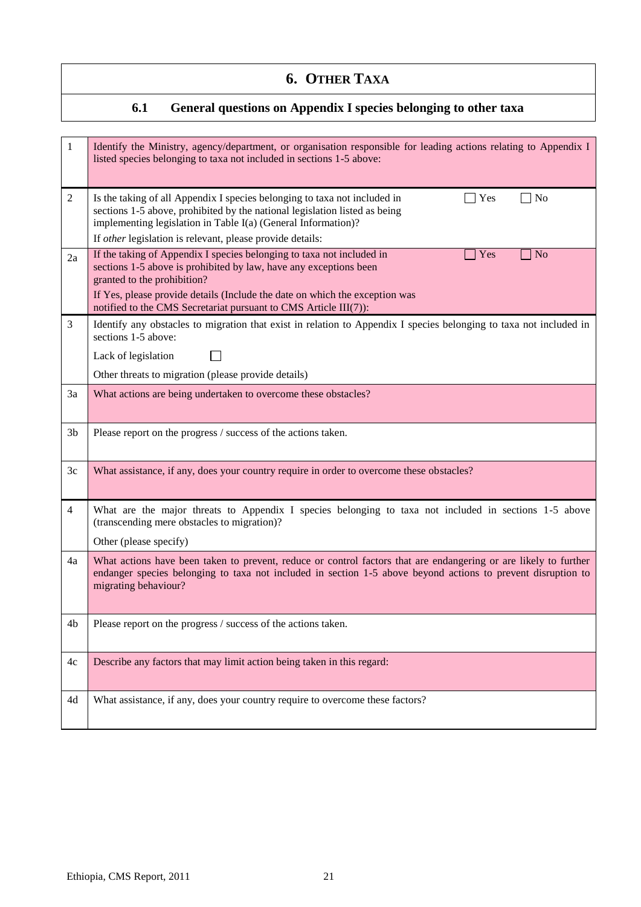### **6. OTHER TAXA**

### **6.1 General questions on Appendix I species belonging to other taxa**

| 1              | Identify the Ministry, agency/department, or organisation responsible for leading actions relating to Appendix I<br>listed species belonging to taxa not included in sections 1-5 above:                                                                                                                            |
|----------------|---------------------------------------------------------------------------------------------------------------------------------------------------------------------------------------------------------------------------------------------------------------------------------------------------------------------|
| 2              | Is the taking of all Appendix I species belonging to taxa not included in<br>$\exists$ Yes<br>$\Box$ No<br>sections 1-5 above, prohibited by the national legislation listed as being<br>implementing legislation in Table I(a) (General Information)?<br>If other legislation is relevant, please provide details: |
| 2a             | If the taking of Appendix I species belonging to taxa not included in<br>Yes<br>N <sub>o</sub><br>sections 1-5 above is prohibited by law, have any exceptions been<br>granted to the prohibition?                                                                                                                  |
|                | If Yes, please provide details (Include the date on which the exception was<br>notified to the CMS Secretariat pursuant to CMS Article III(7)):                                                                                                                                                                     |
| 3              | Identify any obstacles to migration that exist in relation to Appendix I species belonging to taxa not included in<br>sections 1-5 above:                                                                                                                                                                           |
|                | Lack of legislation                                                                                                                                                                                                                                                                                                 |
|                | Other threats to migration (please provide details)                                                                                                                                                                                                                                                                 |
| 3a             | What actions are being undertaken to overcome these obstacles?                                                                                                                                                                                                                                                      |
| 3 <sub>b</sub> | Please report on the progress / success of the actions taken.                                                                                                                                                                                                                                                       |
| 3c             | What assistance, if any, does your country require in order to overcome these obstacles?                                                                                                                                                                                                                            |
| 4              | What are the major threats to Appendix I species belonging to taxa not included in sections 1-5 above<br>(transcending mere obstacles to migration)?                                                                                                                                                                |
|                | Other (please specify)                                                                                                                                                                                                                                                                                              |
| 4a             | What actions have been taken to prevent, reduce or control factors that are endangering or are likely to further<br>endanger species belonging to taxa not included in section 1-5 above beyond actions to prevent disruption to<br>migrating behaviour?                                                            |
| 4b             | Please report on the progress / success of the actions taken.                                                                                                                                                                                                                                                       |
| 4c             | Describe any factors that may limit action being taken in this regard:                                                                                                                                                                                                                                              |
| 4d             | What assistance, if any, does your country require to overcome these factors?                                                                                                                                                                                                                                       |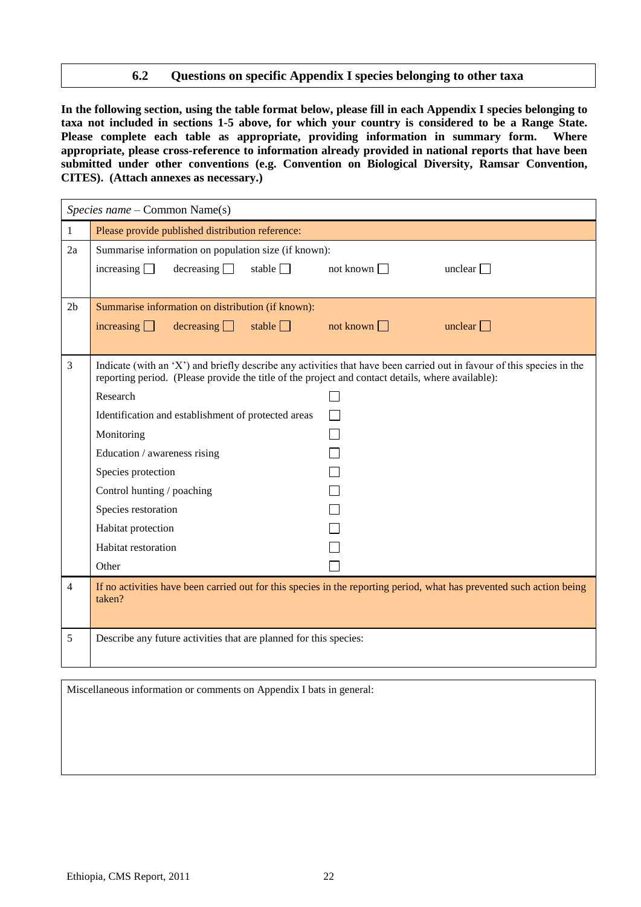#### **6.2 Questions on specific Appendix I species belonging to other taxa**

**In the following section, using the table format below, please fill in each Appendix I species belonging to taxa not included in sections 1-5 above, for which your country is considered to be a Range State. Please complete each table as appropriate, providing information in summary form. Where appropriate, please cross-reference to information already provided in national reports that have been submitted under other conventions (e.g. Convention on Biological Diversity, Ramsar Convention, CITES). (Attach annexes as necessary.)**

|                | Species name – Common Name(s)                                                                                                                                                                                               |                  |                |
|----------------|-----------------------------------------------------------------------------------------------------------------------------------------------------------------------------------------------------------------------------|------------------|----------------|
| $\mathbf{1}$   | Please provide published distribution reference:                                                                                                                                                                            |                  |                |
| 2a             | Summarise information on population size (if known):                                                                                                                                                                        |                  |                |
|                | stable $\Box$<br>increasing $\Box$<br>decreasing                                                                                                                                                                            | not known $\Box$ | unclear $\Box$ |
|                |                                                                                                                                                                                                                             |                  |                |
| 2 <sub>b</sub> | Summarise information on distribution (if known):                                                                                                                                                                           |                  |                |
|                | increasing $\Box$<br>decreasing $\Box$<br>stable $\Box$                                                                                                                                                                     | not known $\Box$ | unclear $\Box$ |
|                |                                                                                                                                                                                                                             |                  |                |
| 3              | Indicate (with an 'X') and briefly describe any activities that have been carried out in favour of this species in the<br>reporting period. (Please provide the title of the project and contact details, where available): |                  |                |
|                | Research                                                                                                                                                                                                                    |                  |                |
|                | Identification and establishment of protected areas                                                                                                                                                                         |                  |                |
|                | Monitoring                                                                                                                                                                                                                  |                  |                |
|                | Education / awareness rising                                                                                                                                                                                                |                  |                |
|                | Species protection                                                                                                                                                                                                          |                  |                |
|                | Control hunting / poaching                                                                                                                                                                                                  |                  |                |
|                | Species restoration                                                                                                                                                                                                         |                  |                |
|                | Habitat protection                                                                                                                                                                                                          |                  |                |
|                | Habitat restoration                                                                                                                                                                                                         |                  |                |
|                | Other                                                                                                                                                                                                                       |                  |                |
| $\overline{4}$ | If no activities have been carried out for this species in the reporting period, what has prevented such action being<br>taken?                                                                                             |                  |                |
| 5              | Describe any future activities that are planned for this species:                                                                                                                                                           |                  |                |

Miscellaneous information or comments on Appendix I bats in general: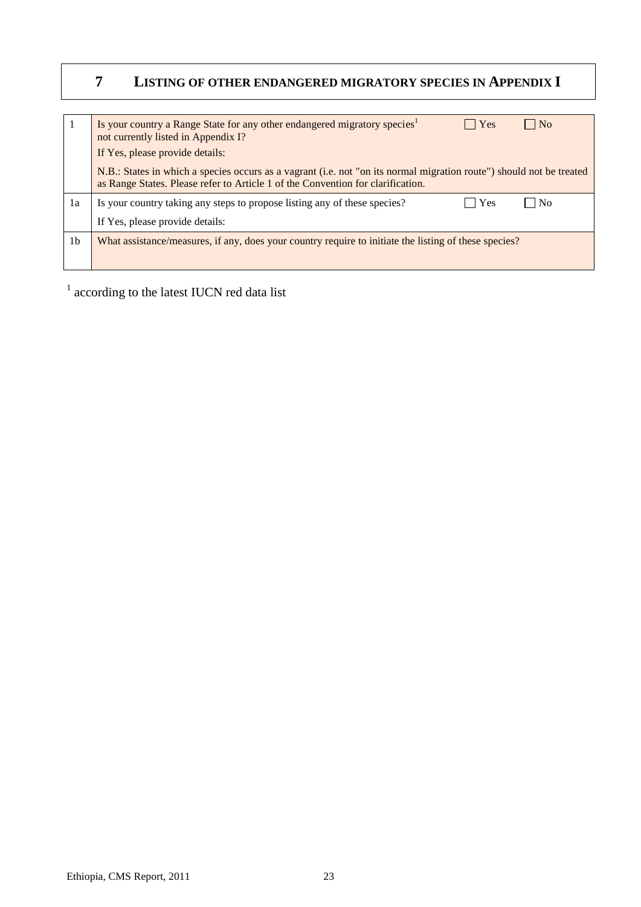## **7 LISTING OF OTHER ENDANGERED MIGRATORY SPECIES IN APPENDIX I**

| 1              | Is your country a Range State for any other endangered migratory species <sup>1</sup><br>Yes<br>l No<br>not currently listed in Appendix I?<br>If Yes, please provide details:                          |
|----------------|---------------------------------------------------------------------------------------------------------------------------------------------------------------------------------------------------------|
|                | N.B.: States in which a species occurs as a vagrant (i.e. not "on its normal migration route") should not be treated<br>as Range States. Please refer to Article 1 of the Convention for clarification. |
| 1a             | Is your country taking any steps to propose listing any of these species?<br>Yes<br>N <sub>0</sub>                                                                                                      |
|                | If Yes, please provide details:                                                                                                                                                                         |
| 1 <sub>b</sub> | What assistance/measures, if any, does your country require to initiate the listing of these species?                                                                                                   |

<sup>1</sup> according to the latest IUCN red data list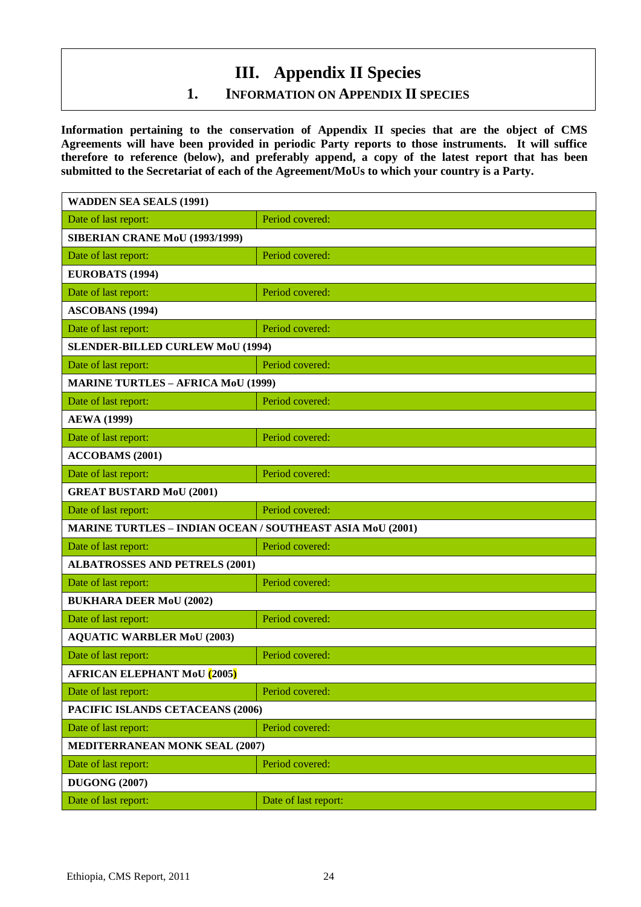# **III. Appendix II Species**

#### **1. INFORMATION ON APPENDIX II SPECIES**

**Information pertaining to the conservation of Appendix II species that are the object of CMS Agreements will have been provided in periodic Party reports to those instruments. It will suffice therefore to reference (below), and preferably append, a copy of the latest report that has been submitted to the Secretariat of each of the Agreement/MoUs to which your country is a Party.**

| <b>WADDEN SEA SEALS (1991)</b>                                   |                 |  |
|------------------------------------------------------------------|-----------------|--|
| Date of last report:                                             | Period covered: |  |
| <b>SIBERIAN CRANE MoU (1993/1999)</b>                            |                 |  |
| Date of last report:                                             | Period covered: |  |
| EUROBATS (1994)                                                  |                 |  |
| Date of last report:                                             | Period covered: |  |
| <b>ASCOBANS (1994)</b>                                           |                 |  |
| Date of last report:                                             | Period covered: |  |
| <b>SLENDER-BILLED CURLEW MoU (1994)</b>                          |                 |  |
| Date of last report:                                             | Period covered: |  |
| <b>MARINE TURTLES - AFRICA MoU (1999)</b>                        |                 |  |
| Date of last report:                                             | Period covered: |  |
| <b>AEWA</b> (1999)                                               |                 |  |
| Date of last report:                                             | Period covered: |  |
| <b>ACCOBAMS</b> (2001)                                           |                 |  |
| Date of last report:                                             | Period covered: |  |
| <b>GREAT BUSTARD MoU (2001)</b>                                  |                 |  |
|                                                                  |                 |  |
| Date of last report:                                             | Period covered: |  |
| <b>MARINE TURTLES - INDIAN OCEAN / SOUTHEAST ASIA MoU (2001)</b> |                 |  |
| Date of last report:                                             | Period covered: |  |
| <b>ALBATROSSES AND PETRELS (2001)</b>                            |                 |  |
| Date of last report:                                             | Period covered: |  |
| <b>BUKHARA DEER MoU (2002)</b>                                   |                 |  |
| Date of last report:                                             | Period covered: |  |
| <b>AQUATIC WARBLER MoU (2003)</b>                                |                 |  |
| Date of last report:                                             | Period covered: |  |
| <b>AFRICAN ELEPHANT MoU (2005)</b>                               |                 |  |
| Date of last report:                                             | Period covered: |  |
| PACIFIC ISLANDS CETACEANS (2006)                                 |                 |  |
| Date of last report:                                             | Period covered: |  |
| <b>MEDITERRANEAN MONK SEAL (2007)</b>                            |                 |  |
| Date of last report:                                             | Period covered: |  |
| <b>DUGONG (2007)</b>                                             |                 |  |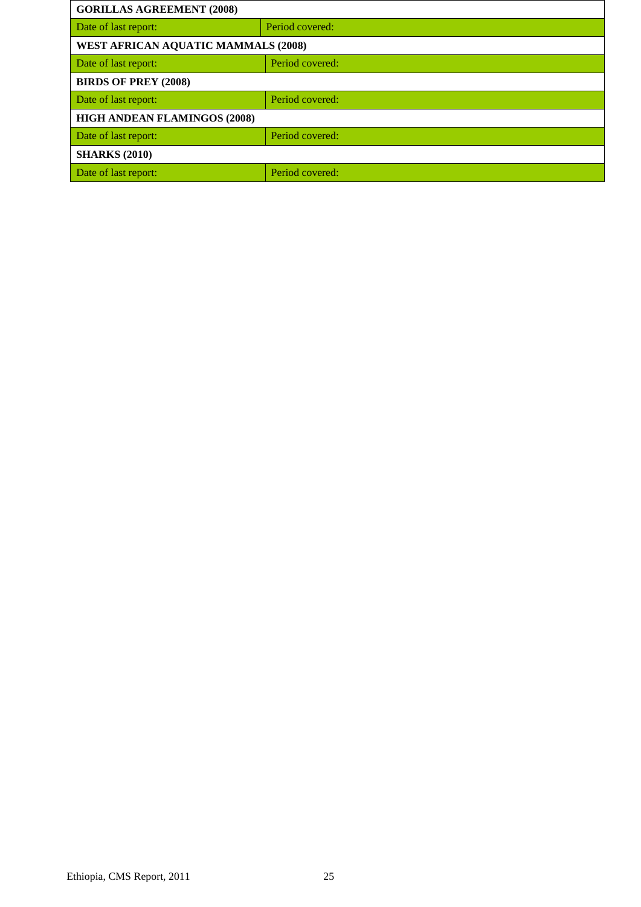| <b>GORILLAS AGREEMENT (2008)</b>           |                 |  |
|--------------------------------------------|-----------------|--|
| Date of last report:                       | Period covered: |  |
| <b>WEST AFRICAN AQUATIC MAMMALS (2008)</b> |                 |  |
| Date of last report:                       | Period covered: |  |
| <b>BIRDS OF PREY (2008)</b>                |                 |  |
| Date of last report:                       | Period covered: |  |
| <b>HIGH ANDEAN FLAMINGOS (2008)</b>        |                 |  |
| Date of last report:                       | Period covered: |  |
| <b>SHARKS (2010)</b>                       |                 |  |
| Date of last report:                       | Period covered: |  |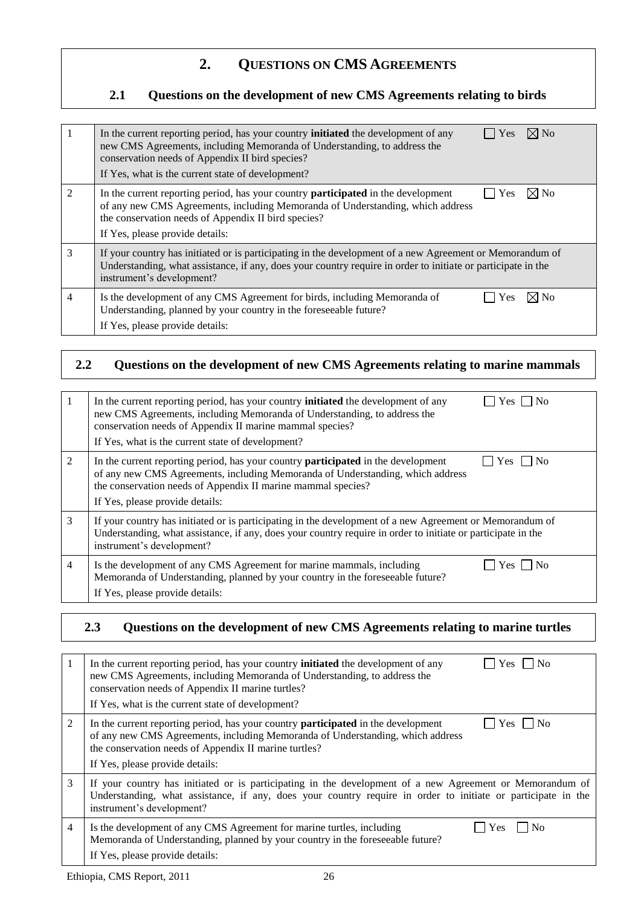### **2. QUESTIONS ON CMS AGREEMENTS**

#### **2.1 Questions on the development of new CMS Agreements relating to birds**

|                             | $\boxtimes$ No<br>In the current reporting period, has your country <b>initiated</b> the development of any<br>Yes<br>new CMS Agreements, including Memoranda of Understanding, to address the<br>conservation needs of Appendix II bird species?<br>If Yes, what is the current state of development? |
|-----------------------------|--------------------------------------------------------------------------------------------------------------------------------------------------------------------------------------------------------------------------------------------------------------------------------------------------------|
| $\mathcal{D}_{\mathcal{L}}$ | In the current reporting period, has your country <b>participated</b> in the development<br>$\boxtimes$ No<br><b>Yes</b><br>of any new CMS Agreements, including Memoranda of Understanding, which address<br>the conservation needs of Appendix II bird species?<br>If Yes, please provide details:   |
| 3                           | If your country has initiated or is participating in the development of a new Agreement or Memorandum of<br>Understanding, what assistance, if any, does your country require in order to initiate or participate in the<br>instrument's development?                                                  |
| 4                           | Is the development of any CMS Agreement for birds, including Memoranda of<br>Yes<br>Understanding, planned by your country in the foreseeable future?<br>If Yes, please provide details:                                                                                                               |

### **2.2 Questions on the development of new CMS Agreements relating to marine mammals**

|                | $\overline{\rm No}$<br>In the current reporting period, has your country <b>initiated</b> the development of any<br>Yes 1<br>new CMS Agreements, including Memoranda of Understanding, to address the<br>conservation needs of Appendix II marine mammal species?<br>If Yes, what is the current state of development? |
|----------------|------------------------------------------------------------------------------------------------------------------------------------------------------------------------------------------------------------------------------------------------------------------------------------------------------------------------|
| 2              | In the current reporting period, has your country <b>participated</b> in the development<br>$\overline{\rm N}$<br><b>Yes</b><br>of any new CMS Agreements, including Memoranda of Understanding, which address<br>the conservation needs of Appendix II marine mammal species?<br>If Yes, please provide details:      |
| 3              | If your country has initiated or is participating in the development of a new Agreement or Memorandum of<br>Understanding, what assistance, if any, does your country require in order to initiate or participate in the<br>instrument's development?                                                                  |
| $\overline{4}$ | Is the development of any CMS Agreement for marine mammals, including<br>$\overline{\phantom{a}}$ No<br>Yes 1<br>Memoranda of Understanding, planned by your country in the foreseeable future?<br>If Yes, please provide details:                                                                                     |

### **2.3 Questions on the development of new CMS Agreements relating to marine turtles**

| $\mathbf{I}$   | In the current reporting period, has your country <b>initiated</b> the development of any<br>Yes     No<br>new CMS Agreements, including Memoranda of Understanding, to address the<br>conservation needs of Appendix II marine turtles?<br>If Yes, what is the current state of development? |
|----------------|-----------------------------------------------------------------------------------------------------------------------------------------------------------------------------------------------------------------------------------------------------------------------------------------------|
| 2              | In the current reporting period, has your country <b>participated</b> in the development<br>Yes<br>1 No<br>of any new CMS Agreements, including Memoranda of Understanding, which address<br>the conservation needs of Appendix II marine turtles?<br>If Yes, please provide details:         |
| 3              | If your country has initiated or is participating in the development of a new Agreement or Memorandum of<br>Understanding, what assistance, if any, does your country require in order to initiate or participate in the<br>instrument's development?                                         |
| $\overline{4}$ | No<br>Is the development of any CMS Agreement for marine turtles, including<br>Yes<br>Memoranda of Understanding, planned by your country in the foreseeable future?<br>If Yes, please provide details:                                                                                       |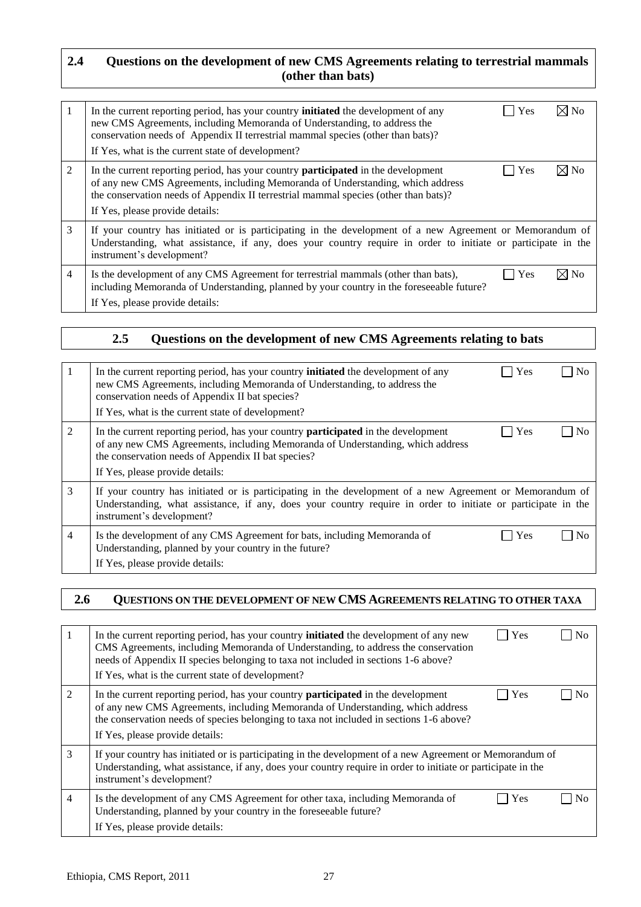#### **2.4 Questions on the development of new CMS Agreements relating to terrestrial mammals (other than bats)**

|                | In the current reporting period, has your country <b>initiated</b> the development of any<br>new CMS Agreements, including Memoranda of Understanding, to address the<br>conservation needs of Appendix II terrestrial mammal species (other than bats)?<br>If Yes, what is the current state of development? | Yes |        |
|----------------|---------------------------------------------------------------------------------------------------------------------------------------------------------------------------------------------------------------------------------------------------------------------------------------------------------------|-----|--------|
| $\overline{2}$ | In the current reporting period, has your country <b>participated</b> in the development<br>of any new CMS Agreements, including Memoranda of Understanding, which address<br>the conservation needs of Appendix II terrestrial mammal species (other than bats)?<br>If Yes, please provide details:          | Yes | ∣Xl No |
| 3              | If your country has initiated or is participating in the development of a new Agreement or Memorandum of<br>Understanding, what assistance, if any, does your country require in order to initiate or participate in the<br>instrument's development?                                                         |     |        |
| $\overline{4}$ | Is the development of any CMS Agreement for terrestrial mammals (other than bats),<br>including Memoranda of Understanding, planned by your country in the foreseeable future?<br>If Yes, please provide details:                                                                                             | Yes |        |

#### **2.5 Questions on the development of new CMS Agreements relating to bats**

| 1              | Yes<br>In the current reporting period, has your country <b>initiated</b> the development of any<br>new CMS Agreements, including Memoranda of Understanding, to address the<br>conservation needs of Appendix II bat species?<br>If Yes, what is the current state of development? | N <sub>0</sub> |
|----------------|-------------------------------------------------------------------------------------------------------------------------------------------------------------------------------------------------------------------------------------------------------------------------------------|----------------|
| $\mathfrak{D}$ | Yes<br>In the current reporting period, has your country <b>participated</b> in the development<br>of any new CMS Agreements, including Memoranda of Understanding, which address<br>the conservation needs of Appendix II bat species?<br>If Yes, please provide details:          |                |
| 3              | If your country has initiated or is participating in the development of a new Agreement or Memorandum of<br>Understanding, what assistance, if any, does your country require in order to initiate or participate in the<br>instrument's development?                               |                |
| 4              | Yes<br>Is the development of any CMS Agreement for bats, including Memoranda of<br>Understanding, planned by your country in the future?<br>If Yes, please provide details:                                                                                                         |                |

#### **2.6 QUESTIONS ON THE DEVELOPMENT OF NEW CMS AGREEMENTS RELATING TO OTHER TAXA**

|                | In the current reporting period, has your country <b>initiated</b> the development of any new<br>Yes<br>Nο<br>CMS Agreements, including Memoranda of Understanding, to address the conservation<br>needs of Appendix II species belonging to taxa not included in sections 1-6 above?<br>If Yes, what is the current state of development? |
|----------------|--------------------------------------------------------------------------------------------------------------------------------------------------------------------------------------------------------------------------------------------------------------------------------------------------------------------------------------------|
| 2              | In the current reporting period, has your country <b>participated</b> in the development<br>Yes<br>Nο<br>of any new CMS Agreements, including Memoranda of Understanding, which address<br>the conservation needs of species belonging to taxa not included in sections 1-6 above?<br>If Yes, please provide details:                      |
| 3              | If your country has initiated or is participating in the development of a new Agreement or Memorandum of<br>Understanding, what assistance, if any, does your country require in order to initiate or participate in the<br>instrument's development?                                                                                      |
| $\overline{4}$ | Is the development of any CMS Agreement for other taxa, including Memoranda of<br>Yes<br>Understanding, planned by your country in the foreseeable future?<br>If Yes, please provide details:                                                                                                                                              |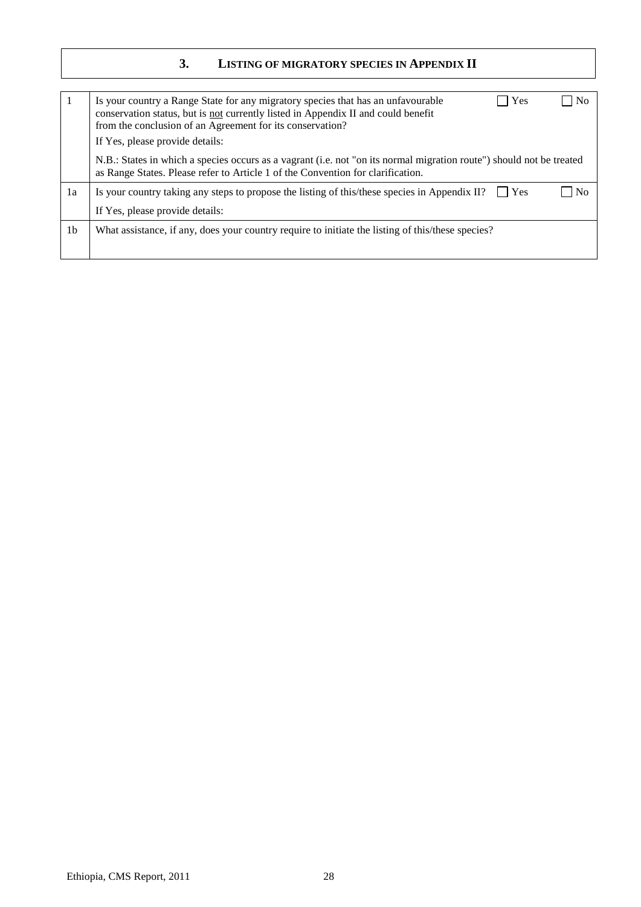#### **3. LISTING OF MIGRATORY SPECIES IN APPENDIX II**

| 1              | Is your country a Range State for any migratory species that has an unfavourable<br>$\vert$ Yes<br>No<br>conservation status, but is not currently listed in Appendix II and could benefit<br>from the conclusion of an Agreement for its conservation?<br>If Yes, please provide details: |
|----------------|--------------------------------------------------------------------------------------------------------------------------------------------------------------------------------------------------------------------------------------------------------------------------------------------|
|                | N.B.: States in which a species occurs as a vagrant (i.e. not "on its normal migration route") should not be treated<br>as Range States. Please refer to Article 1 of the Convention for clarification.                                                                                    |
| 1a             | Is your country taking any steps to propose the listing of this/these species in Appendix II?<br>N <sub>0</sub><br>l Yes                                                                                                                                                                   |
|                | If Yes, please provide details:                                                                                                                                                                                                                                                            |
| 1 <sub>b</sub> | What assistance, if any, does your country require to initiate the listing of this/these species?                                                                                                                                                                                          |
|                |                                                                                                                                                                                                                                                                                            |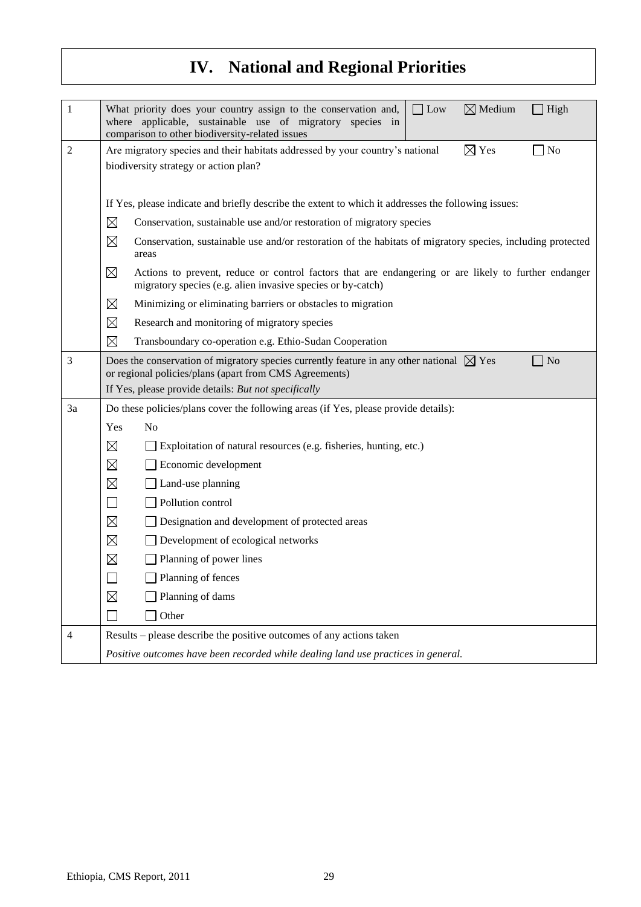# **IV. National and Regional Priorities**

| 1              | $\boxtimes$ Medium<br>What priority does your country assign to the conservation and,<br>$ $ Low<br>$\Box$ High<br>where applicable, sustainable use of migratory species in<br>comparison to other biodiversity-related issues                                                                                                                                                                                                                                                                                                                                                                                                                             |
|----------------|-------------------------------------------------------------------------------------------------------------------------------------------------------------------------------------------------------------------------------------------------------------------------------------------------------------------------------------------------------------------------------------------------------------------------------------------------------------------------------------------------------------------------------------------------------------------------------------------------------------------------------------------------------------|
| $\overline{2}$ | $\boxtimes$ Yes<br>Are migratory species and their habitats addressed by your country's national<br>$\Box$ No<br>biodiversity strategy or action plan?                                                                                                                                                                                                                                                                                                                                                                                                                                                                                                      |
|                | If Yes, please indicate and briefly describe the extent to which it addresses the following issues:<br>$\boxtimes$<br>Conservation, sustainable use and/or restoration of migratory species<br>$\boxtimes$<br>Conservation, sustainable use and/or restoration of the habitats of migratory species, including protected<br>areas<br>⊠<br>Actions to prevent, reduce or control factors that are endangering or are likely to further endanger<br>migratory species (e.g. alien invasive species or by-catch)<br>$\boxtimes$<br>Minimizing or eliminating barriers or obstacles to migration<br>$\boxtimes$<br>Research and monitoring of migratory species |
|                | $\boxtimes$<br>Transboundary co-operation e.g. Ethio-Sudan Cooperation                                                                                                                                                                                                                                                                                                                                                                                                                                                                                                                                                                                      |
| 3              | $\blacksquare$ No<br>Does the conservation of migratory species currently feature in any other national $\boxtimes$ Yes<br>or regional policies/plans (apart from CMS Agreements)<br>If Yes, please provide details: But not specifically                                                                                                                                                                                                                                                                                                                                                                                                                   |
| 3a             | Do these policies/plans cover the following areas (if Yes, please provide details):                                                                                                                                                                                                                                                                                                                                                                                                                                                                                                                                                                         |
|                | Yes<br>No                                                                                                                                                                                                                                                                                                                                                                                                                                                                                                                                                                                                                                                   |
|                | $\boxtimes$<br>Exploitation of natural resources (e.g. fisheries, hunting, etc.)                                                                                                                                                                                                                                                                                                                                                                                                                                                                                                                                                                            |
|                | $\boxtimes$<br>Economic development                                                                                                                                                                                                                                                                                                                                                                                                                                                                                                                                                                                                                         |
|                | $\boxtimes$<br>Land-use planning                                                                                                                                                                                                                                                                                                                                                                                                                                                                                                                                                                                                                            |
|                | $\overline{\phantom{a}}$<br>Pollution control                                                                                                                                                                                                                                                                                                                                                                                                                                                                                                                                                                                                               |
|                | $\boxtimes$<br>Designation and development of protected areas                                                                                                                                                                                                                                                                                                                                                                                                                                                                                                                                                                                               |
|                | $\boxtimes$<br>Development of ecological networks                                                                                                                                                                                                                                                                                                                                                                                                                                                                                                                                                                                                           |
|                | $\boxtimes$<br>Planning of power lines                                                                                                                                                                                                                                                                                                                                                                                                                                                                                                                                                                                                                      |
|                | Planning of fences                                                                                                                                                                                                                                                                                                                                                                                                                                                                                                                                                                                                                                          |
|                | $\boxtimes$<br>Planning of dams                                                                                                                                                                                                                                                                                                                                                                                                                                                                                                                                                                                                                             |
|                | $\exists$ Other                                                                                                                                                                                                                                                                                                                                                                                                                                                                                                                                                                                                                                             |
| 4              | Results – please describe the positive outcomes of any actions taken                                                                                                                                                                                                                                                                                                                                                                                                                                                                                                                                                                                        |
|                | Positive outcomes have been recorded while dealing land use practices in general.                                                                                                                                                                                                                                                                                                                                                                                                                                                                                                                                                                           |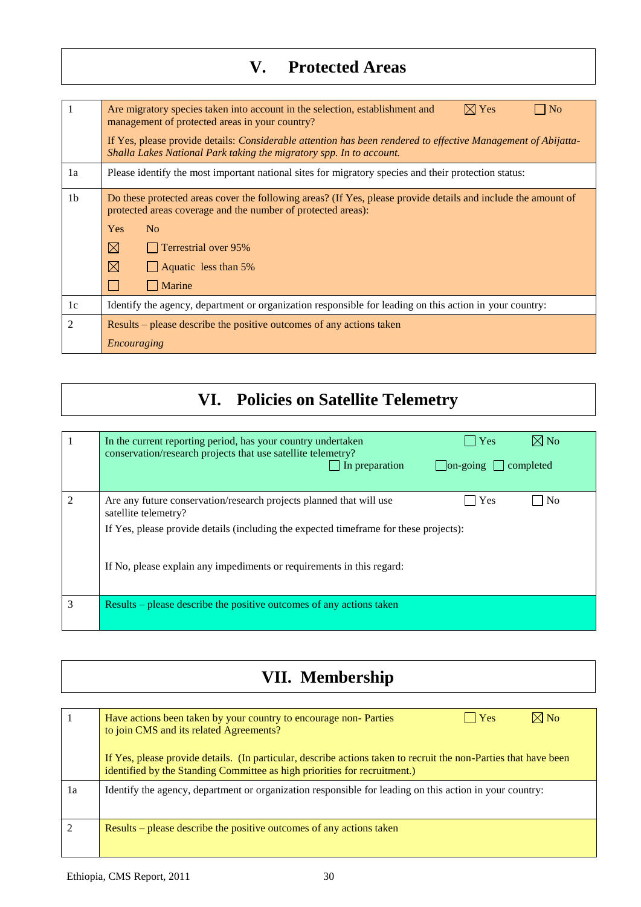# **V. Protected Areas**

|                | $\boxtimes$ Yes<br>Are migratory species taken into account in the selection, establishment and<br>N <sub>o</sub><br>management of protected areas in your country?<br>If Yes, please provide details: <i>Considerable attention has been rendered to effective Management of Abijatta</i> -<br>Shalla Lakes National Park taking the migratory spp. In to account. |
|----------------|---------------------------------------------------------------------------------------------------------------------------------------------------------------------------------------------------------------------------------------------------------------------------------------------------------------------------------------------------------------------|
| 1a             | Please identify the most important national sites for migratory species and their protection status:                                                                                                                                                                                                                                                                |
| 1 <sub>b</sub> | Do these protected areas cover the following areas? (If Yes, please provide details and include the amount of<br>protected areas coverage and the number of protected areas):<br><b>Yes</b><br>No<br>$\boxtimes$<br><b>Terrestrial over 95%</b><br>$\boxtimes$<br>Aquatic less than 5%<br>Marine                                                                    |
| 1c             | Identify the agency, department or organization responsible for leading on this action in your country:                                                                                                                                                                                                                                                             |
| 2              | Results – please describe the positive outcomes of any actions taken<br>Encouraging                                                                                                                                                                                                                                                                                 |

# **VI. Policies on Satellite Telemetry**

|   | $\boxtimes$ No<br>In the current reporting period, has your country undertaken<br>Yes<br>conservation/research projects that use satellite telemetry?<br>$\Box$ on-going $\Box$ completed<br>$\Box$ In preparation                                                                      |
|---|-----------------------------------------------------------------------------------------------------------------------------------------------------------------------------------------------------------------------------------------------------------------------------------------|
|   | N <sub>0</sub><br>Are any future conservation/research projects planned that will use<br>Yes<br>satellite telemetry?<br>If Yes, please provide details (including the expected time frame for these projects):<br>If No, please explain any impediments or requirements in this regard: |
| 3 | Results – please describe the positive outcomes of any actions taken                                                                                                                                                                                                                    |

# **VII. Membership**

|    | $\boxtimes$ No<br>$\vert$ Yes<br>Have actions been taken by your country to encourage non-Parties<br>to join CMS and its related Agreements?                                                  |
|----|-----------------------------------------------------------------------------------------------------------------------------------------------------------------------------------------------|
|    | If Yes, please provide details. (In particular, describe actions taken to recruit the non-Parties that have been<br>identified by the Standing Committee as high priorities for recruitment.) |
| 1a | Identify the agency, department or organization responsible for leading on this action in your country:                                                                                       |
| 2  | Results – please describe the positive outcomes of any actions taken                                                                                                                          |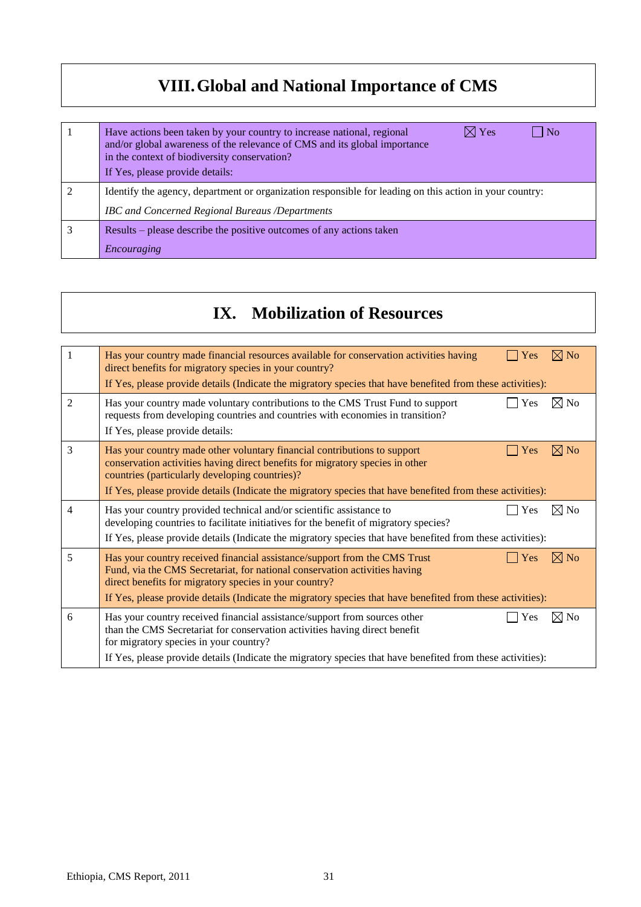# **VIII.Global and National Importance of CMS**

| $\boxtimes$ Yes<br>Have actions been taken by your country to increase national, regional<br>-No<br>and/or global awareness of the relevance of CMS and its global importance<br>in the context of biodiversity conservation?<br>If Yes, please provide details: |
|------------------------------------------------------------------------------------------------------------------------------------------------------------------------------------------------------------------------------------------------------------------|
| Identify the agency, department or organization responsible for leading on this action in your country:                                                                                                                                                          |
| <b>IBC</b> and Concerned Regional Bureaus /Departments                                                                                                                                                                                                           |
| Results – please describe the positive outcomes of any actions taken                                                                                                                                                                                             |
| Encouraging                                                                                                                                                                                                                                                      |

## **IX. Mobilization of Resources**

| 1              | $\boxtimes$ No<br>Has your country made financial resources available for conservation activities having<br>Yes<br>direct benefits for migratory species in your country?<br>If Yes, please provide details (Indicate the migratory species that have benefited from these activities):                                                                   |
|----------------|-----------------------------------------------------------------------------------------------------------------------------------------------------------------------------------------------------------------------------------------------------------------------------------------------------------------------------------------------------------|
| 2              | $\boxtimes$ No<br>Has your country made voluntary contributions to the CMS Trust Fund to support<br>Yes<br>requests from developing countries and countries with economies in transition?<br>If Yes, please provide details:                                                                                                                              |
| 3              | $\boxtimes$ No<br>Has your country made other voluntary financial contributions to support<br>Yes<br>conservation activities having direct benefits for migratory species in other<br>countries (particularly developing countries)?<br>If Yes, please provide details (Indicate the migratory species that have benefited from these activities):        |
|                |                                                                                                                                                                                                                                                                                                                                                           |
| $\overline{4}$ | $\boxtimes$ No<br>Has your country provided technical and/or scientific assistance to<br>Yes<br>developing countries to facilitate initiatives for the benefit of migratory species?                                                                                                                                                                      |
|                | If Yes, please provide details (Indicate the migratory species that have benefited from these activities):                                                                                                                                                                                                                                                |
| 5              | $\nabla$ No<br>$ $ Yes<br>Has your country received financial assistance/support from the CMS Trust<br>Fund, via the CMS Secretariat, for national conservation activities having<br>direct benefits for migratory species in your country?<br>If Yes, please provide details (Indicate the migratory species that have benefited from these activities): |
| 6              | $\boxtimes$ No<br>Has your country received financial assistance/support from sources other<br>Yes<br>than the CMS Secretariat for conservation activities having direct benefit<br>for migratory species in your country?<br>If Yes, please provide details (Indicate the migratory species that have benefited from these activities):                  |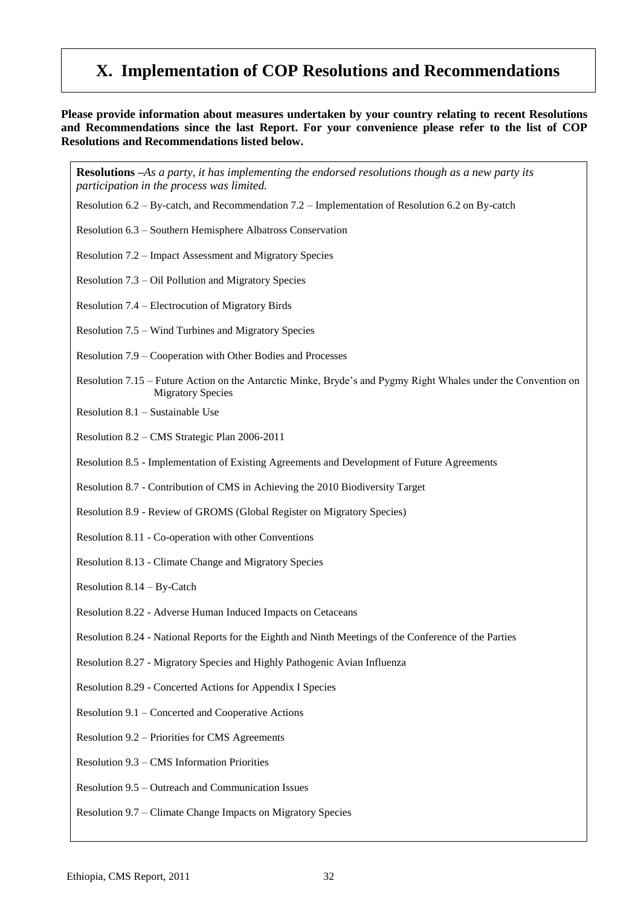## **X. Implementation of COP Resolutions and Recommendations**

**Please provide information about measures undertaken by your country relating to recent Resolutions and Recommendations since the last Report. For your convenience please refer to the list of COP Resolutions and Recommendations listed below.**

**Resolutions –***As a party, it has implementing the endorsed resolutions though as a new party its participation in the process was limited.*

Resolution 6.2 – By-catch, and Recommendation 7.2 – Implementation of Resolution 6.2 on By-catch

- Resolution 6.3 Southern Hemisphere Albatross Conservation
- Resolution 7.2 Impact Assessment and Migratory Species
- Resolution 7.3 Oil Pollution and Migratory Species
- Resolution 7.4 Electrocution of Migratory Birds
- Resolution 7.5 Wind Turbines and Migratory Species
- Resolution 7.9 Cooperation with Other Bodies and Processes
- Resolution 7.15 Future Action on the Antarctic Minke, Bryde's and Pygmy Right Whales under the Convention on Migratory Species
- Resolution 8.1 Sustainable Use
- Resolution 8.2 CMS Strategic Plan 2006-2011
- Resolution 8.5 Implementation of Existing Agreements and Development of Future Agreements
- Resolution 8.7 Contribution of CMS in Achieving the 2010 Biodiversity Target
- Resolution 8.9 Review of GROMS (Global Register on Migratory Species)
- Resolution 8.11 Co-operation with other Conventions
- Resolution 8.13 Climate Change and Migratory Species
- Resolution 8.14 By-Catch
- Resolution 8.22 Adverse Human Induced Impacts on Cetaceans
- Resolution 8.24 National Reports for the Eighth and Ninth Meetings of the Conference of the Parties
- Resolution 8.27 Migratory Species and Highly Pathogenic Avian Influenza
- Resolution 8.29 Concerted Actions for Appendix I Species
- Resolution 9.1 Concerted and Cooperative Actions
- Resolution 9.2 Priorities for CMS Agreements
- Resolution 9.3 CMS Information Priorities
- Resolution 9.5 Outreach and Communication Issues
- Resolution 9.7 Climate Change Impacts on Migratory Species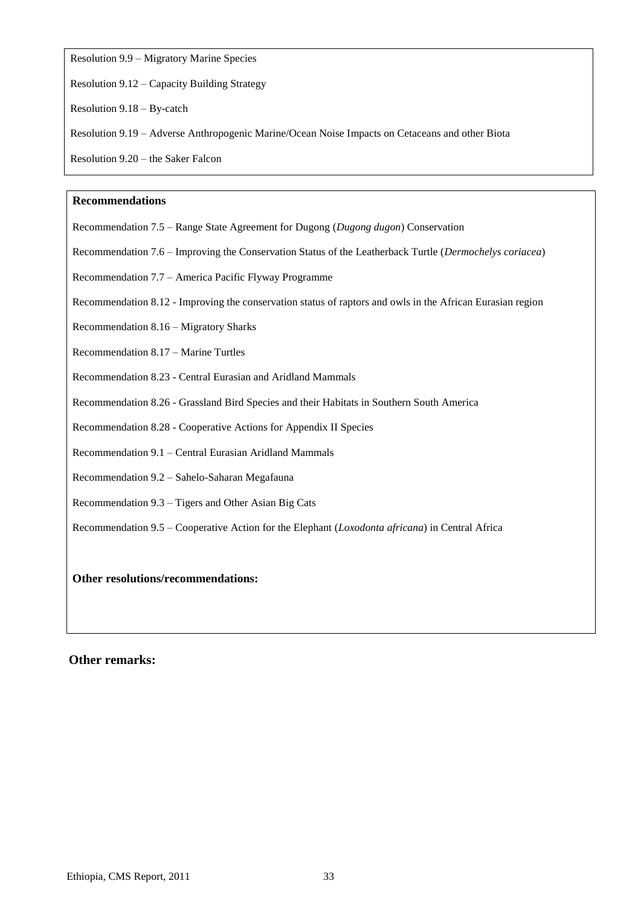Resolution 9.9 – Migratory Marine Species

Resolution 9.12 – Capacity Building Strategy

Resolution 9.18 – By-catch

Resolution 9.19 – Adverse Anthropogenic Marine/Ocean Noise Impacts on Cetaceans and other Biota

Resolution 9.20 – the Saker Falcon

#### **Recommendations**

Recommendation 7.5 – Range State Agreement for Dugong (*Dugong dugon*) Conservation

Recommendation 7.6 – Improving the Conservation Status of the Leatherback Turtle (*Dermochelys coriacea*)

Recommendation 7.7 – America Pacific Flyway Programme

Recommendation 8.12 - Improving the conservation status of raptors and owls in the African Eurasian region

Recommendation 8.16 – Migratory Sharks

Recommendation 8.17 – Marine Turtles

Recommendation 8.23 - Central Eurasian and Aridland Mammals

Recommendation 8.26 - Grassland Bird Species and their Habitats in Southern South America

Recommendation 8.28 - Cooperative Actions for Appendix II Species

Recommendation 9.1 – Central Eurasian Aridland Mammals

Recommendation 9.2 – Sahelo-Saharan Megafauna

Recommendation 9.3 – Tigers and Other Asian Big Cats

Recommendation 9.5 – Cooperative Action for the Elephant (*Loxodonta africana*) in Central Africa

**Other resolutions/recommendations:**

#### **Other remarks:**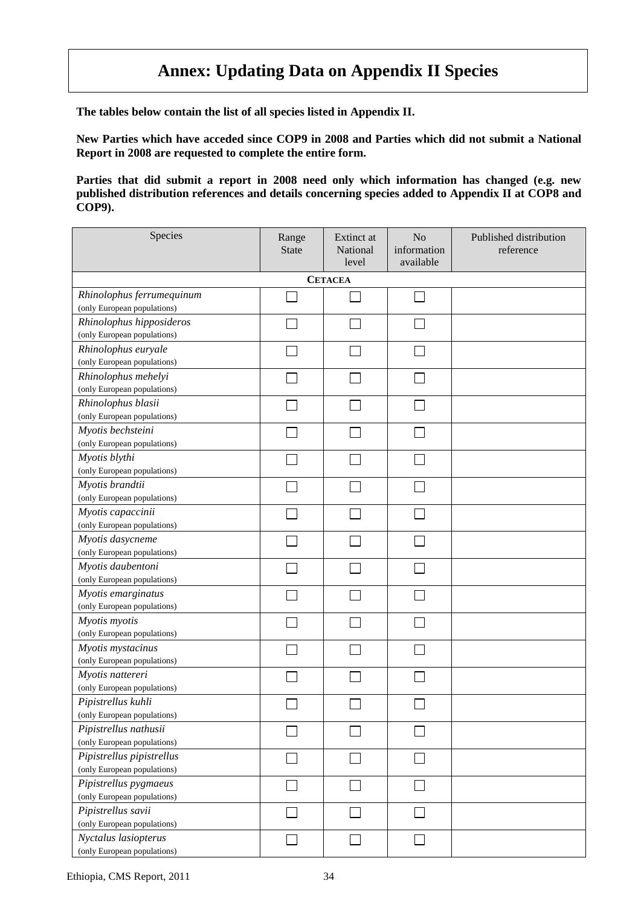## **Annex: Updating Data on Appendix II Species**

**The tables below contain the list of all species listed in Appendix II.**

**New Parties which have acceded since COP9 in 2008 and Parties which did not submit a National Report in 2008 are requested to complete the entire form.**

**Parties that did submit a report in 2008 need only which information has changed (e.g. new published distribution references and details concerning species added to Appendix II at COP8 and COP9).**

| Species                                           | Range<br><b>State</b> | Extinct at<br>National<br>level | N <sub>o</sub><br>information<br>available | Published distribution<br>reference |
|---------------------------------------------------|-----------------------|---------------------------------|--------------------------------------------|-------------------------------------|
|                                                   |                       | <b>CETACEA</b>                  |                                            |                                     |
| Rhinolophus ferrumequinum                         |                       |                                 |                                            |                                     |
| (only European populations)                       |                       |                                 |                                            |                                     |
| Rhinolophus hipposideros                          |                       |                                 |                                            |                                     |
| (only European populations)                       |                       |                                 |                                            |                                     |
| Rhinolophus euryale                               |                       |                                 |                                            |                                     |
| (only European populations)                       |                       |                                 |                                            |                                     |
| Rhinolophus mehelyi                               |                       |                                 |                                            |                                     |
| (only European populations)                       |                       |                                 |                                            |                                     |
| Rhinolophus blasii<br>(only European populations) |                       |                                 |                                            |                                     |
| Myotis bechsteini                                 |                       |                                 |                                            |                                     |
| (only European populations)                       |                       |                                 |                                            |                                     |
| Myotis blythi                                     |                       |                                 |                                            |                                     |
| (only European populations)                       |                       |                                 |                                            |                                     |
| Myotis brandtii                                   |                       |                                 |                                            |                                     |
| (only European populations)                       |                       |                                 |                                            |                                     |
| Myotis capaccinii                                 |                       |                                 |                                            |                                     |
| (only European populations)                       |                       |                                 |                                            |                                     |
| Myotis dasycneme                                  |                       |                                 |                                            |                                     |
| (only European populations)                       |                       |                                 |                                            |                                     |
| Myotis daubentoni                                 |                       |                                 |                                            |                                     |
| (only European populations)                       |                       |                                 |                                            |                                     |
| Myotis emarginatus                                |                       |                                 |                                            |                                     |
| (only European populations)                       |                       |                                 |                                            |                                     |
| Myotis myotis                                     |                       |                                 |                                            |                                     |
| (only European populations)                       |                       |                                 |                                            |                                     |
| Myotis mystacinus                                 |                       |                                 |                                            |                                     |
| (only European populations)                       |                       |                                 |                                            |                                     |
| Myotis nattereri<br>(only European populations)   |                       |                                 |                                            |                                     |
| Pipistrellus kuhli                                |                       |                                 |                                            |                                     |
| (only European populations)                       |                       |                                 |                                            |                                     |
| Pipistrellus nathusii                             |                       |                                 |                                            |                                     |
| (only European populations)                       |                       |                                 |                                            |                                     |
| Pipistrellus pipistrellus                         |                       |                                 |                                            |                                     |
| (only European populations)                       |                       |                                 |                                            |                                     |
| Pipistrellus pygmaeus                             |                       |                                 |                                            |                                     |
| (only European populations)                       |                       |                                 |                                            |                                     |
| Pipistrellus savii                                |                       |                                 |                                            |                                     |
| (only European populations)                       |                       |                                 |                                            |                                     |
| Nyctalus lasiopterus                              | $\Box$                |                                 |                                            |                                     |
| (only European populations)                       |                       |                                 |                                            |                                     |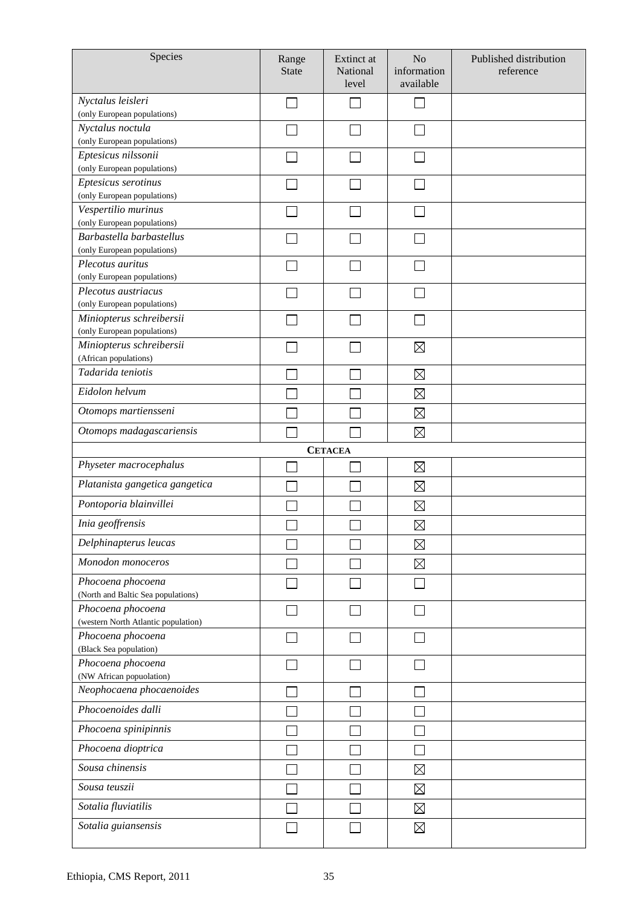| Species                                                 | Range<br><b>State</b> | Extinct at<br>National<br>level | N <sub>o</sub><br>information<br>available | Published distribution<br>reference |
|---------------------------------------------------------|-----------------------|---------------------------------|--------------------------------------------|-------------------------------------|
| Nyctalus leisleri<br>(only European populations)        |                       |                                 |                                            |                                     |
| Nyctalus noctula                                        |                       |                                 |                                            |                                     |
| (only European populations)                             |                       |                                 |                                            |                                     |
| Eptesicus nilssonii                                     |                       |                                 |                                            |                                     |
| (only European populations)                             |                       |                                 |                                            |                                     |
| Eptesicus serotinus                                     |                       |                                 |                                            |                                     |
| (only European populations)                             |                       |                                 |                                            |                                     |
| Vespertilio murinus<br>(only European populations)      |                       |                                 |                                            |                                     |
| Barbastella barbastellus                                |                       |                                 |                                            |                                     |
| (only European populations)                             |                       |                                 |                                            |                                     |
| Plecotus auritus                                        |                       |                                 |                                            |                                     |
| (only European populations)                             |                       |                                 |                                            |                                     |
| Plecotus austriacus                                     |                       |                                 |                                            |                                     |
| (only European populations)                             |                       |                                 |                                            |                                     |
| Miniopterus schreibersii<br>(only European populations) |                       |                                 |                                            |                                     |
| Miniopterus schreibersii                                |                       |                                 | $\boxtimes$                                |                                     |
| (African populations)                                   |                       |                                 |                                            |                                     |
| Tadarida teniotis                                       |                       |                                 | $\boxtimes$                                |                                     |
| Eidolon helvum                                          |                       |                                 | $\boxtimes$                                |                                     |
| Otomops martiensseni                                    |                       |                                 | $\boxtimes$                                |                                     |
| Otomops madagascariensis                                |                       |                                 | $\boxtimes$                                |                                     |
|                                                         |                       | <b>CETACEA</b>                  |                                            |                                     |
| Physeter macrocephalus                                  |                       |                                 | $\boxtimes$                                |                                     |
| Platanista gangetica gangetica                          |                       |                                 | $\boxtimes$                                |                                     |
| Pontoporia blainvillei                                  |                       |                                 | $\boxtimes$                                |                                     |
| Inia geoffrensis                                        |                       |                                 | $\boxtimes$                                |                                     |
| Delphinapterus leucas                                   |                       |                                 | $\boxtimes$                                |                                     |
| Monodon monoceros                                       |                       |                                 | $\boxtimes$                                |                                     |
| Phocoena phocoena<br>(North and Baltic Sea populations) |                       |                                 |                                            |                                     |
| Phocoena phocoena                                       |                       |                                 |                                            |                                     |
| (western North Atlantic population)                     |                       |                                 |                                            |                                     |
| Phocoena phocoena<br>(Black Sea population)             |                       |                                 |                                            |                                     |
| Phocoena phocoena<br>(NW African popuolation)           |                       |                                 |                                            |                                     |
| Neophocaena phocaenoides                                |                       |                                 |                                            |                                     |
| Phocoenoides dalli                                      |                       |                                 |                                            |                                     |
| Phocoena spinipinnis                                    |                       |                                 |                                            |                                     |
| Phocoena dioptrica                                      |                       |                                 |                                            |                                     |
| Sousa chinensis                                         |                       |                                 | $\boxtimes$                                |                                     |
| Sousa teuszii                                           |                       |                                 | $\boxtimes$                                |                                     |
| Sotalia fluviatilis                                     |                       |                                 | $\boxtimes$                                |                                     |
| Sotalia guiansensis                                     |                       |                                 | $\boxtimes$                                |                                     |
|                                                         |                       |                                 |                                            |                                     |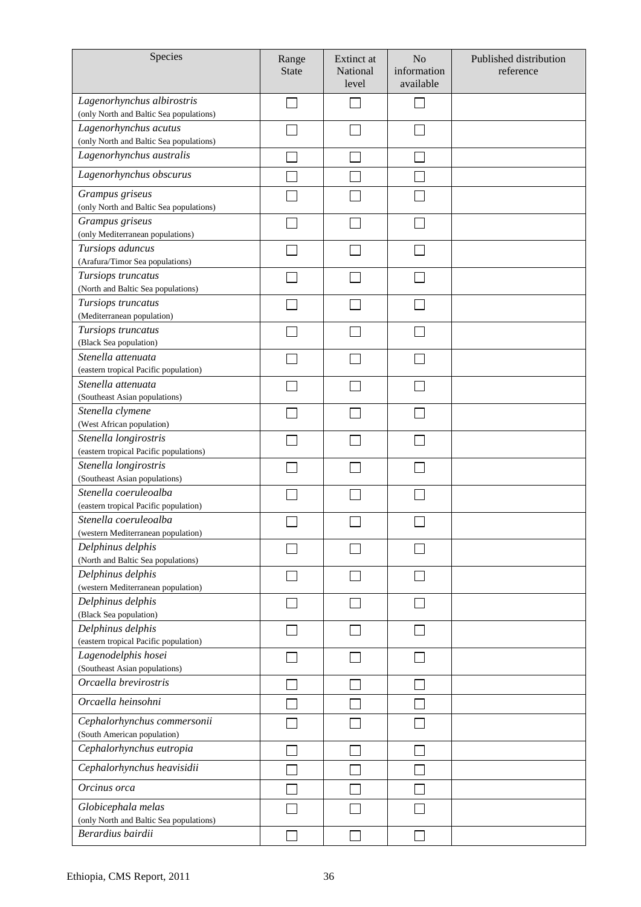| Species                                                               | Range<br><b>State</b> | Extinct at<br><b>National</b><br>level | N <sub>o</sub><br>information<br>available | Published distribution<br>reference |
|-----------------------------------------------------------------------|-----------------------|----------------------------------------|--------------------------------------------|-------------------------------------|
| Lagenorhynchus albirostris<br>(only North and Baltic Sea populations) |                       |                                        |                                            |                                     |
| Lagenorhynchus acutus<br>(only North and Baltic Sea populations)      |                       |                                        |                                            |                                     |
| Lagenorhynchus australis                                              |                       |                                        |                                            |                                     |
| Lagenorhynchus obscurus                                               |                       |                                        |                                            |                                     |
| Grampus griseus<br>(only North and Baltic Sea populations)            |                       |                                        |                                            |                                     |
| Grampus griseus<br>(only Mediterranean populations)                   |                       |                                        |                                            |                                     |
| Tursiops aduncus<br>(Arafura/Timor Sea populations)                   |                       |                                        |                                            |                                     |
| Tursiops truncatus<br>(North and Baltic Sea populations)              |                       |                                        |                                            |                                     |
| Tursiops truncatus<br>(Mediterranean population)                      |                       |                                        |                                            |                                     |
| Tursiops truncatus<br>(Black Sea population)                          |                       |                                        |                                            |                                     |
| Stenella attenuata<br>(eastern tropical Pacific population)           |                       |                                        |                                            |                                     |
| Stenella attenuata<br>(Southeast Asian populations)                   |                       |                                        |                                            |                                     |
| Stenella clymene<br>(West African population)                         |                       |                                        |                                            |                                     |
| Stenella longirostris<br>(eastern tropical Pacific populations)       |                       |                                        |                                            |                                     |
| Stenella longirostris<br>(Southeast Asian populations)                |                       |                                        |                                            |                                     |
| Stenella coeruleoalba<br>(eastern tropical Pacific population)        |                       |                                        |                                            |                                     |
| Stenella coeruleoalba<br>(western Mediterranean population)           |                       |                                        |                                            |                                     |
| Delphinus delphis<br>(North and Baltic Sea populations)               |                       |                                        |                                            |                                     |
| Delphinus delphis<br>(western Mediterranean population)               |                       |                                        |                                            |                                     |
| Delphinus delphis<br>(Black Sea population)                           |                       |                                        |                                            |                                     |
| Delphinus delphis<br>(eastern tropical Pacific population)            |                       |                                        |                                            |                                     |
| Lagenodelphis hosei<br>(Southeast Asian populations)                  |                       |                                        |                                            |                                     |
| Orcaella brevirostris                                                 |                       |                                        |                                            |                                     |
| Orcaella heinsohni                                                    |                       |                                        |                                            |                                     |
| Cephalorhynchus commersonii<br>(South American population)            |                       |                                        |                                            |                                     |
| Cephalorhynchus eutropia                                              |                       |                                        |                                            |                                     |
| Cephalorhynchus heavisidii                                            |                       |                                        |                                            |                                     |
| Orcinus orca                                                          |                       |                                        |                                            |                                     |
| Globicephala melas<br>(only North and Baltic Sea populations)         |                       |                                        |                                            |                                     |
| Berardius bairdii                                                     |                       |                                        |                                            |                                     |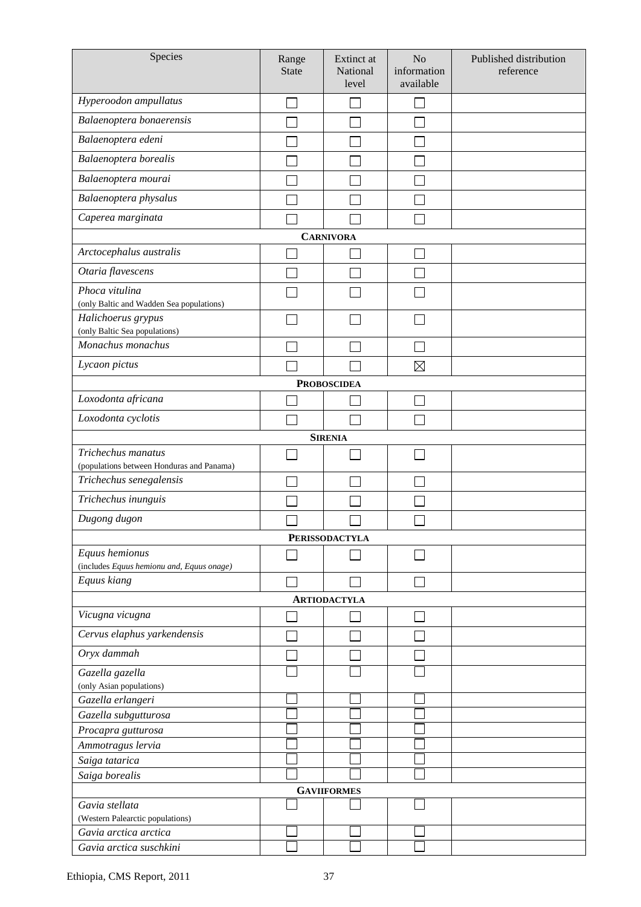| Hyperoodon ampullatus<br>Balaenoptera bonaerensis<br>Balaenoptera edeni<br>Balaenoptera borealis<br>Balaenoptera mourai<br>Balaenoptera physalus<br>Caperea marginata<br><b>CARNIVORA</b><br>Arctocephalus australis<br>Otaria flavescens<br>Phoca vitulina<br>(only Baltic and Wadden Sea populations)<br>Halichoerus grypus<br>(only Baltic Sea populations)<br>Monachus monachus<br>Lycaon pictus<br>$\boxtimes$<br><b>PROBOSCIDEA</b><br>Loxodonta africana<br>Loxodonta cyclotis<br><b>SIRENIA</b><br>Trichechus manatus<br>(populations between Honduras and Panama)<br>Trichechus senegalensis<br>Trichechus inunguis<br>Dugong dugon<br><b>PERISSODACTYLA</b><br>Equus hemionus<br>(includes Equus hemionu and, Equus onage)<br>Equus kiang<br><b>ARTIODACTYLA</b><br>Vicugna vicugna<br>Cervus elaphus yarkendensis<br>Oryx dammah<br>Gazella gazella<br>(only Asian populations)<br>Gazella erlangeri<br>Gazella subgutturosa<br>Procapra gutturosa<br>Ammotragus lervia<br>Saiga tatarica<br>Saiga borealis<br><b>GAVIIFORMES</b><br>Gavia stellata<br>(Western Palearctic populations)<br>Gavia arctica arctica | Species                 | Range<br><b>State</b> | <b>Extinct</b> at<br>National<br>level | N <sub>o</sub><br>information<br>available | Published distribution<br>reference |
|-----------------------------------------------------------------------------------------------------------------------------------------------------------------------------------------------------------------------------------------------------------------------------------------------------------------------------------------------------------------------------------------------------------------------------------------------------------------------------------------------------------------------------------------------------------------------------------------------------------------------------------------------------------------------------------------------------------------------------------------------------------------------------------------------------------------------------------------------------------------------------------------------------------------------------------------------------------------------------------------------------------------------------------------------------------------------------------------------------------------------------|-------------------------|-----------------------|----------------------------------------|--------------------------------------------|-------------------------------------|
|                                                                                                                                                                                                                                                                                                                                                                                                                                                                                                                                                                                                                                                                                                                                                                                                                                                                                                                                                                                                                                                                                                                             |                         |                       |                                        |                                            |                                     |
|                                                                                                                                                                                                                                                                                                                                                                                                                                                                                                                                                                                                                                                                                                                                                                                                                                                                                                                                                                                                                                                                                                                             |                         |                       |                                        |                                            |                                     |
|                                                                                                                                                                                                                                                                                                                                                                                                                                                                                                                                                                                                                                                                                                                                                                                                                                                                                                                                                                                                                                                                                                                             |                         |                       |                                        |                                            |                                     |
|                                                                                                                                                                                                                                                                                                                                                                                                                                                                                                                                                                                                                                                                                                                                                                                                                                                                                                                                                                                                                                                                                                                             |                         |                       |                                        |                                            |                                     |
|                                                                                                                                                                                                                                                                                                                                                                                                                                                                                                                                                                                                                                                                                                                                                                                                                                                                                                                                                                                                                                                                                                                             |                         |                       |                                        |                                            |                                     |
|                                                                                                                                                                                                                                                                                                                                                                                                                                                                                                                                                                                                                                                                                                                                                                                                                                                                                                                                                                                                                                                                                                                             |                         |                       |                                        |                                            |                                     |
|                                                                                                                                                                                                                                                                                                                                                                                                                                                                                                                                                                                                                                                                                                                                                                                                                                                                                                                                                                                                                                                                                                                             |                         |                       |                                        |                                            |                                     |
|                                                                                                                                                                                                                                                                                                                                                                                                                                                                                                                                                                                                                                                                                                                                                                                                                                                                                                                                                                                                                                                                                                                             |                         |                       |                                        |                                            |                                     |
|                                                                                                                                                                                                                                                                                                                                                                                                                                                                                                                                                                                                                                                                                                                                                                                                                                                                                                                                                                                                                                                                                                                             |                         |                       |                                        |                                            |                                     |
|                                                                                                                                                                                                                                                                                                                                                                                                                                                                                                                                                                                                                                                                                                                                                                                                                                                                                                                                                                                                                                                                                                                             |                         |                       |                                        |                                            |                                     |
|                                                                                                                                                                                                                                                                                                                                                                                                                                                                                                                                                                                                                                                                                                                                                                                                                                                                                                                                                                                                                                                                                                                             |                         |                       |                                        |                                            |                                     |
|                                                                                                                                                                                                                                                                                                                                                                                                                                                                                                                                                                                                                                                                                                                                                                                                                                                                                                                                                                                                                                                                                                                             |                         |                       |                                        |                                            |                                     |
|                                                                                                                                                                                                                                                                                                                                                                                                                                                                                                                                                                                                                                                                                                                                                                                                                                                                                                                                                                                                                                                                                                                             |                         |                       |                                        |                                            |                                     |
|                                                                                                                                                                                                                                                                                                                                                                                                                                                                                                                                                                                                                                                                                                                                                                                                                                                                                                                                                                                                                                                                                                                             |                         |                       |                                        |                                            |                                     |
|                                                                                                                                                                                                                                                                                                                                                                                                                                                                                                                                                                                                                                                                                                                                                                                                                                                                                                                                                                                                                                                                                                                             |                         |                       |                                        |                                            |                                     |
|                                                                                                                                                                                                                                                                                                                                                                                                                                                                                                                                                                                                                                                                                                                                                                                                                                                                                                                                                                                                                                                                                                                             |                         |                       |                                        |                                            |                                     |
|                                                                                                                                                                                                                                                                                                                                                                                                                                                                                                                                                                                                                                                                                                                                                                                                                                                                                                                                                                                                                                                                                                                             |                         |                       |                                        |                                            |                                     |
|                                                                                                                                                                                                                                                                                                                                                                                                                                                                                                                                                                                                                                                                                                                                                                                                                                                                                                                                                                                                                                                                                                                             |                         |                       |                                        |                                            |                                     |
|                                                                                                                                                                                                                                                                                                                                                                                                                                                                                                                                                                                                                                                                                                                                                                                                                                                                                                                                                                                                                                                                                                                             |                         |                       |                                        |                                            |                                     |
|                                                                                                                                                                                                                                                                                                                                                                                                                                                                                                                                                                                                                                                                                                                                                                                                                                                                                                                                                                                                                                                                                                                             |                         |                       |                                        |                                            |                                     |
|                                                                                                                                                                                                                                                                                                                                                                                                                                                                                                                                                                                                                                                                                                                                                                                                                                                                                                                                                                                                                                                                                                                             |                         |                       |                                        |                                            |                                     |
|                                                                                                                                                                                                                                                                                                                                                                                                                                                                                                                                                                                                                                                                                                                                                                                                                                                                                                                                                                                                                                                                                                                             |                         |                       |                                        |                                            |                                     |
|                                                                                                                                                                                                                                                                                                                                                                                                                                                                                                                                                                                                                                                                                                                                                                                                                                                                                                                                                                                                                                                                                                                             |                         |                       |                                        |                                            |                                     |
|                                                                                                                                                                                                                                                                                                                                                                                                                                                                                                                                                                                                                                                                                                                                                                                                                                                                                                                                                                                                                                                                                                                             |                         |                       |                                        |                                            |                                     |
|                                                                                                                                                                                                                                                                                                                                                                                                                                                                                                                                                                                                                                                                                                                                                                                                                                                                                                                                                                                                                                                                                                                             |                         |                       |                                        |                                            |                                     |
|                                                                                                                                                                                                                                                                                                                                                                                                                                                                                                                                                                                                                                                                                                                                                                                                                                                                                                                                                                                                                                                                                                                             |                         |                       |                                        |                                            |                                     |
|                                                                                                                                                                                                                                                                                                                                                                                                                                                                                                                                                                                                                                                                                                                                                                                                                                                                                                                                                                                                                                                                                                                             |                         |                       |                                        |                                            |                                     |
|                                                                                                                                                                                                                                                                                                                                                                                                                                                                                                                                                                                                                                                                                                                                                                                                                                                                                                                                                                                                                                                                                                                             |                         |                       |                                        |                                            |                                     |
|                                                                                                                                                                                                                                                                                                                                                                                                                                                                                                                                                                                                                                                                                                                                                                                                                                                                                                                                                                                                                                                                                                                             |                         |                       |                                        |                                            |                                     |
|                                                                                                                                                                                                                                                                                                                                                                                                                                                                                                                                                                                                                                                                                                                                                                                                                                                                                                                                                                                                                                                                                                                             |                         |                       |                                        |                                            |                                     |
|                                                                                                                                                                                                                                                                                                                                                                                                                                                                                                                                                                                                                                                                                                                                                                                                                                                                                                                                                                                                                                                                                                                             |                         |                       |                                        |                                            |                                     |
|                                                                                                                                                                                                                                                                                                                                                                                                                                                                                                                                                                                                                                                                                                                                                                                                                                                                                                                                                                                                                                                                                                                             |                         |                       |                                        |                                            |                                     |
|                                                                                                                                                                                                                                                                                                                                                                                                                                                                                                                                                                                                                                                                                                                                                                                                                                                                                                                                                                                                                                                                                                                             |                         |                       |                                        |                                            |                                     |
|                                                                                                                                                                                                                                                                                                                                                                                                                                                                                                                                                                                                                                                                                                                                                                                                                                                                                                                                                                                                                                                                                                                             |                         |                       |                                        |                                            |                                     |
|                                                                                                                                                                                                                                                                                                                                                                                                                                                                                                                                                                                                                                                                                                                                                                                                                                                                                                                                                                                                                                                                                                                             |                         |                       |                                        |                                            |                                     |
|                                                                                                                                                                                                                                                                                                                                                                                                                                                                                                                                                                                                                                                                                                                                                                                                                                                                                                                                                                                                                                                                                                                             |                         |                       |                                        |                                            |                                     |
|                                                                                                                                                                                                                                                                                                                                                                                                                                                                                                                                                                                                                                                                                                                                                                                                                                                                                                                                                                                                                                                                                                                             |                         |                       |                                        |                                            |                                     |
|                                                                                                                                                                                                                                                                                                                                                                                                                                                                                                                                                                                                                                                                                                                                                                                                                                                                                                                                                                                                                                                                                                                             |                         |                       |                                        |                                            |                                     |
|                                                                                                                                                                                                                                                                                                                                                                                                                                                                                                                                                                                                                                                                                                                                                                                                                                                                                                                                                                                                                                                                                                                             |                         |                       |                                        |                                            |                                     |
|                                                                                                                                                                                                                                                                                                                                                                                                                                                                                                                                                                                                                                                                                                                                                                                                                                                                                                                                                                                                                                                                                                                             |                         |                       |                                        |                                            |                                     |
|                                                                                                                                                                                                                                                                                                                                                                                                                                                                                                                                                                                                                                                                                                                                                                                                                                                                                                                                                                                                                                                                                                                             |                         |                       |                                        |                                            |                                     |
|                                                                                                                                                                                                                                                                                                                                                                                                                                                                                                                                                                                                                                                                                                                                                                                                                                                                                                                                                                                                                                                                                                                             |                         |                       |                                        |                                            |                                     |
|                                                                                                                                                                                                                                                                                                                                                                                                                                                                                                                                                                                                                                                                                                                                                                                                                                                                                                                                                                                                                                                                                                                             | Gavia arctica suschkini |                       |                                        |                                            |                                     |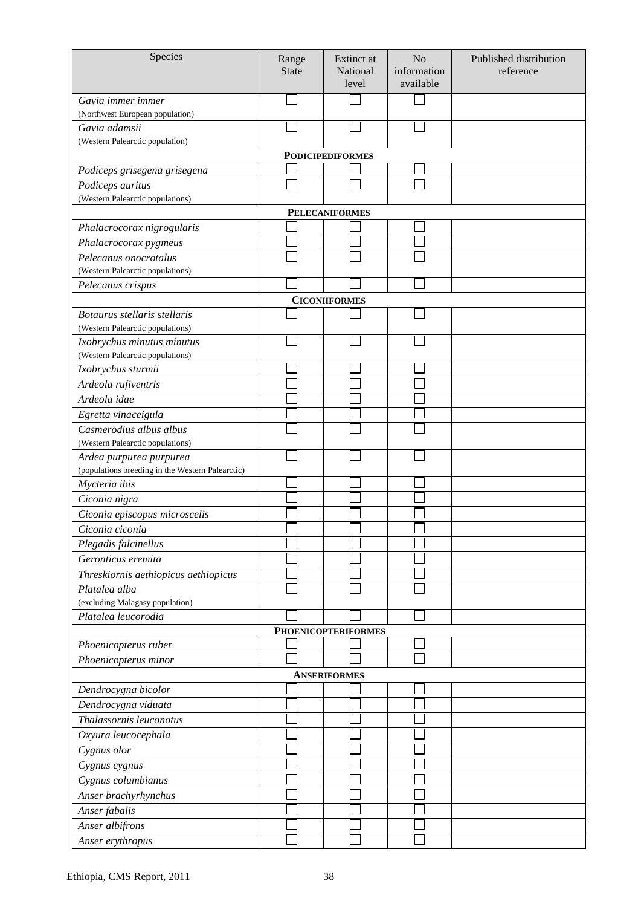| Species                                                | Range<br><b>State</b> | <b>Extinct</b> at<br>National | N <sub>o</sub><br>information | Published distribution<br>reference |
|--------------------------------------------------------|-----------------------|-------------------------------|-------------------------------|-------------------------------------|
|                                                        |                       | level                         | available                     |                                     |
| Gavia immer immer                                      |                       |                               |                               |                                     |
| (Northwest European population)                        |                       |                               |                               |                                     |
| Gavia adamsii                                          |                       |                               |                               |                                     |
| (Western Palearctic population)                        |                       |                               |                               |                                     |
|                                                        |                       | <b>PODICIPEDIFORMES</b>       |                               |                                     |
| Podiceps grisegena grisegena                           |                       |                               |                               |                                     |
| Podiceps auritus                                       |                       |                               |                               |                                     |
| (Western Palearctic populations)                       |                       |                               |                               |                                     |
| Phalacrocorax nigrogularis                             |                       | <b>PELECANIFORMES</b>         |                               |                                     |
|                                                        |                       |                               |                               |                                     |
| Phalacrocorax pygmeus<br>Pelecanus onocrotalus         |                       |                               |                               |                                     |
| (Western Palearctic populations)                       |                       |                               |                               |                                     |
| Pelecanus crispus                                      |                       |                               |                               |                                     |
|                                                        |                       | <b>CICONIIFORMES</b>          |                               |                                     |
| Botaurus stellaris stellaris                           |                       |                               |                               |                                     |
| (Western Palearctic populations)                       |                       |                               |                               |                                     |
| Ixobrychus minutus minutus                             |                       |                               |                               |                                     |
| (Western Palearctic populations)                       |                       |                               |                               |                                     |
| Ixobrychus sturmii                                     |                       |                               |                               |                                     |
| Ardeola rufiventris                                    |                       |                               |                               |                                     |
| Ardeola idae                                           |                       |                               |                               |                                     |
| Egretta vinaceigula                                    |                       |                               |                               |                                     |
| Casmerodius albus albus                                |                       |                               |                               |                                     |
| (Western Palearctic populations)                       |                       |                               |                               |                                     |
| Ardea purpurea purpurea                                |                       |                               |                               |                                     |
| (populations breeding in the Western Palearctic)       |                       |                               |                               |                                     |
| Mycteria ibis                                          |                       |                               |                               |                                     |
| Ciconia nigra                                          |                       |                               |                               |                                     |
| Ciconia episcopus microscelis                          |                       |                               |                               |                                     |
| Ciconia ciconia                                        |                       |                               |                               |                                     |
| Plegadis falcinellus                                   |                       |                               |                               |                                     |
| Geronticus eremita                                     |                       |                               |                               |                                     |
| Threskiornis aethiopicus aethiopicus                   |                       |                               |                               |                                     |
| Platalea alba                                          |                       |                               |                               |                                     |
| (excluding Malagasy population)<br>Platalea leucorodia |                       |                               |                               |                                     |
|                                                        |                       | <b>PHOENICOPTERIFORMES</b>    |                               |                                     |
| Phoenicopterus ruber                                   |                       |                               |                               |                                     |
| Phoenicopterus minor                                   |                       |                               |                               |                                     |
|                                                        |                       | <b>ANSERIFORMES</b>           |                               |                                     |
| Dendrocygna bicolor                                    |                       |                               |                               |                                     |
| Dendrocygna viduata                                    |                       |                               |                               |                                     |
| Thalassornis leuconotus                                |                       |                               |                               |                                     |
| Oxyura leucocephala                                    |                       |                               |                               |                                     |
| Cygnus olor                                            |                       |                               |                               |                                     |
| Cygnus cygnus                                          |                       |                               |                               |                                     |
| Cygnus columbianus                                     |                       |                               |                               |                                     |
| Anser brachyrhynchus                                   |                       |                               |                               |                                     |
| Anser fabalis                                          |                       |                               |                               |                                     |
| Anser albifrons                                        |                       |                               |                               |                                     |
| Anser erythropus                                       |                       |                               |                               |                                     |
|                                                        |                       |                               |                               |                                     |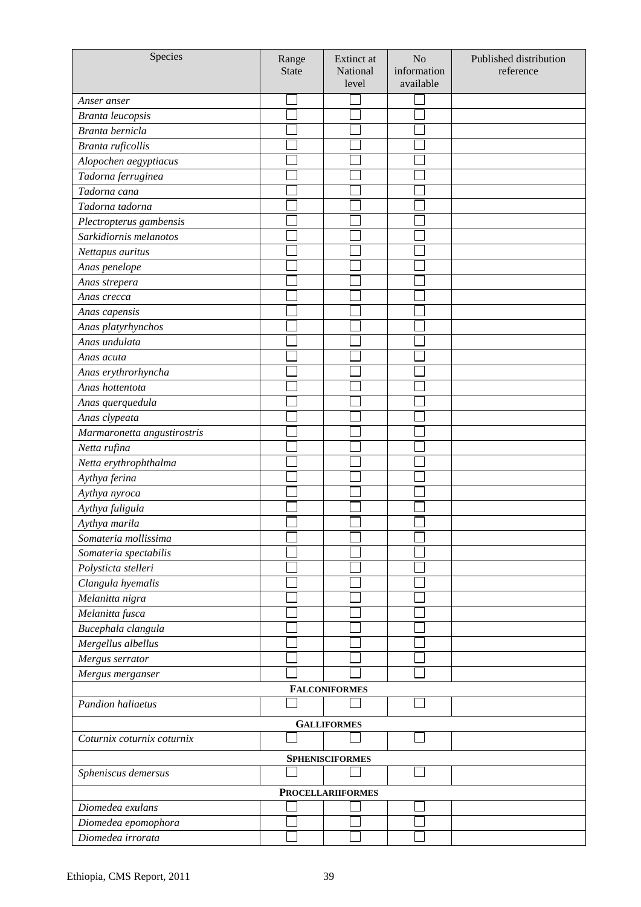| Species                     | Range<br><b>State</b> | Extinct at<br>National<br>level | N <sub>o</sub><br>information<br>available | Published distribution<br>reference |  |  |  |
|-----------------------------|-----------------------|---------------------------------|--------------------------------------------|-------------------------------------|--|--|--|
| Anser anser                 |                       |                                 |                                            |                                     |  |  |  |
| Branta leucopsis            |                       |                                 |                                            |                                     |  |  |  |
| Branta bernicla             |                       |                                 |                                            |                                     |  |  |  |
| Branta ruficollis           |                       |                                 |                                            |                                     |  |  |  |
| Alopochen aegyptiacus       |                       |                                 |                                            |                                     |  |  |  |
| Tadorna ferruginea          |                       |                                 |                                            |                                     |  |  |  |
| Tadorna cana                |                       |                                 |                                            |                                     |  |  |  |
| Tadorna tadorna             |                       |                                 |                                            |                                     |  |  |  |
| Plectropterus gambensis     |                       |                                 |                                            |                                     |  |  |  |
| Sarkidiornis melanotos      |                       |                                 |                                            |                                     |  |  |  |
| Nettapus auritus            |                       |                                 |                                            |                                     |  |  |  |
| Anas penelope               |                       |                                 |                                            |                                     |  |  |  |
| Anas strepera               |                       |                                 |                                            |                                     |  |  |  |
| Anas crecca                 |                       |                                 |                                            |                                     |  |  |  |
| Anas capensis               |                       |                                 |                                            |                                     |  |  |  |
| Anas platyrhynchos          |                       |                                 |                                            |                                     |  |  |  |
| Anas undulata               |                       |                                 |                                            |                                     |  |  |  |
| Anas acuta                  |                       |                                 |                                            |                                     |  |  |  |
| Anas erythrorhyncha         |                       |                                 |                                            |                                     |  |  |  |
| Anas hottentota             |                       |                                 |                                            |                                     |  |  |  |
| Anas querquedula            |                       |                                 |                                            |                                     |  |  |  |
| Anas clypeata               |                       |                                 |                                            |                                     |  |  |  |
| Marmaronetta angustirostris |                       |                                 |                                            |                                     |  |  |  |
| Netta rufina                |                       |                                 |                                            |                                     |  |  |  |
| Netta erythrophthalma       |                       |                                 |                                            |                                     |  |  |  |
| Aythya ferina               |                       |                                 |                                            |                                     |  |  |  |
| Aythya nyroca               |                       |                                 |                                            |                                     |  |  |  |
| Aythya fuligula             |                       |                                 |                                            |                                     |  |  |  |
| Aythya marila               |                       |                                 |                                            |                                     |  |  |  |
| Somateria mollissima        |                       |                                 |                                            |                                     |  |  |  |
| Somateria spectabilis       |                       |                                 |                                            |                                     |  |  |  |
| Polysticta stelleri         |                       |                                 |                                            |                                     |  |  |  |
| Clangula hyemalis           |                       |                                 |                                            |                                     |  |  |  |
| Melanitta nigra             |                       |                                 |                                            |                                     |  |  |  |
| Melanitta fusca             |                       |                                 |                                            |                                     |  |  |  |
| Bucephala clangula          |                       |                                 |                                            |                                     |  |  |  |
| Mergellus albellus          |                       |                                 |                                            |                                     |  |  |  |
| Mergus serrator             |                       |                                 |                                            |                                     |  |  |  |
| Mergus merganser            |                       |                                 |                                            |                                     |  |  |  |
|                             |                       | <b>FALCONIFORMES</b>            |                                            |                                     |  |  |  |
| Pandion haliaetus           |                       |                                 |                                            |                                     |  |  |  |
|                             | <b>GALLIFORMES</b>    |                                 |                                            |                                     |  |  |  |
| Coturnix coturnix coturnix  |                       |                                 |                                            |                                     |  |  |  |
| <b>SPHENISCIFORMES</b>      |                       |                                 |                                            |                                     |  |  |  |
| Spheniscus demersus         |                       |                                 |                                            |                                     |  |  |  |
|                             |                       | <b>PROCELLARIIFORMES</b>        |                                            |                                     |  |  |  |
| Diomedea exulans            |                       |                                 |                                            |                                     |  |  |  |
| Diomedea epomophora         |                       |                                 |                                            |                                     |  |  |  |
| Diomedea irrorata           |                       |                                 |                                            |                                     |  |  |  |
|                             |                       |                                 |                                            |                                     |  |  |  |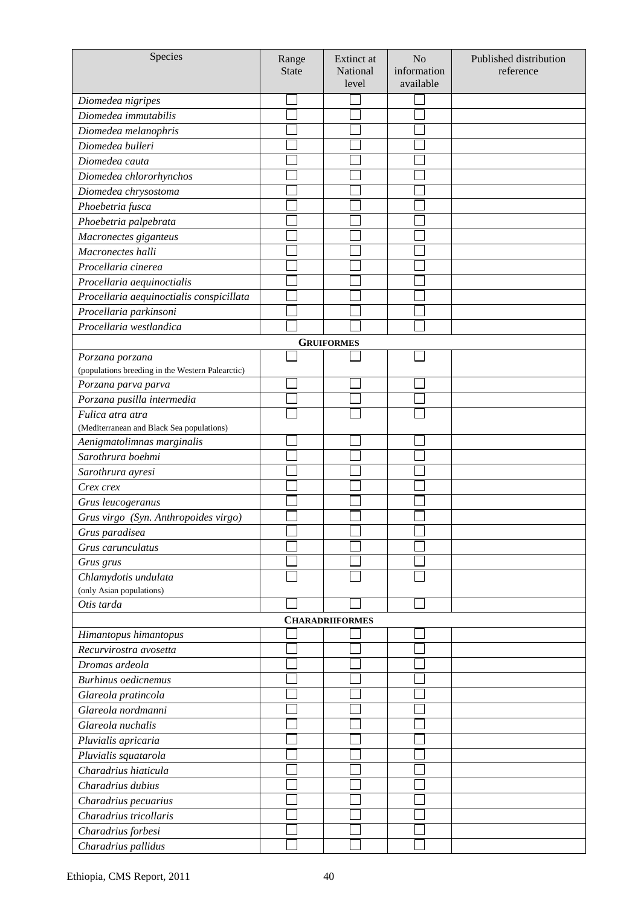| Species                                                             | Range<br><b>State</b> | Extinct at<br>National<br>level | N <sub>o</sub><br>information<br>available | Published distribution<br>reference |
|---------------------------------------------------------------------|-----------------------|---------------------------------|--------------------------------------------|-------------------------------------|
| Diomedea nigripes                                                   |                       |                                 |                                            |                                     |
| Diomedea immutabilis                                                |                       |                                 |                                            |                                     |
| Diomedea melanophris                                                |                       |                                 |                                            |                                     |
| Diomedea bulleri                                                    |                       |                                 |                                            |                                     |
| Diomedea cauta                                                      |                       |                                 |                                            |                                     |
| Diomedea chlororhynchos                                             |                       |                                 |                                            |                                     |
| Diomedea chrysostoma                                                |                       |                                 |                                            |                                     |
| Phoebetria fusca                                                    |                       |                                 |                                            |                                     |
| Phoebetria palpebrata                                               |                       |                                 |                                            |                                     |
|                                                                     |                       |                                 |                                            |                                     |
| Macronectes giganteus<br>Macronectes halli                          |                       |                                 |                                            |                                     |
|                                                                     |                       |                                 |                                            |                                     |
| Procellaria cinerea                                                 |                       |                                 |                                            |                                     |
| Procellaria aequinoctialis                                          |                       |                                 |                                            |                                     |
| Procellaria aequinoctialis conspicillata                            |                       |                                 |                                            |                                     |
| Procellaria parkinsoni                                              |                       |                                 |                                            |                                     |
| Procellaria westlandica                                             |                       |                                 |                                            |                                     |
|                                                                     |                       | <b>GRUIFORMES</b>               |                                            |                                     |
| Porzana porzana<br>(populations breeding in the Western Palearctic) |                       |                                 |                                            |                                     |
| Porzana parva parva                                                 |                       |                                 |                                            |                                     |
| Porzana pusilla intermedia                                          |                       |                                 |                                            |                                     |
| Fulica atra atra                                                    |                       |                                 |                                            |                                     |
| (Mediterranean and Black Sea populations)                           |                       |                                 |                                            |                                     |
| Aenigmatolimnas marginalis                                          |                       |                                 |                                            |                                     |
| Sarothrura boehmi                                                   |                       |                                 |                                            |                                     |
| Sarothrura ayresi                                                   |                       |                                 |                                            |                                     |
| Crex crex                                                           |                       |                                 |                                            |                                     |
| Grus leucogeranus                                                   |                       |                                 |                                            |                                     |
| Grus virgo (Syn. Anthropoides virgo)                                |                       |                                 |                                            |                                     |
| Grus paradisea                                                      |                       |                                 |                                            |                                     |
| Grus carunculatus                                                   |                       |                                 |                                            |                                     |
| Grus grus                                                           |                       |                                 |                                            |                                     |
| Chlamydotis undulata                                                |                       |                                 |                                            |                                     |
| (only Asian populations)                                            |                       |                                 |                                            |                                     |
| Otis tarda                                                          |                       |                                 |                                            |                                     |
|                                                                     |                       | <b>CHARADRIIFORMES</b>          |                                            |                                     |
| Himantopus himantopus                                               |                       |                                 |                                            |                                     |
| Recurvirostra avosetta                                              |                       |                                 |                                            |                                     |
| Dromas ardeola                                                      |                       |                                 |                                            |                                     |
| <b>Burhinus</b> oedicnemus                                          |                       |                                 |                                            |                                     |
| Glareola pratincola                                                 |                       |                                 |                                            |                                     |
| Glareola nordmanni                                                  |                       |                                 |                                            |                                     |
| Glareola nuchalis                                                   |                       |                                 |                                            |                                     |
| Pluvialis apricaria                                                 |                       |                                 |                                            |                                     |
| Pluvialis squatarola                                                |                       |                                 |                                            |                                     |
| Charadrius hiaticula                                                |                       |                                 |                                            |                                     |
| Charadrius dubius                                                   |                       |                                 |                                            |                                     |
| Charadrius pecuarius                                                |                       |                                 |                                            |                                     |
| Charadrius tricollaris                                              |                       |                                 |                                            |                                     |
| Charadrius forbesi                                                  |                       |                                 |                                            |                                     |
| Charadrius pallidus                                                 |                       |                                 |                                            |                                     |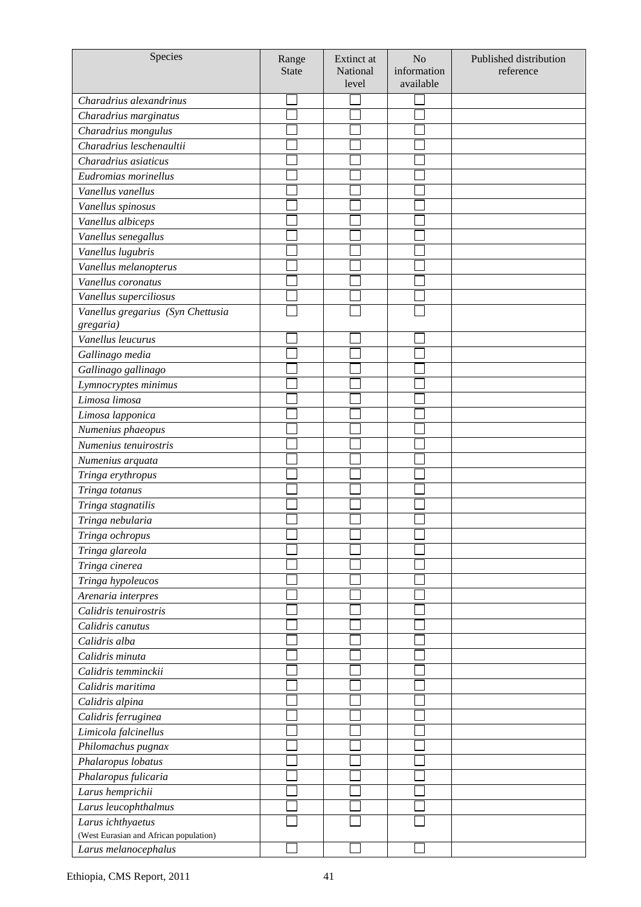| Species                                | Range<br><b>State</b> | Extinct at<br>National<br>level | N <sub>o</sub><br>information<br>available | Published distribution<br>reference |
|----------------------------------------|-----------------------|---------------------------------|--------------------------------------------|-------------------------------------|
| Charadrius alexandrinus                |                       |                                 |                                            |                                     |
| Charadrius marginatus                  |                       |                                 |                                            |                                     |
| Charadrius mongulus                    |                       |                                 |                                            |                                     |
| Charadrius leschenaultii               |                       |                                 |                                            |                                     |
| Charadrius asiaticus                   |                       |                                 |                                            |                                     |
| Eudromias morinellus                   |                       |                                 |                                            |                                     |
| Vanellus vanellus                      |                       |                                 |                                            |                                     |
| Vanellus spinosus                      |                       |                                 |                                            |                                     |
| Vanellus albiceps                      |                       |                                 |                                            |                                     |
| Vanellus senegallus                    |                       |                                 |                                            |                                     |
| Vanellus lugubris                      |                       |                                 |                                            |                                     |
| Vanellus melanopterus                  |                       |                                 |                                            |                                     |
| Vanellus coronatus                     |                       |                                 |                                            |                                     |
| Vanellus superciliosus                 |                       |                                 |                                            |                                     |
| Vanellus gregarius (Syn Chettusia      |                       |                                 |                                            |                                     |
| gregaria)                              |                       |                                 |                                            |                                     |
| Vanellus leucurus                      |                       |                                 |                                            |                                     |
| Gallinago media                        |                       |                                 |                                            |                                     |
| Gallinago gallinago                    |                       |                                 |                                            |                                     |
| Lymnocryptes minimus                   |                       |                                 |                                            |                                     |
| Limosa limosa                          |                       |                                 |                                            |                                     |
| Limosa lapponica                       |                       |                                 |                                            |                                     |
| Numenius phaeopus                      |                       |                                 |                                            |                                     |
| Numenius tenuirostris                  |                       |                                 |                                            |                                     |
| Numenius arquata                       |                       |                                 |                                            |                                     |
| Tringa erythropus                      |                       |                                 |                                            |                                     |
| Tringa totanus                         |                       |                                 |                                            |                                     |
| Tringa stagnatilis                     |                       |                                 |                                            |                                     |
| Tringa nebularia                       |                       |                                 |                                            |                                     |
| Tringa ochropus                        |                       |                                 |                                            |                                     |
| Tringa glareola                        |                       |                                 |                                            |                                     |
| Tringa cinerea                         |                       |                                 |                                            |                                     |
| Tringa hypoleucos                      |                       |                                 |                                            |                                     |
| Arenaria interpres                     |                       |                                 |                                            |                                     |
| Calidris tenuirostris                  |                       |                                 |                                            |                                     |
| Calidris canutus                       |                       |                                 |                                            |                                     |
| Calidris alba                          |                       |                                 |                                            |                                     |
| Calidris minuta                        |                       |                                 |                                            |                                     |
| Calidris temminckii                    |                       |                                 |                                            |                                     |
| Calidris maritima                      |                       |                                 |                                            |                                     |
| Calidris alpina                        |                       |                                 |                                            |                                     |
| Calidris ferruginea                    |                       |                                 |                                            |                                     |
| Limicola falcinellus                   |                       |                                 |                                            |                                     |
| Philomachus pugnax                     |                       |                                 |                                            |                                     |
| Phalaropus lobatus                     |                       |                                 |                                            |                                     |
| Phalaropus fulicaria                   |                       |                                 |                                            |                                     |
| Larus hemprichii                       |                       |                                 |                                            |                                     |
| Larus leucophthalmus                   |                       |                                 |                                            |                                     |
| Larus ichthyaetus                      |                       |                                 |                                            |                                     |
| (West Eurasian and African population) |                       |                                 |                                            |                                     |
| Larus melanocephalus                   |                       |                                 |                                            |                                     |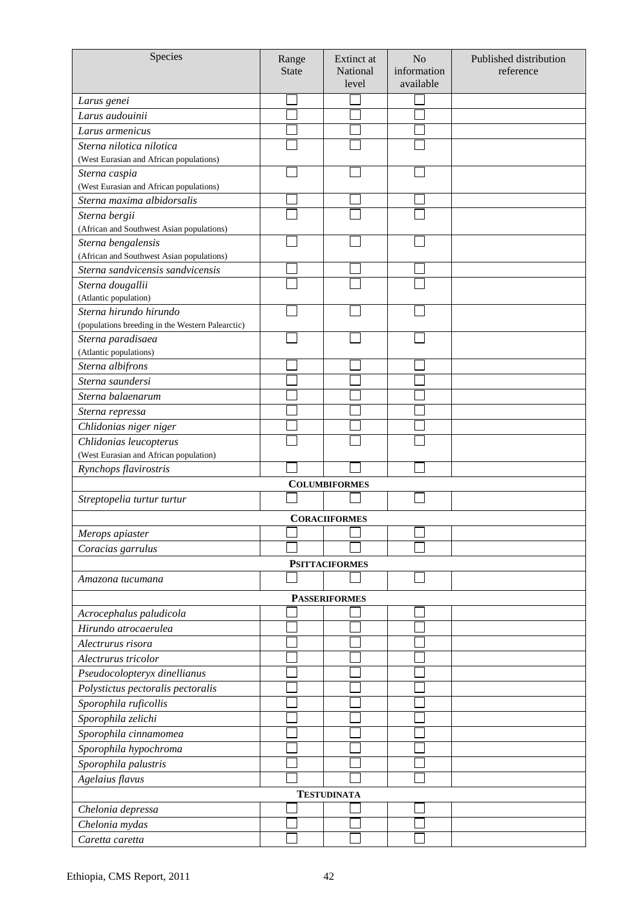| Species                                                         | Range        | Extinct at            | N <sub>o</sub> | Published distribution |
|-----------------------------------------------------------------|--------------|-----------------------|----------------|------------------------|
|                                                                 | <b>State</b> | National              | information    | reference              |
|                                                                 |              | level                 | available      |                        |
| Larus genei                                                     |              |                       |                |                        |
| Larus audouinii                                                 |              |                       |                |                        |
| Larus armenicus                                                 |              |                       |                |                        |
| Sterna nilotica nilotica                                        |              |                       |                |                        |
| (West Eurasian and African populations)                         |              |                       |                |                        |
| Sterna caspia                                                   |              |                       |                |                        |
| (West Eurasian and African populations)                         |              |                       |                |                        |
| Sterna maxima albidorsalis                                      |              |                       |                |                        |
| Sterna bergii                                                   |              |                       |                |                        |
| (African and Southwest Asian populations)                       |              |                       |                |                        |
| Sterna bengalensis<br>(African and Southwest Asian populations) |              |                       |                |                        |
| Sterna sandvicensis sandvicensis                                |              |                       |                |                        |
| Sterna dougallii                                                |              |                       |                |                        |
| (Atlantic population)                                           |              |                       |                |                        |
| Sterna hirundo hirundo                                          |              |                       |                |                        |
| (populations breeding in the Western Palearctic)                |              |                       |                |                        |
| Sterna paradisaea                                               |              |                       |                |                        |
| (Atlantic populations)                                          |              |                       |                |                        |
| Sterna albifrons                                                |              |                       |                |                        |
| Sterna saundersi                                                |              |                       |                |                        |
| Sterna balaenarum                                               |              |                       |                |                        |
| Sterna repressa                                                 |              |                       |                |                        |
| Chlidonias niger niger                                          |              |                       |                |                        |
| Chlidonias leucopterus                                          |              |                       |                |                        |
| (West Eurasian and African population)                          |              |                       |                |                        |
| Rynchops flavirostris                                           |              |                       |                |                        |
|                                                                 |              | <b>COLUMBIFORMES</b>  |                |                        |
| Streptopelia turtur turtur                                      |              |                       |                |                        |
|                                                                 |              | <b>CORACIIFORMES</b>  |                |                        |
| Merops apiaster                                                 |              |                       |                |                        |
| Coracias garrulus                                               |              |                       |                |                        |
|                                                                 |              | <b>PSITTACIFORMES</b> |                |                        |
| Amazona tucumana                                                |              |                       |                |                        |
|                                                                 |              | <b>PASSERIFORMES</b>  |                |                        |
| Acrocephalus paludicola                                         |              |                       |                |                        |
| Hirundo atrocaerulea                                            |              |                       |                |                        |
| Alectrurus risora                                               |              |                       |                |                        |
| Alectrurus tricolor                                             |              |                       |                |                        |
| Pseudocolopteryx dinellianus                                    |              |                       |                |                        |
| Polystictus pectoralis pectoralis                               |              |                       |                |                        |
| Sporophila ruficollis                                           |              |                       |                |                        |
| Sporophila zelichi                                              |              |                       |                |                        |
| Sporophila cinnamomea                                           |              |                       |                |                        |
|                                                                 |              |                       |                |                        |
| Sporophila hypochroma<br>Sporophila palustris                   |              |                       |                |                        |
|                                                                 |              |                       |                |                        |
| Agelaius flavus                                                 |              |                       |                |                        |
|                                                                 |              | <b>TESTUDINATA</b>    |                |                        |
| Chelonia depressa                                               |              |                       |                |                        |
| Chelonia mydas                                                  |              |                       |                |                        |
| Caretta caretta                                                 |              |                       |                |                        |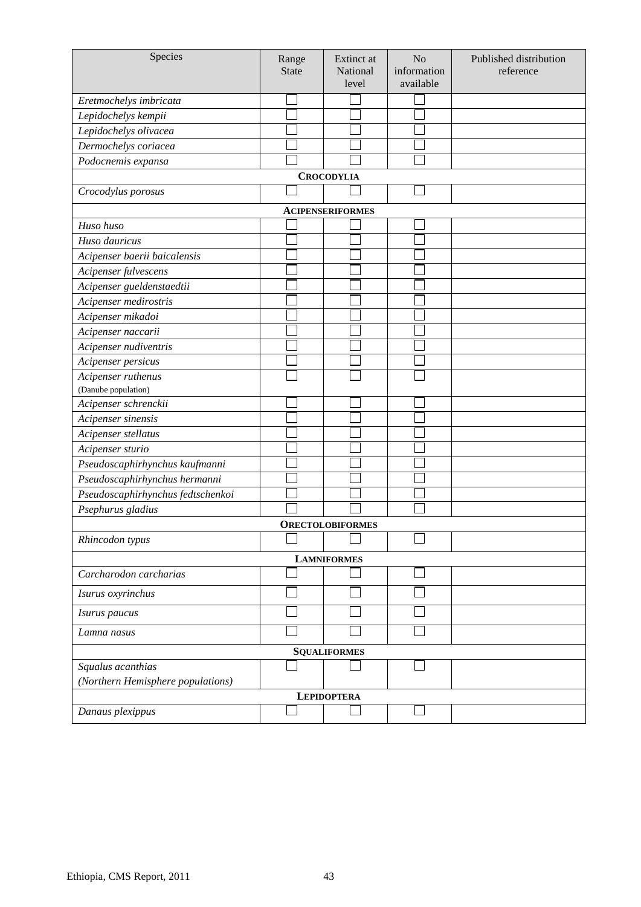| Species                           | Range<br><b>State</b> | Extinct at<br>National<br>level | N <sub>o</sub><br>information<br>available | Published distribution<br>reference |
|-----------------------------------|-----------------------|---------------------------------|--------------------------------------------|-------------------------------------|
|                                   |                       |                                 |                                            |                                     |
| Eretmochelys imbricata            |                       |                                 |                                            |                                     |
| Lepidochelys kempii               |                       |                                 |                                            |                                     |
| Lepidochelys olivacea             |                       |                                 |                                            |                                     |
| Dermochelys coriacea              |                       |                                 |                                            |                                     |
| Podocnemis expansa                |                       | <b>CROCODYLIA</b>               |                                            |                                     |
| Crocodylus porosus                |                       |                                 |                                            |                                     |
|                                   |                       | <b>ACIPENSERIFORMES</b>         |                                            |                                     |
| Huso huso                         |                       |                                 |                                            |                                     |
| Huso dauricus                     |                       |                                 |                                            |                                     |
| Acipenser baerii baicalensis      |                       |                                 |                                            |                                     |
| Acipenser fulvescens              |                       |                                 |                                            |                                     |
| Acipenser gueldenstaedtii         |                       |                                 |                                            |                                     |
| Acipenser medirostris             |                       |                                 |                                            |                                     |
| Acipenser mikadoi                 |                       |                                 |                                            |                                     |
| Acipenser naccarii                |                       |                                 |                                            |                                     |
| Acipenser nudiventris             |                       |                                 |                                            |                                     |
| Acipenser persicus                |                       |                                 |                                            |                                     |
| Acipenser ruthenus                |                       |                                 |                                            |                                     |
| (Danube population)               |                       |                                 |                                            |                                     |
| Acipenser schrenckii              |                       |                                 |                                            |                                     |
| Acipenser sinensis                |                       |                                 |                                            |                                     |
| Acipenser stellatus               |                       |                                 |                                            |                                     |
| Acipenser sturio                  |                       |                                 |                                            |                                     |
| Pseudoscaphirhynchus kaufmanni    |                       |                                 |                                            |                                     |
| Pseudoscaphirhynchus hermanni     |                       |                                 |                                            |                                     |
| Pseudoscaphirhynchus fedtschenkoi |                       |                                 |                                            |                                     |
| Psephurus gladius                 |                       |                                 |                                            |                                     |
|                                   |                       | <b>ORECTOLOBIFORMES</b>         |                                            |                                     |
| Rhincodon typus                   |                       |                                 |                                            |                                     |
|                                   |                       | <b>LAMNIFORMES</b>              |                                            |                                     |
| Carcharodon carcharias            |                       |                                 |                                            |                                     |
| Isurus oxyrinchus                 |                       |                                 |                                            |                                     |
| Isurus paucus                     |                       |                                 |                                            |                                     |
| Lamna nasus                       |                       |                                 |                                            |                                     |
|                                   |                       | <b>SQUALIFORMES</b>             |                                            |                                     |
| Squalus acanthias                 |                       |                                 |                                            |                                     |
| (Northern Hemisphere populations) |                       |                                 |                                            |                                     |
|                                   |                       | <b>LEPIDOPTERA</b>              |                                            |                                     |
| Danaus plexippus                  |                       |                                 |                                            |                                     |
|                                   |                       |                                 |                                            |                                     |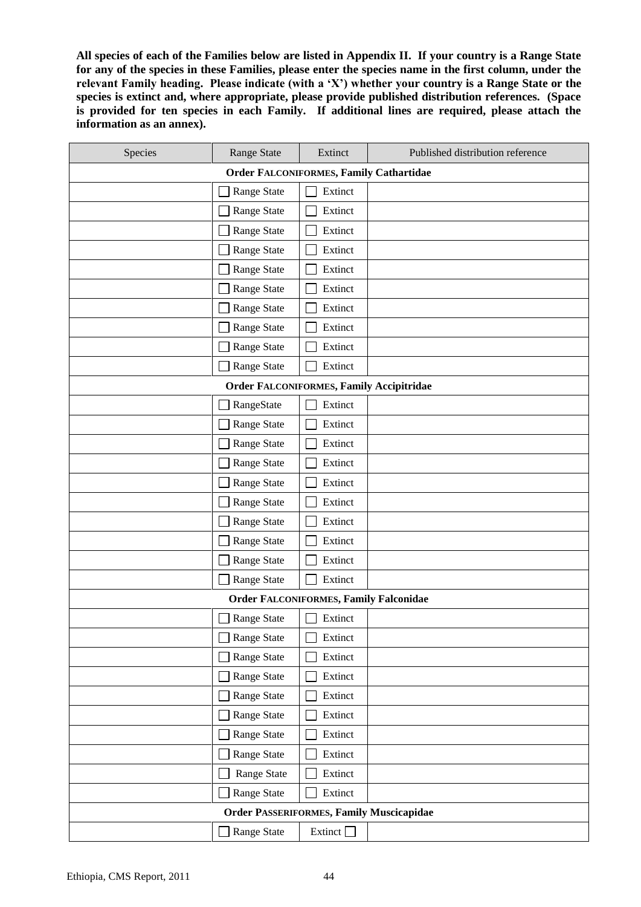**All species of each of the Families below are listed in Appendix II. If your country is a Range State for any of the species in these Families, please enter the species name in the first column, under the relevant Family heading. Please indicate (with a 'X') whether your country is a Range State or the species is extinct and, where appropriate, please provide published distribution references. (Space is provided for ten species in each Family. If additional lines are required, please attach the information as an annex).**

| Species                                        | <b>Range State</b>                              | Extinct   | Published distribution reference |  |  |  |  |
|------------------------------------------------|-------------------------------------------------|-----------|----------------------------------|--|--|--|--|
| <b>Order FALCONIFORMES, Family Cathartidae</b> |                                                 |           |                                  |  |  |  |  |
|                                                | Range State                                     | Extinct   |                                  |  |  |  |  |
|                                                | Range State                                     | Extinct   |                                  |  |  |  |  |
|                                                | Range State                                     | Extinct   |                                  |  |  |  |  |
|                                                | Range State                                     | Extinct   |                                  |  |  |  |  |
|                                                | Range State                                     | Extinct   |                                  |  |  |  |  |
|                                                | Range State                                     | Extinct   |                                  |  |  |  |  |
|                                                | Range State                                     | Extinct   |                                  |  |  |  |  |
|                                                | Range State                                     | Extinct   |                                  |  |  |  |  |
|                                                | Range State                                     | Extinct   |                                  |  |  |  |  |
|                                                | Range State                                     | Extinct   |                                  |  |  |  |  |
|                                                | <b>Order FALCONIFORMES, Family Accipitridae</b> |           |                                  |  |  |  |  |
|                                                | RangeState                                      | Extinct   |                                  |  |  |  |  |
|                                                | Range State                                     | Extinct   |                                  |  |  |  |  |
|                                                | Range State                                     | Extinct   |                                  |  |  |  |  |
|                                                | Range State                                     | Extinct   |                                  |  |  |  |  |
|                                                | Range State                                     | Extinct   |                                  |  |  |  |  |
|                                                | Range State                                     | Extinct   |                                  |  |  |  |  |
|                                                | Range State                                     | Extinct   |                                  |  |  |  |  |
|                                                | Range State                                     | Extinct   |                                  |  |  |  |  |
|                                                | Range State                                     | Extinct   |                                  |  |  |  |  |
|                                                | Range State                                     | Extinct   |                                  |  |  |  |  |
|                                                | <b>Order FALCONIFORMES, Family Falconidae</b>   |           |                                  |  |  |  |  |
|                                                | Range State                                     | Extinct   |                                  |  |  |  |  |
|                                                | Range State                                     | Extinct   |                                  |  |  |  |  |
|                                                | Range State                                     | Extinct   |                                  |  |  |  |  |
|                                                | Range State                                     | Extinct   |                                  |  |  |  |  |
|                                                | Range State                                     | Extinct   |                                  |  |  |  |  |
|                                                | Range State                                     | Extinct   |                                  |  |  |  |  |
|                                                | Range State                                     | Extinct   |                                  |  |  |  |  |
|                                                | Range State                                     | Extinct   |                                  |  |  |  |  |
|                                                | Range State                                     | Extinct   |                                  |  |  |  |  |
|                                                | Range State                                     | Extinct   |                                  |  |  |  |  |
|                                                | <b>Order PASSERIFORMES, Family Muscicapidae</b> |           |                                  |  |  |  |  |
|                                                | Range State                                     | Extinct _ |                                  |  |  |  |  |